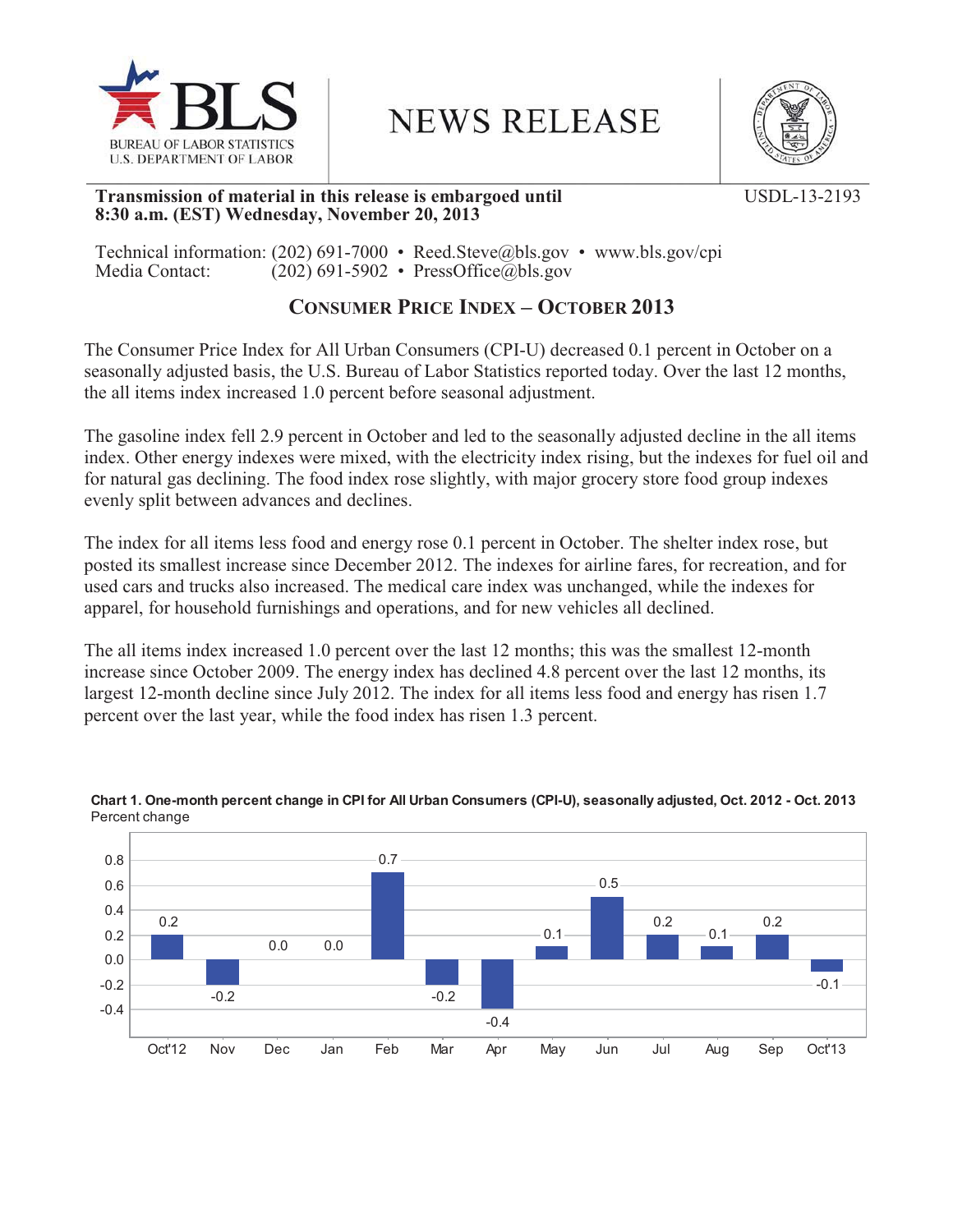

# **NEWS RELEASE**



### **Transmission of material in this release is embargoed until** USDL-13-2193 **8:30 a.m. (EST) Wednesday, November 20, 2013**

Technical information: (202) 691-7000 • Reed.Steve@bls.gov • www.bls.gov/cpi<br>Media Contact: (202) 691-5902 • PressOffice@bls.gov  $(202)$  691-5902 • PressOffice@bls.gov

# **CONSUMER PRICE INDEX – OCTOBER 2013**

The Consumer Price Index for All Urban Consumers (CPI-U) decreased 0.1 percent in October on a seasonally adjusted basis, the U.S. Bureau of Labor Statistics reported today. Over the last 12 months, the all items index increased 1.0 percent before seasonal adjustment.

The gasoline index fell 2.9 percent in October and led to the seasonally adjusted decline in the all items index. Other energy indexes were mixed, with the electricity index rising, but the indexes for fuel oil and for natural gas declining. The food index rose slightly, with major grocery store food group indexes evenly split between advances and declines.

The index for all items less food and energy rose 0.1 percent in October. The shelter index rose, but posted its smallest increase since December 2012. The indexes for airline fares, for recreation, and for used cars and trucks also increased. The medical care index was unchanged, while the indexes for apparel, for household furnishings and operations, and for new vehicles all declined.

The all items index increased 1.0 percent over the last 12 months; this was the smallest 12-month increase since October 2009. The energy index has declined 4.8 percent over the last 12 months, its largest 12-month decline since July 2012. The index for all items less food and energy has risen 1.7 percent over the last year, while the food index has risen 1.3 percent.



#### **Chart 1. One-month percent change in CPI for All Urban Consumers (CPI-U), seasonally adjusted, Oct. 2012 - Oct. 2013** Percent change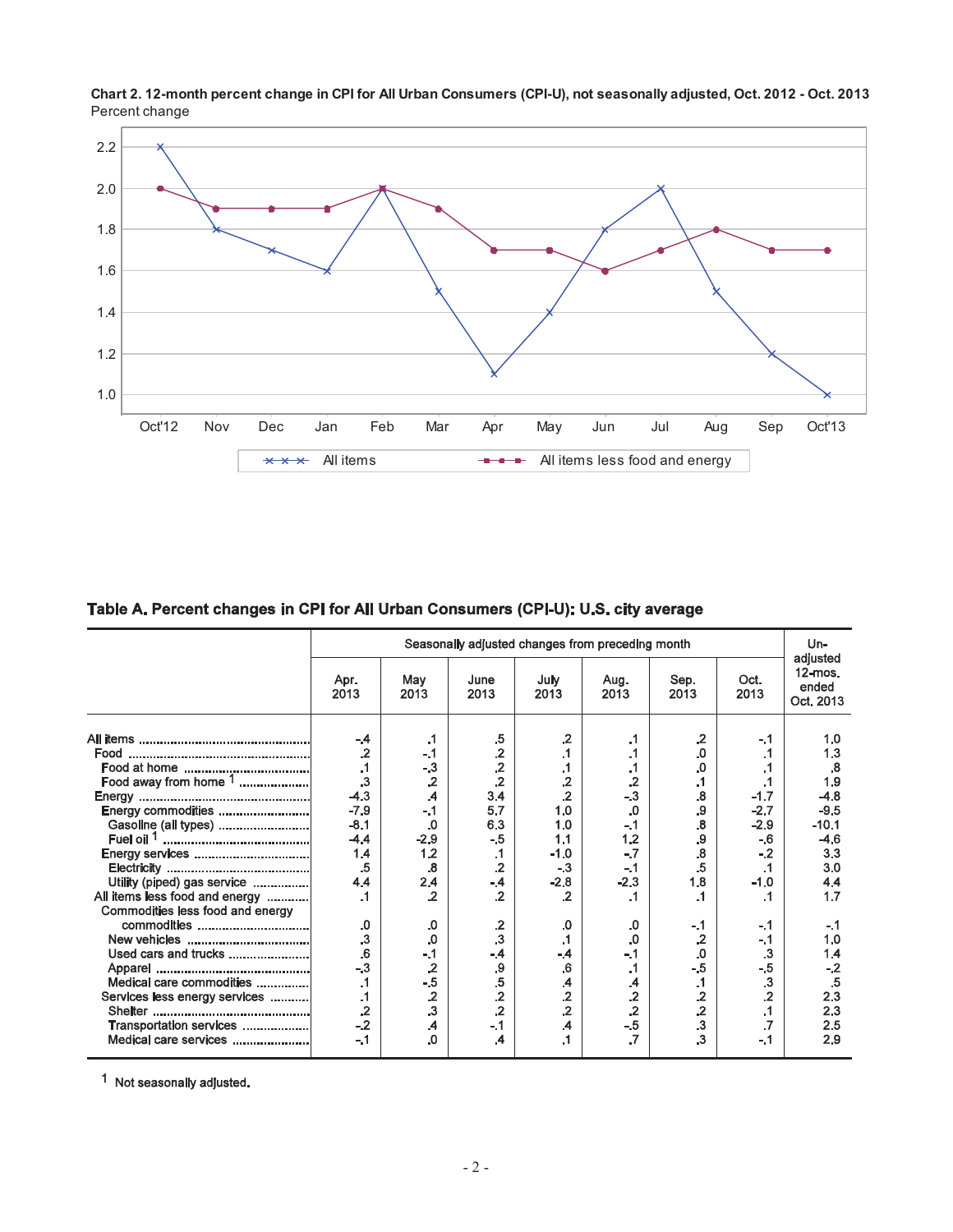

**Chart 2. 12-month percent change in CPI for All Urban Consumers (CPI-U), not seasonally adjusted, Oct. 2012 - Oct. 2013** Percent change

| Table A. Percent changes in CPI for All Urban Consumers (CPI-U): U.S. city average |  |  |  |  |  |
|------------------------------------------------------------------------------------|--|--|--|--|--|
|------------------------------------------------------------------------------------|--|--|--|--|--|

|                                  |                | Seasonally adjusted changes from preceding month |                         |                |                |                         |              |                                           |  |  |  |
|----------------------------------|----------------|--------------------------------------------------|-------------------------|----------------|----------------|-------------------------|--------------|-------------------------------------------|--|--|--|
|                                  | Apr.<br>2013   | May<br>2013                                      | June<br>2013            | July<br>2013   | Aug.<br>2013   | Sep.<br>2013            | Oct.<br>2013 | adjusted<br>12-mos.<br>ended<br>Oct. 2013 |  |  |  |
|                                  | -.4            | $\cdot$ 1                                        | .5                      | $\cdot$        | .1             | $\mathbf{.2}$           | $-1$         | 1.0                                       |  |  |  |
|                                  | $\mathbf{.2}$  | $-.1$                                            |                         | $\cdot$ 1      | .1             | $\Omega$                | $\cdot$ 1    | 1.3                                       |  |  |  |
|                                  | $\cdot$ 1      | $-.3$                                            | $.2$<br>$.2$<br>$.2$    | $\cdot$ 1      | $\cdot$ 1      | $\Omega$                | $\cdot$ 1    | $\boldsymbol{.8}$                         |  |  |  |
| Food away from home $1$          | $\overline{3}$ | $\cdot$                                          |                         | $\overline{2}$ | $\overline{2}$ | $\cdot$ 1               | .1           | 1.9                                       |  |  |  |
|                                  | $-4.3$         | $\overline{A}$                                   | 3.4                     | $\mathbf{.2}$  | $-.3$          | $\overline{\mathbf{8}}$ | $-1.7$       | $-4.8$                                    |  |  |  |
| Energy commodities               | $-7.9$         | $-.1$                                            | 5.7                     | 1.0            | .0             | .9                      | $-2.7$       | $-9.5$                                    |  |  |  |
| Gasoline (all types)             | $-8.1$         | $\Omega$                                         | 6.3                     | 1.0            | $-.1$          | $\overline{\mathbf{8}}$ | $-2.9$       | $-10.1$                                   |  |  |  |
|                                  | $-4.4$         | $-2.9$                                           | $-.5$                   | 1.1            | 1.2            | .9                      | $-6$         | $-4.6$                                    |  |  |  |
|                                  | 1.4            | 1.2                                              | $\cdot$ 1               | $-1.0$         | $-7$           | $\overline{\mathbf{8}}$ | $-2$         | 3.3                                       |  |  |  |
|                                  | .5             | .8                                               | $\cdot$                 | $-3$           | $-.1$          | .5                      | $\cdot$ 1    | 3.0                                       |  |  |  |
| Utility (piped) gas service      | 4.4            | 2.4                                              | $-.4$                   | $-2.8$         | $-2.3$         | 1.8                     | $-1.0$       | 4.4                                       |  |  |  |
| All items less food and energy   | .1             | $\overline{2}$                                   | $\overline{2}$          | $\mathbf{.2}$  | .1             | $\cdot$ 1               | $\cdot$ 1    | 1.7                                       |  |  |  |
| Commodities less food and energy |                |                                                  |                         |                |                |                         |              |                                           |  |  |  |
|                                  | .0             | .0                                               | $\mathbf{.2}$           | .0             | .0             | $-.1$                   | -.1          | $-.1$                                     |  |  |  |
|                                  | $\mathbf{.3}$  | $\Omega$                                         | $\overline{\mathbf{3}}$ | $\cdot$ 1      | $\Omega$       | $\mathbf{2}$            | $-1$         | 1.0                                       |  |  |  |
| Used cars and trucks             | .6             | $-.1$                                            | $-4$                    | -.4            | $-.1$          | ${\bf .0}$              | $\cdot$ 3    | 1.4                                       |  |  |  |
|                                  | $-3$           | $\overline{2}$                                   | .9                      | .6             | .1             | $-5$                    | $-5$         | $-2$                                      |  |  |  |
| Medical care commodities         | $\cdot$ 1      | $-.5$                                            | $\frac{0.5}{0.2}$       | .4             | .4             | $\cdot$ 1               | $\cdot$ 3    | .5                                        |  |  |  |
| Services less energy services    | $\cdot$ 1      | $\overline{2}$                                   |                         | $\overline{2}$ | $\overline{2}$ | $\overline{2}$          | $\cdot$      | 2.3                                       |  |  |  |
|                                  | $\overline{2}$ | $\mathbf{.3}$                                    | $\overline{2}$          | $\overline{2}$ | $\overline{2}$ | $\overline{2}$          | $\cdot$ 1    | 2.3                                       |  |  |  |
| Transportation services          | $-2$           | .4                                               | $-.1$                   | $\mathcal{A}$  | $-.5$          | $\overline{\mathbf{3}}$ | .7           | 2.5                                       |  |  |  |
| Medical care services            | $-1$           | 0.                                               | $\mathbf{.4}$           | .1             | .7             | $\cdot$ 3               | $-.1$        | 2.9                                       |  |  |  |

1 Not seasonally adjusted.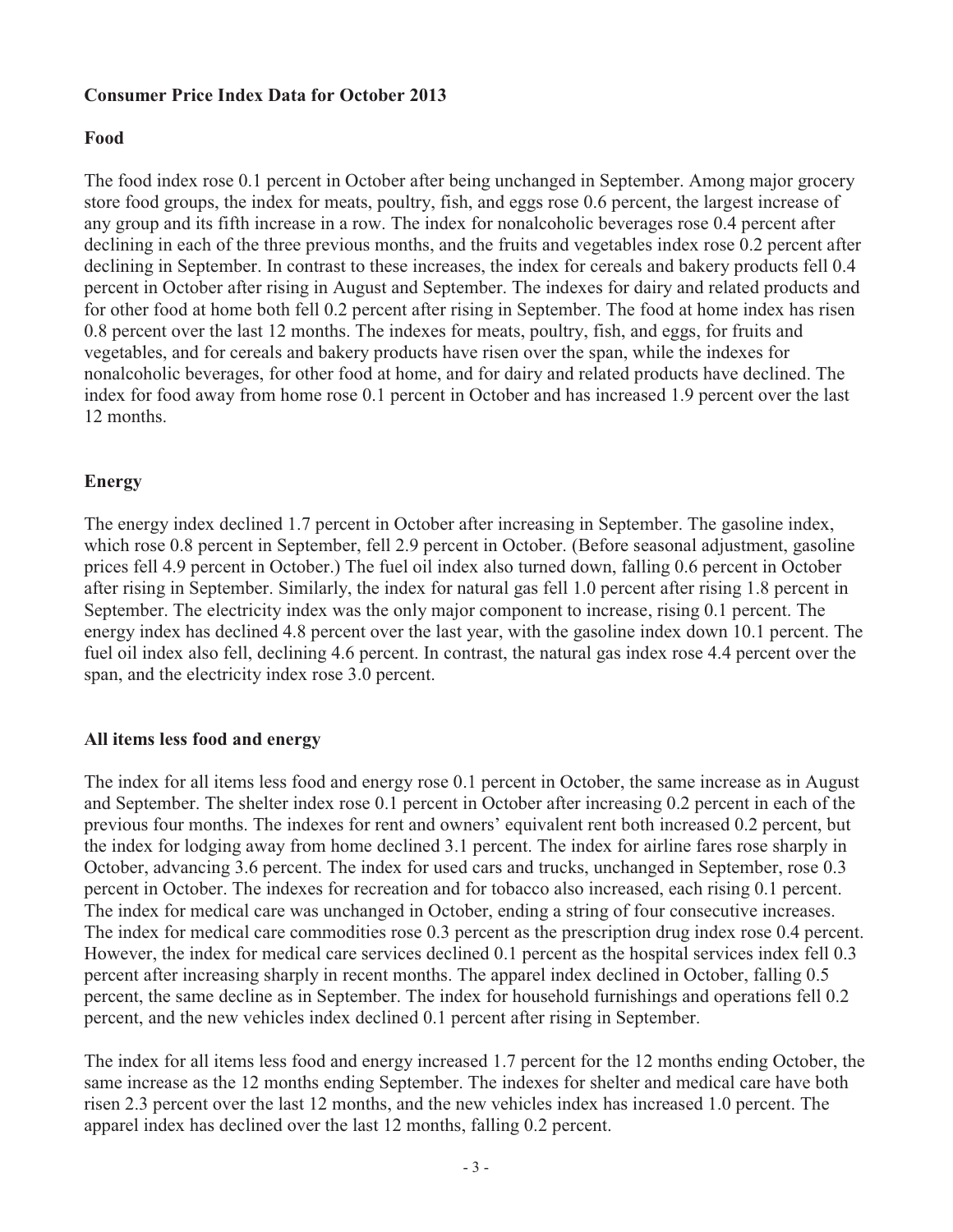### **Consumer Price Index Data for October 2013**

### **Food**

The food index rose 0.1 percent in October after being unchanged in September. Among major grocery store food groups, the index for meats, poultry, fish, and eggs rose 0.6 percent, the largest increase of any group and its fifth increase in a row. The index for nonalcoholic beverages rose 0.4 percent after declining in each of the three previous months, and the fruits and vegetables index rose 0.2 percent after declining in September. In contrast to these increases, the index for cereals and bakery products fell 0.4 percent in October after rising in August and September. The indexes for dairy and related products and for other food at home both fell 0.2 percent after rising in September. The food at home index has risen 0.8 percent over the last 12 months. The indexes for meats, poultry, fish, and eggs, for fruits and vegetables, and for cereals and bakery products have risen over the span, while the indexes for nonalcoholic beverages, for other food at home, and for dairy and related products have declined. The index for food away from home rose 0.1 percent in October and has increased 1.9 percent over the last 12 months.

## **Energy**

The energy index declined 1.7 percent in October after increasing in September. The gasoline index, which rose 0.8 percent in September, fell 2.9 percent in October. (Before seasonal adjustment, gasoline prices fell 4.9 percent in October.) The fuel oil index also turned down, falling 0.6 percent in October after rising in September. Similarly, the index for natural gas fell 1.0 percent after rising 1.8 percent in September. The electricity index was the only major component to increase, rising 0.1 percent. The energy index has declined 4.8 percent over the last year, with the gasoline index down 10.1 percent. The fuel oil index also fell, declining 4.6 percent. In contrast, the natural gas index rose 4.4 percent over the span, and the electricity index rose 3.0 percent.

### **All items less food and energy**

The index for all items less food and energy rose 0.1 percent in October, the same increase as in August and September. The shelter index rose 0.1 percent in October after increasing 0.2 percent in each of the previous four months. The indexes for rent and owners' equivalent rent both increased 0.2 percent, but the index for lodging away from home declined 3.1 percent. The index for airline fares rose sharply in October, advancing 3.6 percent. The index for used cars and trucks, unchanged in September, rose 0.3 percent in October. The indexes for recreation and for tobacco also increased, each rising 0.1 percent. The index for medical care was unchanged in October, ending a string of four consecutive increases. The index for medical care commodities rose 0.3 percent as the prescription drug index rose 0.4 percent. However, the index for medical care services declined 0.1 percent as the hospital services index fell 0.3 percent after increasing sharply in recent months. The apparel index declined in October, falling 0.5 percent, the same decline as in September. The index for household furnishings and operations fell 0.2 percent, and the new vehicles index declined 0.1 percent after rising in September.

The index for all items less food and energy increased 1.7 percent for the 12 months ending October, the same increase as the 12 months ending September. The indexes for shelter and medical care have both risen 2.3 percent over the last 12 months, and the new vehicles index has increased 1.0 percent. The apparel index has declined over the last 12 months, falling 0.2 percent.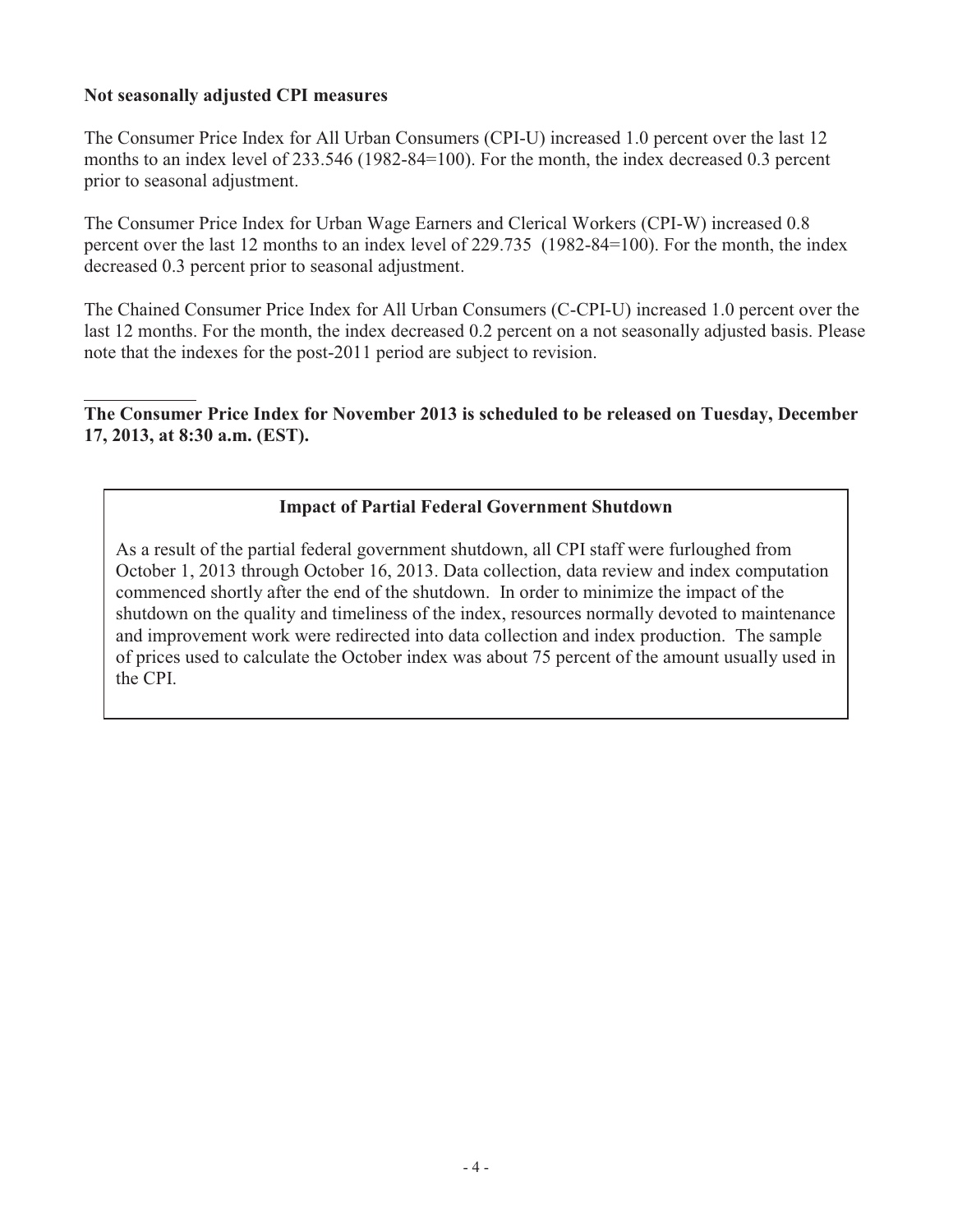### **Not seasonally adjusted CPI measures**

The Consumer Price Index for All Urban Consumers (CPI-U) increased 1.0 percent over the last 12 months to an index level of 233.546 (1982-84=100). For the month, the index decreased 0.3 percent prior to seasonal adjustment.

The Consumer Price Index for Urban Wage Earners and Clerical Workers (CPI-W) increased 0.8 percent over the last 12 months to an index level of 229.735 (1982-84=100). For the month, the index decreased 0.3 percent prior to seasonal adjustment.

The Chained Consumer Price Index for All Urban Consumers (C-CPI-U) increased 1.0 percent over the last 12 months. For the month, the index decreased 0.2 percent on a not seasonally adjusted basis. Please note that the indexes for the post-2011 period are subject to revision.

**The Consumer Price Index for November 2013 is scheduled to be released on Tuesday, December 17, 2013, at 8:30 a.m. (EST).** 

### **Impact of Partial Federal Government Shutdown**

As a result of the partial federal government shutdown, all CPI staff were furloughed from October 1, 2013 through October 16, 2013. Data collection, data review and index computation commenced shortly after the end of the shutdown. In order to minimize the impact of the shutdown on the quality and timeliness of the index, resources normally devoted to maintenance and improvement work were redirected into data collection and index production. The sample of prices used to calculate the October index was about 75 percent of the amount usually used in the CPI.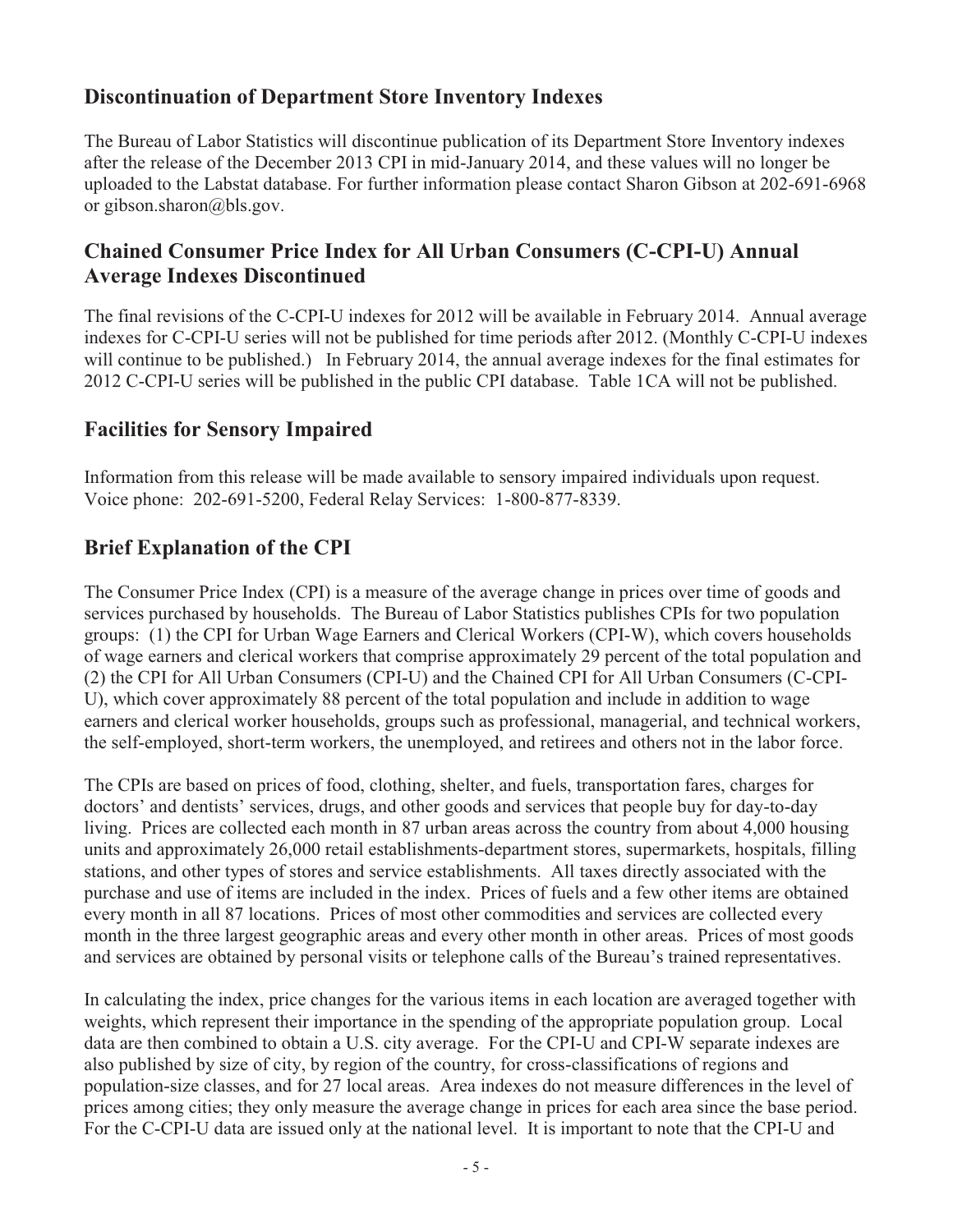# **Discontinuation of Department Store Inventory Indexes**

The Bureau of Labor Statistics will discontinue publication of its Department Store Inventory indexes after the release of the December 2013 CPI in mid-January 2014, and these values will no longer be uploaded to the Labstat database. For further information please contact Sharon Gibson at 202-691-6968 or gibson.sharon@bls.gov.

# **Chained Consumer Price Index for All Urban Consumers (C-CPI-U) Annual Average Indexes Discontinued**

The final revisions of the C-CPI-U indexes for 2012 will be available in February 2014. Annual average indexes for C-CPI-U series will not be published for time periods after 2012. (Monthly C-CPI-U indexes will continue to be published.) In February 2014, the annual average indexes for the final estimates for 2012 C-CPI-U series will be published in the public CPI database. Table 1CA will not be published.

# **Facilities for Sensory Impaired**

Information from this release will be made available to sensory impaired individuals upon request. Voice phone: 202-691-5200, Federal Relay Services: 1-800-877-8339.

# **Brief Explanation of the CPI**

The Consumer Price Index (CPI) is a measure of the average change in prices over time of goods and services purchased by households. The Bureau of Labor Statistics publishes CPIs for two population groups: (1) the CPI for Urban Wage Earners and Clerical Workers (CPI-W), which covers households of wage earners and clerical workers that comprise approximately 29 percent of the total population and (2) the CPI for All Urban Consumers (CPI-U) and the Chained CPI for All Urban Consumers (C-CPI-U), which cover approximately 88 percent of the total population and include in addition to wage earners and clerical worker households, groups such as professional, managerial, and technical workers, the self-employed, short-term workers, the unemployed, and retirees and others not in the labor force.

The CPIs are based on prices of food, clothing, shelter, and fuels, transportation fares, charges for doctors' and dentists' services, drugs, and other goods and services that people buy for day-to-day living. Prices are collected each month in 87 urban areas across the country from about 4,000 housing units and approximately 26,000 retail establishments-department stores, supermarkets, hospitals, filling stations, and other types of stores and service establishments. All taxes directly associated with the purchase and use of items are included in the index. Prices of fuels and a few other items are obtained every month in all 87 locations. Prices of most other commodities and services are collected every month in the three largest geographic areas and every other month in other areas. Prices of most goods and services are obtained by personal visits or telephone calls of the Bureau's trained representatives.

In calculating the index, price changes for the various items in each location are averaged together with weights, which represent their importance in the spending of the appropriate population group. Local data are then combined to obtain a U.S. city average. For the CPI-U and CPI-W separate indexes are also published by size of city, by region of the country, for cross-classifications of regions and population-size classes, and for 27 local areas. Area indexes do not measure differences in the level of prices among cities; they only measure the average change in prices for each area since the base period. For the C-CPI-U data are issued only at the national level. It is important to note that the CPI-U and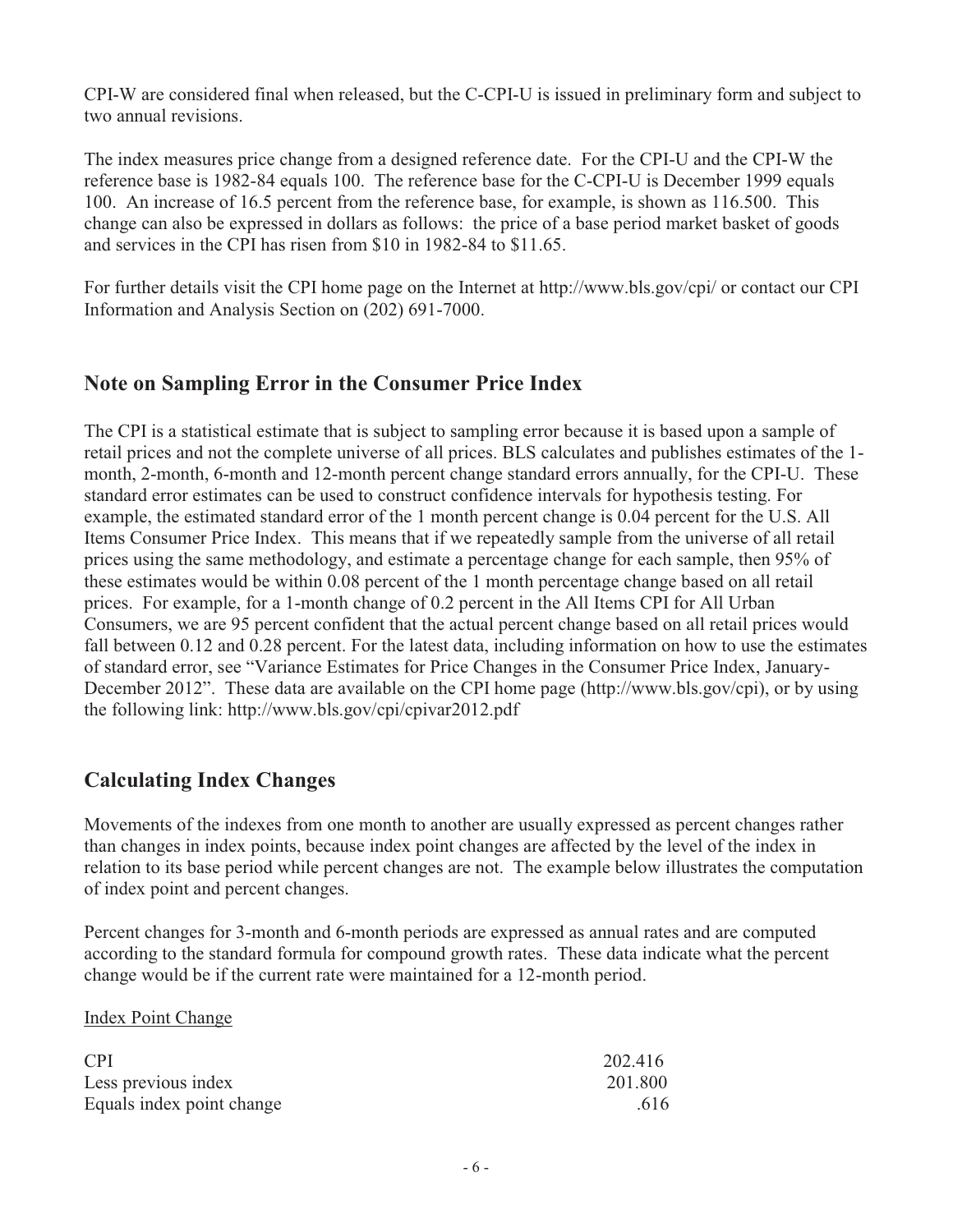CPI-W are considered final when released, but the C-CPI-U is issued in preliminary form and subject to two annual revisions.

The index measures price change from a designed reference date. For the CPI-U and the CPI-W the reference base is 1982-84 equals 100. The reference base for the C-CPI-U is December 1999 equals 100. An increase of 16.5 percent from the reference base, for example, is shown as 116.500. This change can also be expressed in dollars as follows: the price of a base period market basket of goods and services in the CPI has risen from \$10 in 1982-84 to \$11.65.

For further details visit the CPI home page on the Internet at http://www.bls.gov/cpi/ or contact our CPI Information and Analysis Section on (202) 691-7000.

# **Note on Sampling Error in the Consumer Price Index**

The CPI is a statistical estimate that is subject to sampling error because it is based upon a sample of retail prices and not the complete universe of all prices. BLS calculates and publishes estimates of the 1 month, 2-month, 6-month and 12-month percent change standard errors annually, for the CPI-U. These standard error estimates can be used to construct confidence intervals for hypothesis testing. For example, the estimated standard error of the 1 month percent change is 0.04 percent for the U.S. All Items Consumer Price Index. This means that if we repeatedly sample from the universe of all retail prices using the same methodology, and estimate a percentage change for each sample, then 95% of these estimates would be within 0.08 percent of the 1 month percentage change based on all retail prices. For example, for a 1-month change of 0.2 percent in the All Items CPI for All Urban Consumers, we are 95 percent confident that the actual percent change based on all retail prices would fall between 0.12 and 0.28 percent. For the latest data, including information on how to use the estimates of standard error, see "Variance Estimates for Price Changes in the Consumer Price Index, January-December 2012". These data are available on the CPI home page (http://www.bls.gov/cpi), or by using the following link: http://www.bls.gov/cpi/cpivar2012.pdf

# **Calculating Index Changes**

Movements of the indexes from one month to another are usually expressed as percent changes rather than changes in index points, because index point changes are affected by the level of the index in relation to its base period while percent changes are not. The example below illustrates the computation of index point and percent changes.

Percent changes for 3-month and 6-month periods are expressed as annual rates and are computed according to the standard formula for compound growth rates. These data indicate what the percent change would be if the current rate were maintained for a 12-month period.

## Index Point Change

| <b>CPI</b>                | 202.416 |
|---------------------------|---------|
| Less previous index       | 201.800 |
| Equals index point change | .616    |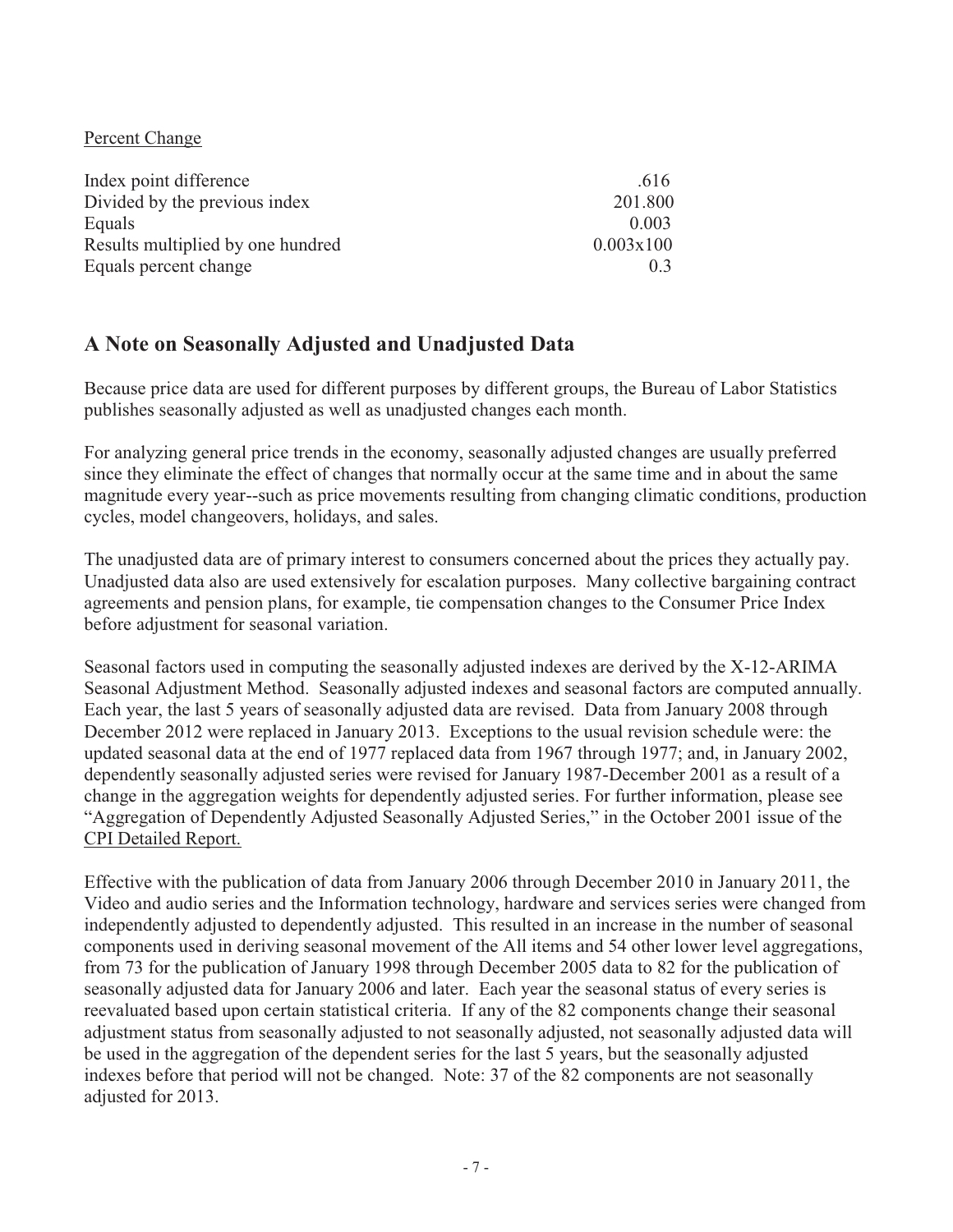### Percent Change

| Index point difference            | .616      |
|-----------------------------------|-----------|
| Divided by the previous index     | 201.800   |
| Equals                            | 0.003     |
| Results multiplied by one hundred | 0.003x100 |
| Equals percent change             | 03        |

# **A Note on Seasonally Adjusted and Unadjusted Data**

Because price data are used for different purposes by different groups, the Bureau of Labor Statistics publishes seasonally adjusted as well as unadjusted changes each month.

For analyzing general price trends in the economy, seasonally adjusted changes are usually preferred since they eliminate the effect of changes that normally occur at the same time and in about the same magnitude every year--such as price movements resulting from changing climatic conditions, production cycles, model changeovers, holidays, and sales.

The unadjusted data are of primary interest to consumers concerned about the prices they actually pay. Unadjusted data also are used extensively for escalation purposes. Many collective bargaining contract agreements and pension plans, for example, tie compensation changes to the Consumer Price Index before adjustment for seasonal variation.

Seasonal factors used in computing the seasonally adjusted indexes are derived by the X-12-ARIMA Seasonal Adjustment Method. Seasonally adjusted indexes and seasonal factors are computed annually. Each year, the last 5 years of seasonally adjusted data are revised. Data from January 2008 through December 2012 were replaced in January 2013. Exceptions to the usual revision schedule were: the updated seasonal data at the end of 1977 replaced data from 1967 through 1977; and, in January 2002, dependently seasonally adjusted series were revised for January 1987-December 2001 as a result of a change in the aggregation weights for dependently adjusted series. For further information, please see "Aggregation of Dependently Adjusted Seasonally Adjusted Series," in the October 2001 issue of the CPI Detailed Report.

Effective with the publication of data from January 2006 through December 2010 in January 2011, the Video and audio series and the Information technology, hardware and services series were changed from independently adjusted to dependently adjusted. This resulted in an increase in the number of seasonal components used in deriving seasonal movement of the All items and 54 other lower level aggregations, from 73 for the publication of January 1998 through December 2005 data to 82 for the publication of seasonally adjusted data for January 2006 and later. Each year the seasonal status of every series is reevaluated based upon certain statistical criteria. If any of the 82 components change their seasonal adjustment status from seasonally adjusted to not seasonally adjusted, not seasonally adjusted data will be used in the aggregation of the dependent series for the last 5 years, but the seasonally adjusted indexes before that period will not be changed. Note: 37 of the 82 components are not seasonally adjusted for 2013.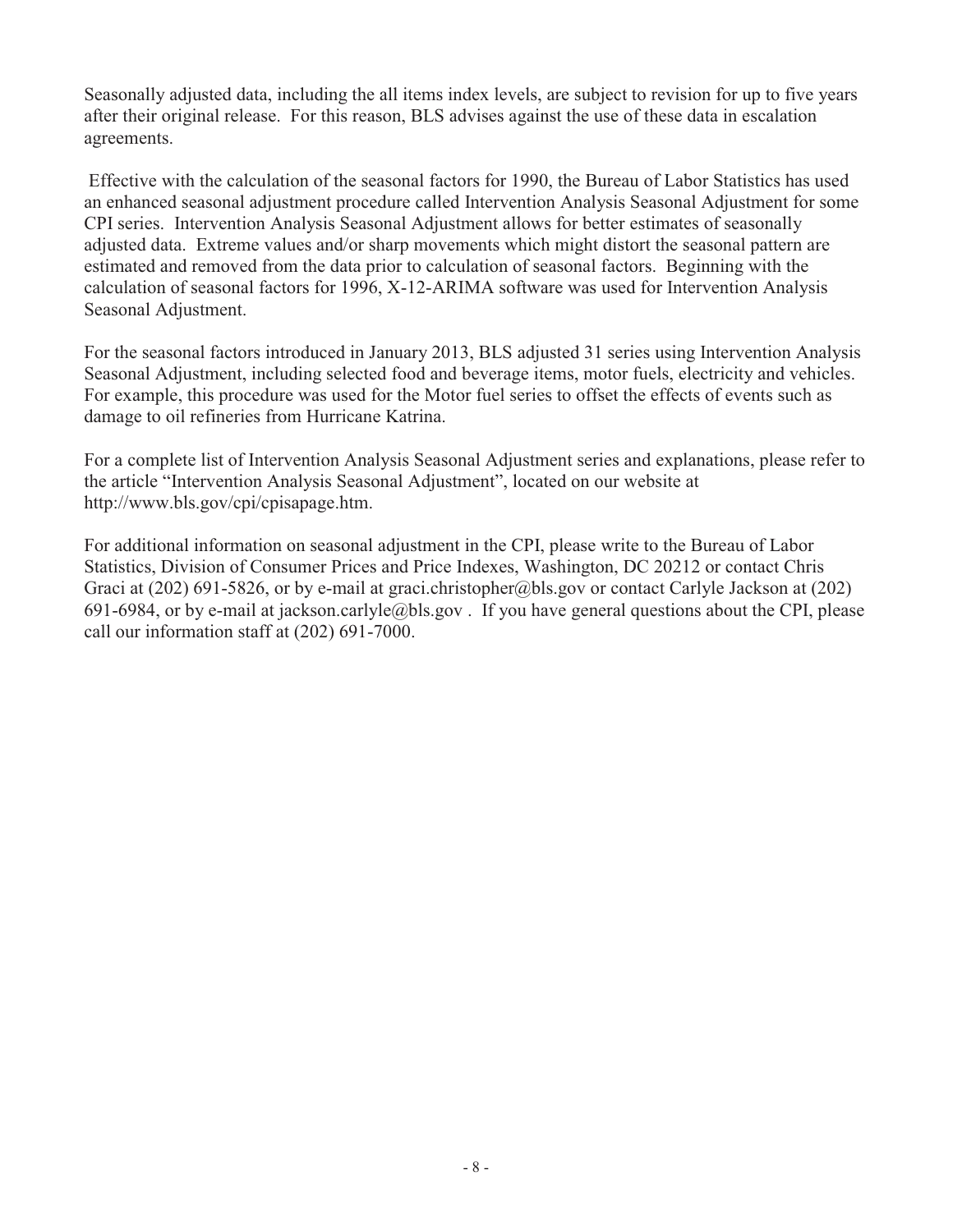Seasonally adjusted data, including the all items index levels, are subject to revision for up to five years after their original release. For this reason, BLS advises against the use of these data in escalation agreements.

 Effective with the calculation of the seasonal factors for 1990, the Bureau of Labor Statistics has used an enhanced seasonal adjustment procedure called Intervention Analysis Seasonal Adjustment for some CPI series. Intervention Analysis Seasonal Adjustment allows for better estimates of seasonally adjusted data. Extreme values and/or sharp movements which might distort the seasonal pattern are estimated and removed from the data prior to calculation of seasonal factors. Beginning with the calculation of seasonal factors for 1996, X-12-ARIMA software was used for Intervention Analysis Seasonal Adjustment.

For the seasonal factors introduced in January 2013, BLS adjusted 31 series using Intervention Analysis Seasonal Adjustment, including selected food and beverage items, motor fuels, electricity and vehicles. For example, this procedure was used for the Motor fuel series to offset the effects of events such as damage to oil refineries from Hurricane Katrina.

For a complete list of Intervention Analysis Seasonal Adjustment series and explanations, please refer to the article "Intervention Analysis Seasonal Adjustment", located on our website at http://www.bls.gov/cpi/cpisapage.htm.

For additional information on seasonal adjustment in the CPI, please write to the Bureau of Labor Statistics, Division of Consumer Prices and Price Indexes, Washington, DC 20212 or contact Chris Graci at (202) 691-5826, or by e-mail at graci.christopher@bls.gov or contact Carlyle Jackson at (202) 691-6984, or by e-mail at jackson.carlyle@bls.gov . If you have general questions about the CPI, please call our information staff at (202) 691-7000.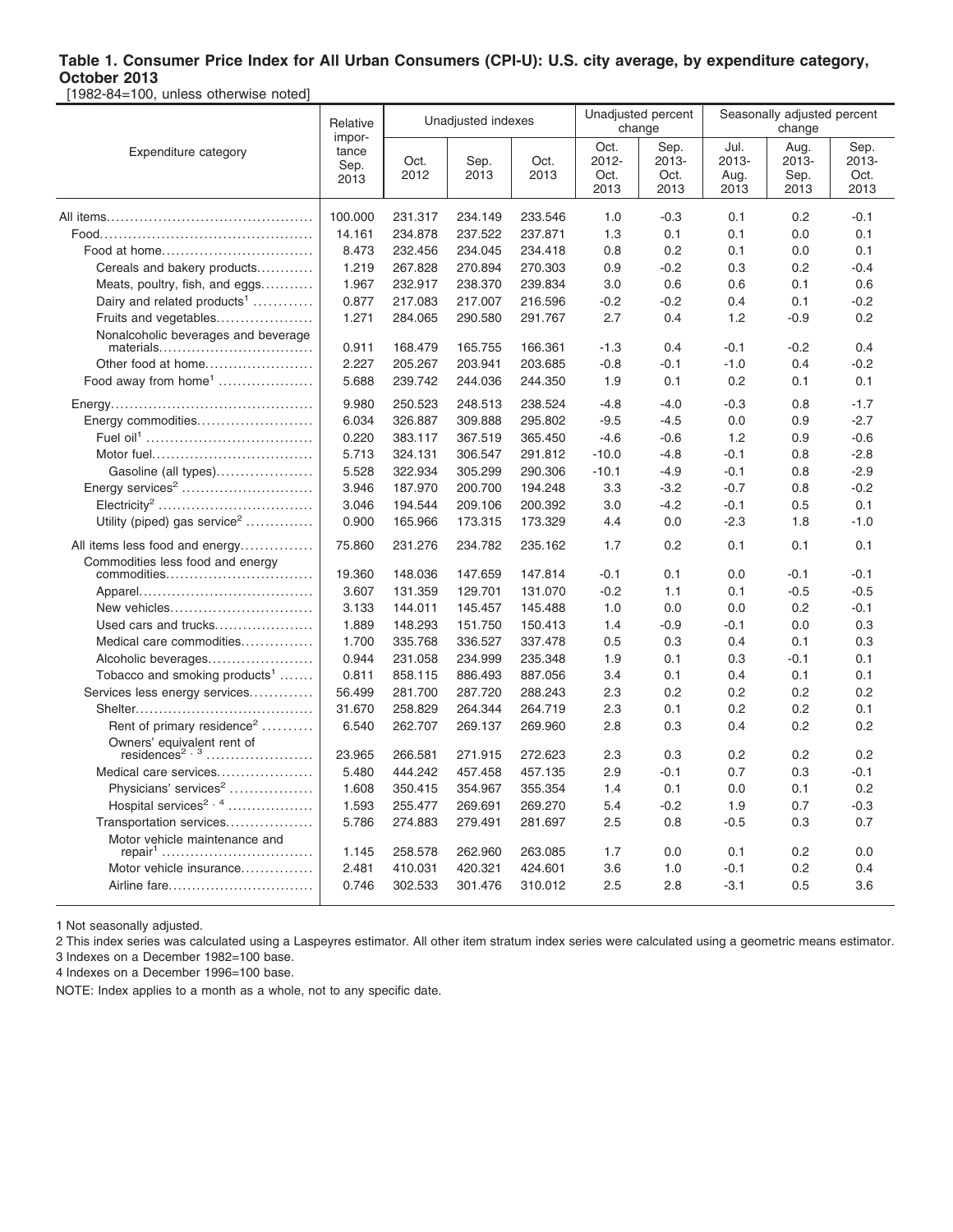#### **Table 1. Consumer Price Index for All Urban Consumers (CPI-U): U.S. city average, by expenditure category, October 2013**

[1982-84=100, unless otherwise noted]

|                                                          | Relative<br>impor-    |              | Unadjusted indexes |              |                               | Unadjusted percent<br>change  |                               | Seasonally adjusted percent<br>change |                               |
|----------------------------------------------------------|-----------------------|--------------|--------------------|--------------|-------------------------------|-------------------------------|-------------------------------|---------------------------------------|-------------------------------|
| Expenditure category                                     | tance<br>Sep.<br>2013 | Oct.<br>2012 | Sep.<br>2013       | Oct.<br>2013 | Oct.<br>2012-<br>Oct.<br>2013 | Sep.<br>2013-<br>Oct.<br>2013 | Jul.<br>2013-<br>Aug.<br>2013 | Aug.<br>2013-<br>Sep.<br>2013         | Sep.<br>2013-<br>Oct.<br>2013 |
|                                                          | 100,000               | 231.317      | 234.149            | 233.546      | 1.0                           | $-0.3$                        | 0.1                           | 0.2                                   | $-0.1$                        |
|                                                          | 14.161                | 234.878      | 237.522            | 237.871      | 1.3                           | 0.1                           | 0.1                           | 0.0                                   | 0.1                           |
|                                                          | 8.473                 | 232.456      | 234.045            | 234.418      | 0.8                           | 0.2                           | 0.1                           | 0.0                                   | 0.1                           |
| Cereals and bakery products                              | 1.219                 | 267.828      | 270.894            | 270.303      | 0.9                           | $-0.2$                        | 0.3                           | 0.2                                   | $-0.4$                        |
| Meats, poultry, fish, and eggs                           | 1.967                 | 232.917      | 238.370            | 239.834      | 3.0                           | 0.6                           | 0.6                           | 0.1                                   | 0.6                           |
| Dairy and related products <sup>1</sup>                  | 0.877                 | 217.083      | 217.007            | 216.596      | $-0.2$                        | $-0.2$                        | 0.4                           | 0.1                                   | $-0.2$                        |
| Fruits and vegetables                                    | 1.271                 | 284.065      | 290.580            | 291.767      | 2.7                           | 0.4                           | 1.2                           | $-0.9$                                | 0.2                           |
| Nonalcoholic beverages and beverage                      |                       |              |                    |              |                               |                               |                               |                                       |                               |
| materials                                                | 0.911                 | 168.479      | 165.755            | 166.361      | $-1.3$                        | 0.4                           | $-0.1$                        | $-0.2$                                | 0.4                           |
| Other food at home                                       | 2.227                 | 205.267      | 203.941            | 203.685      | $-0.8$                        | $-0.1$                        | $-1.0$                        | 0.4                                   | $-0.2$                        |
| Food away from home <sup>1</sup>                         | 5.688                 | 239.742      | 244.036            | 244.350      | 1.9                           | 0.1                           | 0.2                           | 0.1                                   | 0.1                           |
|                                                          | 9.980                 | 250.523      | 248.513            | 238.524      | $-4.8$                        | $-4.0$                        | $-0.3$                        | 0.8                                   | $-1.7$                        |
| Energy commodities                                       | 6.034                 | 326.887      | 309.888            | 295.802      | $-9.5$                        | $-4.5$                        | 0.0                           | 0.9                                   | $-2.7$                        |
|                                                          | 0.220                 | 383.117      | 367.519            | 365.450      | $-4.6$                        | $-0.6$                        | 1.2                           | 0.9                                   | $-0.6$                        |
| Motor fuel                                               | 5.713                 | 324.131      | 306.547            | 291.812      | $-10.0$                       | $-4.8$                        | $-0.1$                        | 0.8                                   | $-2.8$                        |
| Gasoline (all types)                                     | 5.528                 | 322.934      | 305.299            | 290.306      | $-10.1$                       | $-4.9$                        | $-0.1$                        | 0.8                                   | $-2.9$                        |
| Energy services <sup>2</sup>                             | 3.946                 | 187.970      | 200.700            | 194.248      | 3.3                           | $-3.2$                        | $-0.7$                        | 0.8                                   | $-0.2$                        |
|                                                          | 3.046                 | 194.544      | 209.106            | 200.392      | 3.0                           | $-4.2$                        | $-0.1$                        | 0.5                                   | 0.1                           |
| Utility (piped) gas service <sup>2</sup>                 | 0.900                 | 165.966      | 173.315            | 173.329      | 4.4                           | 0.0                           | $-2.3$                        | 1.8                                   | $-1.0$                        |
| All items less food and energy                           | 75.860                | 231.276      | 234.782            | 235.162      | 1.7                           | 0.2                           | 0.1                           | 0.1                                   | 0.1                           |
| Commodities less food and energy<br>commodities          | 19.360                | 148.036      | 147.659            | 147.814      | $-0.1$                        | 0.1                           | 0.0                           | $-0.1$                                | $-0.1$                        |
|                                                          | 3.607                 | 131.359      | 129.701            | 131.070      | $-0.2$                        | 1.1                           | 0.1                           | $-0.5$                                | $-0.5$                        |
| New vehicles                                             | 3.133                 | 144.011      | 145.457            | 145.488      | 1.0                           | 0.0                           | 0.0                           | 0.2                                   | $-0.1$                        |
| Used cars and trucks                                     | 1.889                 | 148.293      | 151.750            | 150.413      | 1.4                           | $-0.9$                        | $-0.1$                        | 0.0                                   | 0.3                           |
| Medical care commodities                                 | 1.700                 | 335.768      | 336.527            | 337.478      | 0.5                           | 0.3                           | 0.4                           | 0.1                                   | 0.3                           |
| Alcoholic beverages                                      | 0.944                 | 231.058      | 234.999            | 235.348      | 1.9                           | 0.1                           | 0.3                           | $-0.1$                                | 0.1                           |
| Tobacco and smoking products <sup>1</sup>                | 0.811                 | 858.115      | 886.493            | 887.056      | 3.4                           | 0.1                           | 0.4                           | 0.1                                   | 0.1                           |
| Services less energy services                            | 56.499                | 281.700      | 287.720            | 288.243      | 2.3                           | 0.2                           | 0.2                           | 0.2                                   | 0.2                           |
|                                                          | 31.670                | 258.829      | 264.344            | 264.719      | 2.3                           | 0.1                           | 0.2                           | 0.2                                   | 0.1                           |
| Rent of primary residence <sup>2</sup>                   | 6.540                 | 262.707      | 269.137            | 269.960      | 2.8                           | 0.3                           | 0.4                           | 0.2                                   | 0.2                           |
| Owners' equivalent rent of<br>residences <sup>2, 3</sup> | 23.965                | 266.581      | 271.915            | 272.623      | 2.3                           | 0.3                           | 0.2                           | 0.2                                   | 0.2                           |
| Medical care services                                    | 5.480                 | 444.242      | 457.458            | 457.135      | 2.9                           | $-0.1$                        | 0.7                           | 0.3                                   | $-0.1$                        |
| Physicians' services <sup>2</sup>                        | 1.608                 | 350.415      | 354.967            | 355.354      | 1.4                           | 0.1                           | 0.0                           | 0.1                                   | 0.2                           |
| Hospital services <sup>2, 4</sup>                        | 1.593                 | 255.477      | 269.691            | 269.270      | 5.4                           | $-0.2$                        | 1.9                           | 0.7                                   | $-0.3$                        |
| Transportation services                                  | 5.786                 | 274.883      | 279.491            | 281.697      | 2.5                           | 0.8                           | $-0.5$                        | 0.3                                   | 0.7                           |
| Motor vehicle maintenance and                            |                       |              |                    |              |                               |                               |                               |                                       |                               |
| repair <sup>1</sup>                                      | 1.145                 | 258.578      | 262.960            | 263.085      | 1.7                           | 0.0                           | 0.1                           | 0.2                                   | 0.0                           |
| Motor vehicle insurance                                  | 2.481                 | 410.031      | 420.321            | 424.601      | 3.6                           | 1.0                           | $-0.1$                        | 0.2                                   | 0.4                           |
| Airline fare                                             | 0.746                 | 302.533      | 301.476            | 310.012      | 2.5                           | 2.8                           | $-3.1$                        | 0.5                                   | 3.6                           |

1 Not seasonally adjusted.

2 This index series was calculated using a Laspeyres estimator. All other item stratum index series were calculated using a geometric means estimator. 3 Indexes on a December 1982=100 base.

4 Indexes on a December 1996=100 base.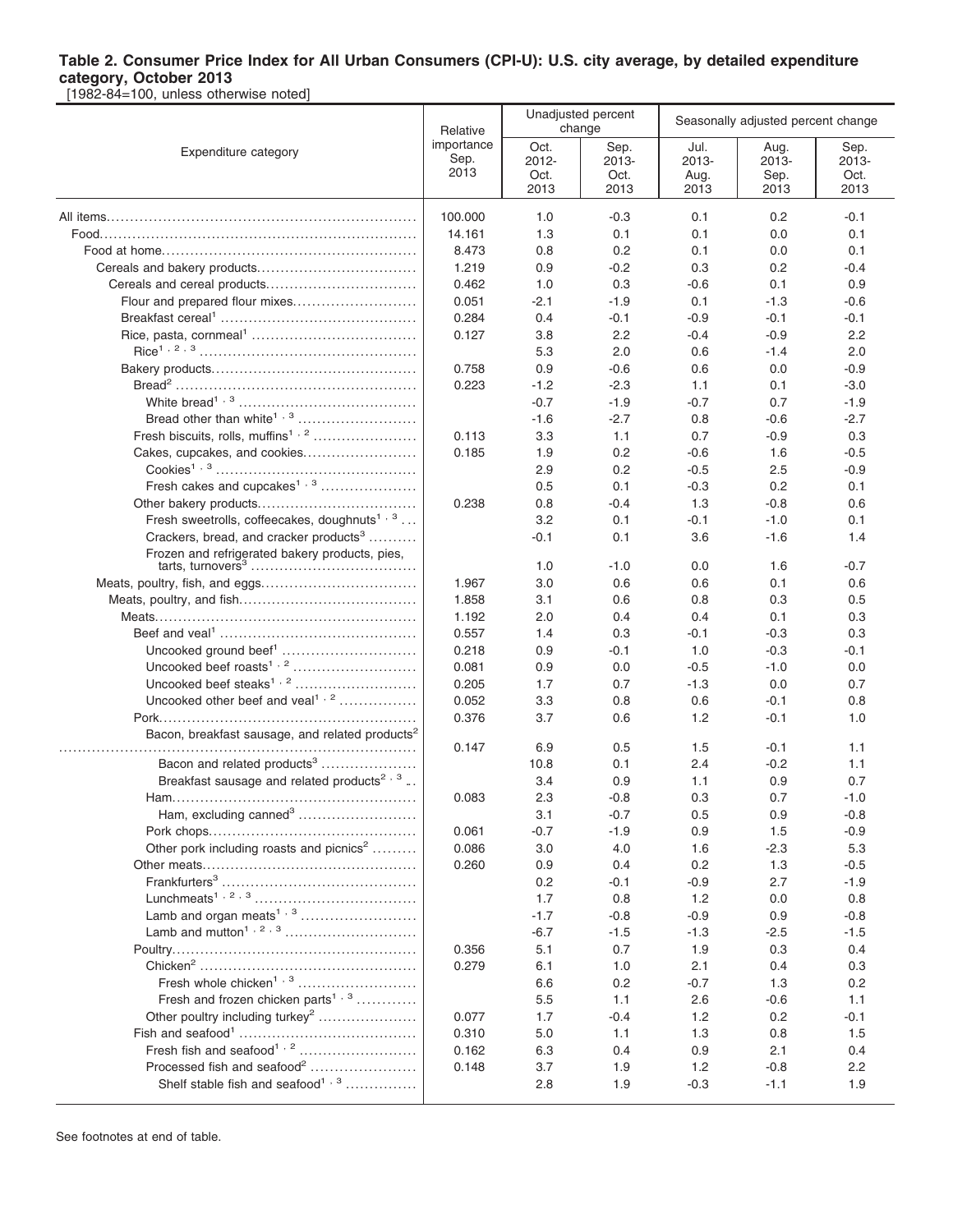|                                                             | Relative                   | Unadjusted percent<br>change  |                               | Seasonally adjusted percent change |                               |                               |
|-------------------------------------------------------------|----------------------------|-------------------------------|-------------------------------|------------------------------------|-------------------------------|-------------------------------|
| Expenditure category                                        | importance<br>Sep.<br>2013 | Oct.<br>2012-<br>Oct.<br>2013 | Sep.<br>2013-<br>Oct.<br>2013 | Jul.<br>2013-<br>Aug.<br>2013      | Aug.<br>2013-<br>Sep.<br>2013 | Sep.<br>2013-<br>Oct.<br>2013 |
|                                                             | 100.000                    | 1.0                           | $-0.3$                        | 0.1                                | 0.2                           | $-0.1$                        |
|                                                             | 14.161                     | 1.3                           | 0.1                           | 0.1                                | 0.0                           | 0.1                           |
|                                                             | 8.473                      | 0.8                           | 0.2                           | 0.1                                | 0.0                           | 0.1                           |
|                                                             | 1.219                      | 0.9                           | $-0.2$                        | 0.3                                | 0.2                           | $-0.4$                        |
|                                                             | 0.462                      | 1.0                           | 0.3                           | $-0.6$                             | 0.1                           | 0.9                           |
| Flour and prepared flour mixes                              | 0.051                      | $-2.1$                        | $-1.9$                        | 0.1                                | $-1.3$                        | $-0.6$                        |
|                                                             | 0.284                      | 0.4                           | $-0.1$                        | $-0.9$                             | $-0.1$                        | $-0.1$                        |
|                                                             | 0.127                      | 3.8                           | 2.2                           | $-0.4$                             | $-0.9$                        | 2.2                           |
|                                                             |                            | 5.3                           | 2.0                           | 0.6                                | $-1.4$                        | 2.0                           |
|                                                             | 0.758                      | 0.9                           | $-0.6$                        | 0.6                                | 0.0                           | $-0.9$                        |
|                                                             | 0.223                      | $-1.2$                        | $-2.3$                        | 1.1                                | 0.1                           | $-3.0$                        |
|                                                             |                            | $-0.7$                        | $-1.9$                        | $-0.7$                             | 0.7                           | $-1.9$                        |
|                                                             |                            | -1.6                          | $-2.7$                        | 0.8                                | $-0.6$                        | $-2.7$                        |
| Fresh biscuits, rolls, muffins <sup>1, 2</sup>              | 0.113                      | 3.3                           | 1.1                           | 0.7                                | $-0.9$                        | 0.3                           |
| Cakes, cupcakes, and cookies                                | 0.185                      | 1.9                           | 0.2                           | $-0.6$                             | 1.6                           | $-0.5$                        |
|                                                             |                            | 2.9                           | 0.2                           | $-0.5$                             | 2.5                           | $-0.9$                        |
| Fresh cakes and cupcakes <sup>1, 3</sup>                    |                            | 0.5                           | 0.1                           | $-0.3$                             | 0.2                           | 0.1                           |
|                                                             | 0.238                      | 0.8                           | $-0.4$                        | 1.3                                | $-0.8$                        | 0.6                           |
| Fresh sweetrolls, coffeecakes, doughnuts <sup>1, 3</sup>    |                            | 3.2                           | 0.1                           | $-0.1$                             | $-1.0$                        | 0.1                           |
| Crackers, bread, and cracker products <sup>3</sup>          |                            | $-0.1$                        | 0.1                           | 3.6                                | $-1.6$                        | 1.4                           |
| Frozen and refrigerated bakery products, pies,              |                            |                               |                               |                                    |                               |                               |
|                                                             |                            | 1.0                           | $-1.0$                        | 0.0                                | 1.6                           | $-0.7$                        |
|                                                             | 1.967                      | 3.0                           | 0.6                           | 0.6                                | 0.1                           | 0.6                           |
|                                                             | 1.858                      | 3.1                           | 0.6                           | 0.8                                | 0.3                           | 0.5                           |
|                                                             | 1.192                      | 2.0                           | 0.4                           | 0.4                                | 0.1                           | 0.3                           |
|                                                             | 0.557                      | 1.4                           | 0.3                           | $-0.1$                             | $-0.3$                        | 0.3                           |
|                                                             | 0.218                      | 0.9                           | $-0.1$                        | 1.0                                | $-0.3$                        | $-0.1$                        |
| Uncooked beef roasts <sup>1, 2</sup>                        | 0.081                      | 0.9                           | 0.0                           | $-0.5$                             | $-1.0$                        | 0.0                           |
|                                                             | 0.205                      | 1.7                           | 0.7                           | $-1.3$                             | 0.0                           | 0.7                           |
| Uncooked other beef and veal <sup>1, 2</sup>                | 0.052                      | 3.3                           | 0.8                           | 0.6                                | $-0.1$                        | 0.8                           |
|                                                             | 0.376                      | 3.7                           | 0.6                           | 1.2                                | $-0.1$                        | 1.0                           |
| Bacon, breakfast sausage, and related products <sup>2</sup> |                            |                               |                               |                                    |                               |                               |
|                                                             | 0.147                      | 6.9                           | 0.5                           | 1.5                                | $-0.1$                        | 1.1                           |
| Bacon and related products <sup>3</sup>                     |                            | 10.8                          | 0.1                           | 2.4                                | $-0.2$                        | 1.1                           |
| Breakfast sausage and related products <sup>2, 3</sup> .    |                            | 3.4                           | 0.9                           | 1.1                                | 0.9                           | 0.7                           |
|                                                             | 0.083                      | 2.3                           | $-0.8$                        | 0.3                                | 0.7                           | $-1.0$                        |
| Ham, excluding canned <sup>3</sup>                          |                            | 3.1                           | $-0.7$                        | 0.5                                | 0.9                           | $-0.8$                        |
|                                                             | 0.061                      | $-0.7$                        | $-1.9$                        | 0.9                                | 1.5                           | $-0.9$                        |
| Other pork including roasts and picnics <sup>2</sup>        | 0.086                      | 3.0                           | 4.0                           | 1.6                                | $-2.3$                        | 5.3                           |
|                                                             | 0.260                      | 0.9                           | 0.4                           | 0.2                                | 1.3                           | $-0.5$                        |
|                                                             |                            | 0.2                           | $-0.1$                        | $-0.9$                             | 2.7                           | $-1.9$                        |
|                                                             |                            | 1.7                           | 0.8                           | 1.2                                | 0.0                           | 0.8                           |
|                                                             |                            | $-1.7$                        | $-0.8$                        | $-0.9$                             | 0.9                           | $-0.8$                        |
|                                                             |                            | $-6.7$                        | $-1.5$                        | $-1.3$                             | $-2.5$                        | $-1.5$                        |
|                                                             | 0.356                      | 5.1                           | 0.7                           | 1.9                                | 0.3                           | 0.4                           |
|                                                             | 0.279                      | 6.1                           | 1.0                           | 2.1                                | 0.4                           | 0.3                           |
| Fresh whole chicken <sup>1, 3</sup>                         |                            | 6.6                           | 0.2                           | $-0.7$                             | 1.3                           | 0.2                           |
| Fresh and frozen chicken parts <sup>1, 3</sup>              |                            | 5.5                           | 1.1                           | 2.6                                | $-0.6$                        | 1.1                           |
| Other poultry including turkey <sup>2</sup>                 | 0.077                      | 1.7                           | $-0.4$                        | 1.2                                | 0.2                           | $-0.1$                        |
|                                                             | 0.310                      | 5.0                           | 1.1                           | 1.3                                | 0.8                           | 1.5                           |
|                                                             | 0.162                      | 6.3                           | 0.4                           | 0.9                                | 2.1                           | 0.4                           |
| Processed fish and seafood <sup>2</sup>                     | 0.148                      | 3.7                           | 1.9                           | 1.2                                | $-0.8$                        | 2.2                           |
| Shelf stable fish and seafood <sup>1, 3</sup>               |                            | 2.8                           | 1.9                           | $-0.3$                             | $-1.1$                        | 1.9                           |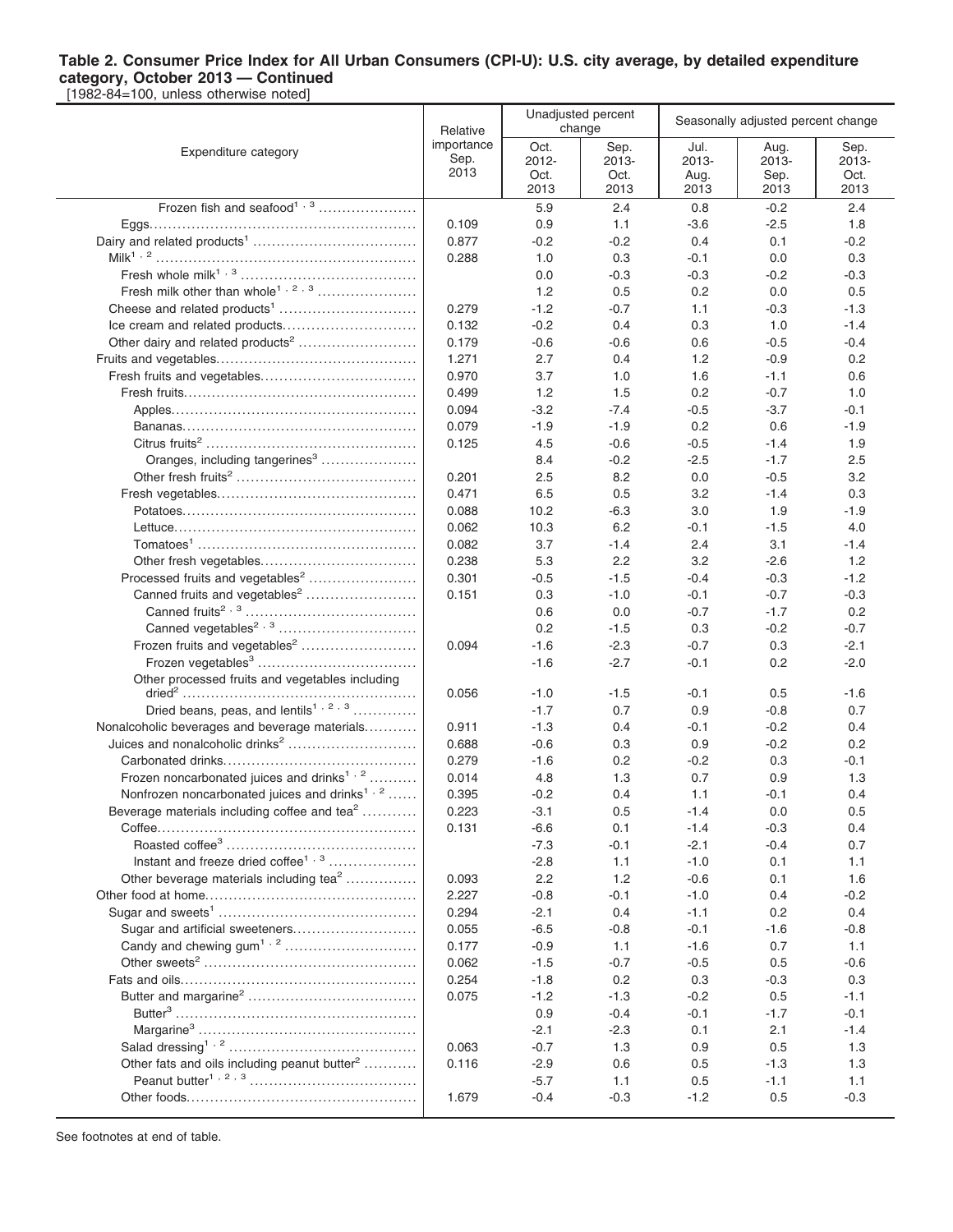[1982-84=100, unless otherwise noted]

|                                                           | Relative                   | Unadjusted percent<br>change  |                               | Seasonally adjusted percent change |                               |                               |
|-----------------------------------------------------------|----------------------------|-------------------------------|-------------------------------|------------------------------------|-------------------------------|-------------------------------|
| Expenditure category                                      | importance<br>Sep.<br>2013 | Oct.<br>2012-<br>Oct.<br>2013 | Sep.<br>2013-<br>Oct.<br>2013 | Jul.<br>2013-<br>Aug.<br>2013      | Aug.<br>2013-<br>Sep.<br>2013 | Sep.<br>2013-<br>Oct.<br>2013 |
| Frozen fish and seafood <sup>1, 3</sup>                   |                            | 5.9                           |                               |                                    |                               | 2.4                           |
|                                                           | 0.109                      | 0.9                           | 2.4<br>1.1                    | 0.8<br>$-3.6$                      | $-0.2$<br>$-2.5$              | 1.8                           |
|                                                           | 0.877                      | $-0.2$                        | $-0.2$                        | 0.4                                | 0.1                           | $-0.2$                        |
|                                                           | 0.288                      | 1.0                           | 0.3                           | $-0.1$                             | 0.0                           | 0.3                           |
|                                                           |                            | 0.0                           | -0.3                          | $-0.3$                             | $-0.2$                        | $-0.3$                        |
| Fresh milk other than whole <sup>1, 2, 3</sup>            |                            | 1.2                           | 0.5                           | 0.2                                | 0.0                           | 0.5                           |
|                                                           | 0.279                      | $-1.2$                        | $-0.7$                        | 1.1                                | $-0.3$                        | $-1.3$                        |
|                                                           | 0.132                      | $-0.2$                        | 0.4                           | 0.3                                | 1.0                           | $-1.4$                        |
|                                                           | 0.179                      | $-0.6$                        | $-0.6$                        | 0.6                                | $-0.5$                        | $-0.4$                        |
|                                                           | 1.271                      | 2.7                           | 0.4                           | 1.2                                | $-0.9$                        | 0.2                           |
|                                                           | 0.970                      | 3.7                           | 1.0                           | 1.6                                | $-1.1$                        | 0.6                           |
|                                                           | 0.499                      | 1.2                           | 1.5                           | 0.2                                | $-0.7$                        | 1.0                           |
|                                                           | 0.094                      | $-3.2$                        | $-7.4$                        | -0.5                               | $-3.7$                        | $-0.1$                        |
|                                                           | 0.079                      | $-1.9$                        | $-1.9$                        | 0.2                                | 0.6                           | $-1.9$                        |
|                                                           | 0.125                      | 4.5                           | $-0.6$                        | $-0.5$                             | $-1.4$                        | 1.9                           |
| Oranges, including tangerines <sup>3</sup>                |                            | 8.4                           | $-0.2$                        | $-2.5$                             | $-1.7$                        | 2.5                           |
|                                                           | 0.201                      | 2.5                           | 8.2                           | 0.0                                | $-0.5$                        | 3.2                           |
|                                                           | 0.471                      | 6.5                           | 0.5                           | 3.2                                | $-1.4$                        | 0.3                           |
|                                                           | 0.088                      | 10.2                          | -6.3                          | 3.0                                | 1.9                           | -1.9                          |
|                                                           | 0.062                      | 10.3                          | 6.2                           | $-0.1$                             | $-1.5$                        | 4.0                           |
|                                                           | 0.082                      | 3.7                           | $-1.4$                        | 2.4                                | 3.1                           | $-1.4$                        |
|                                                           | 0.238                      | 5.3                           | 2.2                           | 3.2                                | $-2.6$                        | 1.2                           |
| Processed fruits and vegetables <sup>2</sup>              | 0.301                      | $-0.5$                        | $-1.5$                        | $-0.4$                             | $-0.3$                        | $-1.2$                        |
| Canned fruits and vegetables <sup>2</sup>                 | 0.151                      | 0.3                           | $-1.0$                        | $-0.1$                             | $-0.7$                        | $-0.3$                        |
|                                                           |                            | 0.6                           | 0.0                           | $-0.7$                             | $-1.7$                        | 0.2                           |
|                                                           |                            | 0.2                           | $-1.5$                        | 0.3                                | $-0.2$                        | $-0.7$                        |
|                                                           | 0.094                      | $-1.6$                        | $-2.3$                        | $-0.7$                             | 0.3                           | $-2.1$                        |
| Frozen fruits and vegetables <sup>2</sup>                 |                            | $-1.6$                        | $-2.7$                        | -0.1                               | 0.2                           | $-2.0$                        |
| Other processed fruits and vegetables including           |                            |                               |                               |                                    |                               |                               |
|                                                           | 0.056                      | $-1.0$                        | $-1.5$                        | -0.1                               | 0.5                           | $-1.6$                        |
| Dried beans, peas, and lentils <sup>1, 2, 3</sup>         |                            | $-1.7$                        | 0.7                           | 0.9                                | $-0.8$                        | 0.7                           |
| Nonalcoholic beverages and beverage materials             | 0.911                      | $-1.3$                        | 0.4                           | $-0.1$                             | $-0.2$                        | 0.4                           |
| Juices and nonalcoholic drinks <sup>2</sup>               | 0.688                      | $-0.6$                        | 0.3                           | 0.9                                | $-0.2$                        | 0.2                           |
|                                                           | 0.279                      | $-1.6$                        | 0.2                           | -0.2                               | 0.3                           | -0.1                          |
| Frozen noncarbonated juices and drinks <sup>1,2</sup>     | 0.014                      | 4.8                           | 1.3                           | 0.7                                | 0.9                           | 1.3                           |
| Nonfrozen noncarbonated juices and drinks <sup>1, 2</sup> | 0.395                      | $-0.2$                        | 0.4                           | 1.1                                | $-0.1$                        | 0.4                           |
| Beverage materials including coffee and tea <sup>2</sup>  | 0.223                      | -3.1                          | 0.5                           | -1.4                               | 0.0                           | 0.5                           |
|                                                           | 0.131                      | $-6.6$                        | 0.1                           | $-1.4$                             | -0.3                          | 0.4                           |
|                                                           |                            | $-7.3$                        | $-0.1$                        | $-2.1$                             | $-0.4$                        | 0.7                           |
| Instant and freeze dried coffee <sup>1, 3</sup>           |                            | $-2.8$                        | 1.1                           | $-1.0$                             | 0.1                           | 1.1                           |
| Other beverage materials including tea <sup>2</sup>       | 0.093                      | 2.2                           | 1.2                           | $-0.6$                             | 0.1                           | 1.6                           |
|                                                           | 2.227                      | $-0.8$                        | $-0.1$                        | $-1.0$                             | 0.4                           | $-0.2$                        |
|                                                           | 0.294                      | $-2.1$                        | 0.4                           | $-1.1$                             | 0.2                           | 0.4                           |
| Sugar and artificial sweeteners                           | 0.055                      | $-6.5$                        | $-0.8$                        | $-0.1$                             | $-1.6$                        | $-0.8$                        |
|                                                           | 0.177                      | $-0.9$                        | 1.1                           | $-1.6$                             | 0.7                           | 1.1                           |
|                                                           | 0.062                      | $-1.5$                        | $-0.7$                        | $-0.5$                             | 0.5                           | $-0.6$                        |
|                                                           | 0.254                      | $-1.8$                        | 0.2                           | 0.3                                | -0.3                          | 0.3                           |
|                                                           | 0.075                      | $-1.2$                        | $-1.3$                        | $-0.2$                             | 0.5                           | $-1.1$                        |
|                                                           |                            | 0.9                           | $-0.4$                        | $-0.1$                             | $-1.7$                        | $-0.1$                        |
|                                                           |                            | $-2.1$                        | $-2.3$                        | 0.1                                | 2.1                           | $-1.4$                        |
|                                                           | 0.063                      | $-0.7$                        | 1.3                           | 0.9                                | 0.5                           | 1.3                           |
| Other fats and oils including peanut butter <sup>2</sup>  | 0.116                      | $-2.9$                        | 0.6                           | 0.5                                | $-1.3$                        | 1.3                           |
|                                                           |                            | $-5.7$                        | 1.1                           | 0.5                                | $-1.1$                        | 1.1                           |
|                                                           | 1.679                      | $-0.4$                        | $-0.3$                        | $-1.2$                             | 0.5                           | $-0.3$                        |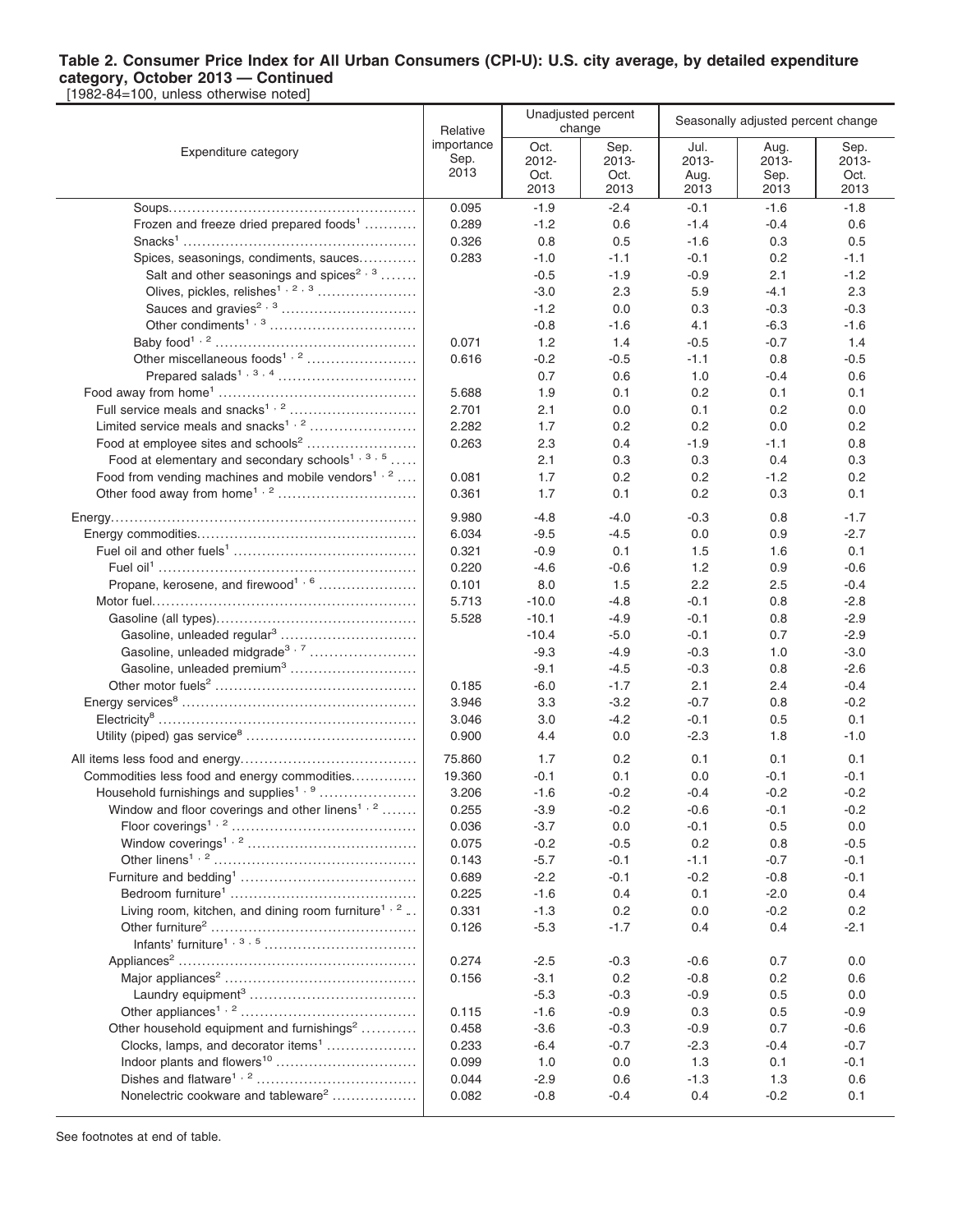[1982-84=100, unless otherwise noted]

|                                                                 | Relative                   | Unadjusted percent<br>change |                       | Seasonally adjusted percent change |                       |                       |
|-----------------------------------------------------------------|----------------------------|------------------------------|-----------------------|------------------------------------|-----------------------|-----------------------|
| Expenditure category                                            | importance<br>Sep.<br>2013 | Oct.<br>2012-<br>Oct.        | Sep.<br>2013-<br>Oct. | Jul.<br>2013-<br>Aug.              | Aug.<br>2013-<br>Sep. | Sep.<br>2013-<br>Oct. |
|                                                                 |                            | 2013                         | 2013                  | 2013                               | 2013                  | 2013                  |
|                                                                 | 0.095                      | $-1.9$                       | $-2.4$                | $-0.1$                             | $-1.6$                | $-1.8$                |
| Frozen and freeze dried prepared foods <sup>1</sup>             | 0.289                      | $-1.2$                       | 0.6                   | $-1.4$                             | $-0.4$                | 0.6                   |
|                                                                 | 0.326                      | 0.8                          | 0.5                   | $-1.6$                             | 0.3                   | 0.5                   |
| Spices, seasonings, condiments, sauces                          | 0.283                      | $-1.0$                       | $-1.1$                | $-0.1$                             | 0.2                   | $-1.1$                |
| Salt and other seasonings and spices <sup>2, 3</sup>            |                            | $-0.5$                       | $-1.9$                | $-0.9$                             | 2.1                   | $-1.2$                |
| Olives, pickles, relishes <sup>1, 2, 3</sup>                    |                            | $-3.0$                       | 2.3                   | 5.9                                | $-4.1$                | 2.3                   |
|                                                                 |                            | $-1.2$                       | 0.0                   | 0.3                                | $-0.3$                | $-0.3$                |
|                                                                 |                            | $-0.8$                       | $-1.6$                | 4.1                                | $-6.3$                | $-1.6$                |
|                                                                 | 0.071                      | 1.2                          | 1.4                   | $-0.5$                             | -0.7                  | 1.4                   |
| Other miscellaneous foods <sup>1, 2</sup>                       | 0.616                      | $-0.2$                       | $-0.5$                | $-1.1$                             | 0.8                   | $-0.5$                |
|                                                                 |                            | 0.7                          | 0.6                   | 1.0                                | $-0.4$                | 0.6                   |
|                                                                 | 5.688                      | 1.9                          | 0.1                   | 0.2                                | 0.1                   | 0.1                   |
|                                                                 | 2.701                      | 2.1                          | 0.0                   | 0.1                                | 0.2                   | 0.0                   |
| Limited service meals and snacks <sup>1, 2</sup>                | 2.282                      | 1.7                          | 0.2                   | 0.2                                | 0.0                   | 0.2                   |
| Food at employee sites and schools <sup>2</sup>                 | 0.263                      | 2.3                          | 0.4                   | $-1.9$                             | $-1.1$                | 0.8                   |
| Food at elementary and secondary schools <sup>1, 3, 5</sup>     |                            | 2.1                          | 0.3                   | 0.3                                | 0.4                   | 0.3                   |
| Food from vending machines and mobile vendors <sup>1, 2</sup>   | 0.081                      | 1.7                          | 0.2                   | 0.2                                | $-1.2$                | 0.2                   |
|                                                                 | 0.361                      | 1.7                          | 0.1                   | 0.2                                | 0.3                   | 0.1                   |
|                                                                 | 9.980                      | $-4.8$                       | $-4.0$                | $-0.3$                             | 0.8                   | $-1.7$                |
|                                                                 | 6.034                      | $-9.5$                       | $-4.5$                | 0.0                                | 0.9                   | $-2.7$                |
|                                                                 | 0.321                      | $-0.9$                       | 0.1                   | 1.5                                | 1.6                   | 0.1                   |
|                                                                 | 0.220                      | $-4.6$                       | $-0.6$                | 1.2                                | 0.9                   | $-0.6$                |
| Propane, kerosene, and firewood <sup>1, 6</sup>                 | 0.101                      | 8.0                          | 1.5                   | 2.2                                | 2.5                   | $-0.4$                |
|                                                                 | 5.713                      | $-10.0$                      | $-4.8$                | $-0.1$                             | 0.8                   | $-2.8$                |
|                                                                 | 5.528                      | $-10.1$                      | $-4.9$                | $-0.1$                             | 0.8                   | $-2.9$                |
|                                                                 |                            | $-10.4$                      | $-5.0$                | $-0.1$                             | 0.7                   | $-2.9$                |
| Gasoline, unleaded midgrade <sup>3,7</sup>                      |                            | $-9.3$                       | $-4.9$                | $-0.3$                             | 1.0                   | $-3.0$                |
| Gasoline, unleaded premium <sup>3</sup>                         |                            | $-9.1$                       | $-4.5$                | $-0.3$                             | 0.8                   | $-2.6$                |
|                                                                 | 0.185                      | -6.0                         | $-1.7$                | 2.1                                | 2.4                   | $-0.4$                |
|                                                                 | 3.946                      | 3.3                          | $-3.2$                | $-0.7$                             | 0.8                   | $-0.2$                |
|                                                                 | 3.046<br>0.900             | 3.0                          | $-4.2$                | $-0.1$                             | 0.5                   | 0.1                   |
|                                                                 |                            | 4.4                          | 0.0                   | $-2.3$                             | 1.8                   | $-1.0$                |
|                                                                 | 75.860                     | 1.7                          | 0.2                   | 0.1                                | 0.1                   | 0.1                   |
| Commodities less food and energy commodities                    | 19.360                     | $-0.1$                       | 0.1                   | 0.0                                | $-0.1$                | $-0.1$                |
| Household furnishings and supplies <sup>1, 9</sup>              | 3.206                      | $-1.6$                       | $-0.2$                | $-0.4$                             | $-0.2$                | $-0.2$                |
| Window and floor coverings and other linens <sup>1, 2</sup>     | 0.255                      | $-3.9$                       | $-0.2$                | $-0.6$                             | $-0.1$                | $-0.2$                |
|                                                                 | 0.036                      | $-3.7$                       | 0.0                   | $-0.1$                             | 0.5                   | 0.0                   |
|                                                                 | 0.075                      | $-0.2$                       | $-0.5$                | 0.2                                | 0.8                   | $-0.5$                |
|                                                                 | 0.143                      | $-5.7$                       | $-0.1$                | $-1.1$                             | $-0.7$                | $-0.1$                |
|                                                                 | 0.689                      | $-2.2$                       | $-0.1$                | $-0.2$                             | $-0.8$                | $-0.1$                |
|                                                                 | 0.225                      | $-1.6$                       | 0.4                   | 0.1                                | $-2.0$                | 0.4                   |
| Living room, kitchen, and dining room furniture <sup>1, 2</sup> | 0.331                      | $-1.3$                       | 0.2                   | 0.0                                | $-0.2$                | 0.2                   |
|                                                                 | 0.126                      | $-5.3$                       | $-1.7$                | 0.4                                | 0.4                   | $-2.1$                |
|                                                                 | 0.274                      | $-2.5$                       | $-0.3$                | $-0.6$                             | 0.7                   | 0.0                   |
|                                                                 | 0.156                      | $-3.1$                       | 0.2                   | $-0.8$                             | 0.2                   | 0.6                   |
|                                                                 |                            | $-5.3$                       | $-0.3$                | $-0.9$                             | 0.5                   | 0.0                   |
|                                                                 | 0.115                      | $-1.6$                       | $-0.9$                | 0.3                                | 0.5                   | $-0.9$                |
| Other household equipment and furnishings <sup>2</sup>          | 0.458                      | $-3.6$                       | $-0.3$                | $-0.9$                             | 0.7                   | $-0.6$                |
| Clocks, lamps, and decorator items <sup>1</sup>                 | 0.233                      | $-6.4$                       | $-0.7$                | $-2.3$                             | $-0.4$                | $-0.7$                |
| Indoor plants and flowers <sup>10</sup>                         | 0.099                      | 1.0                          | 0.0                   | 1.3                                | 0.1                   | $-0.1$                |
|                                                                 | 0.044                      | $-2.9$                       | 0.6                   | $-1.3$                             | 1.3                   | 0.6                   |
| Nonelectric cookware and tableware <sup>2</sup>                 | 0.082                      | $-0.8$                       | $-0.4$                | 0.4                                | $-0.2$                | 0.1                   |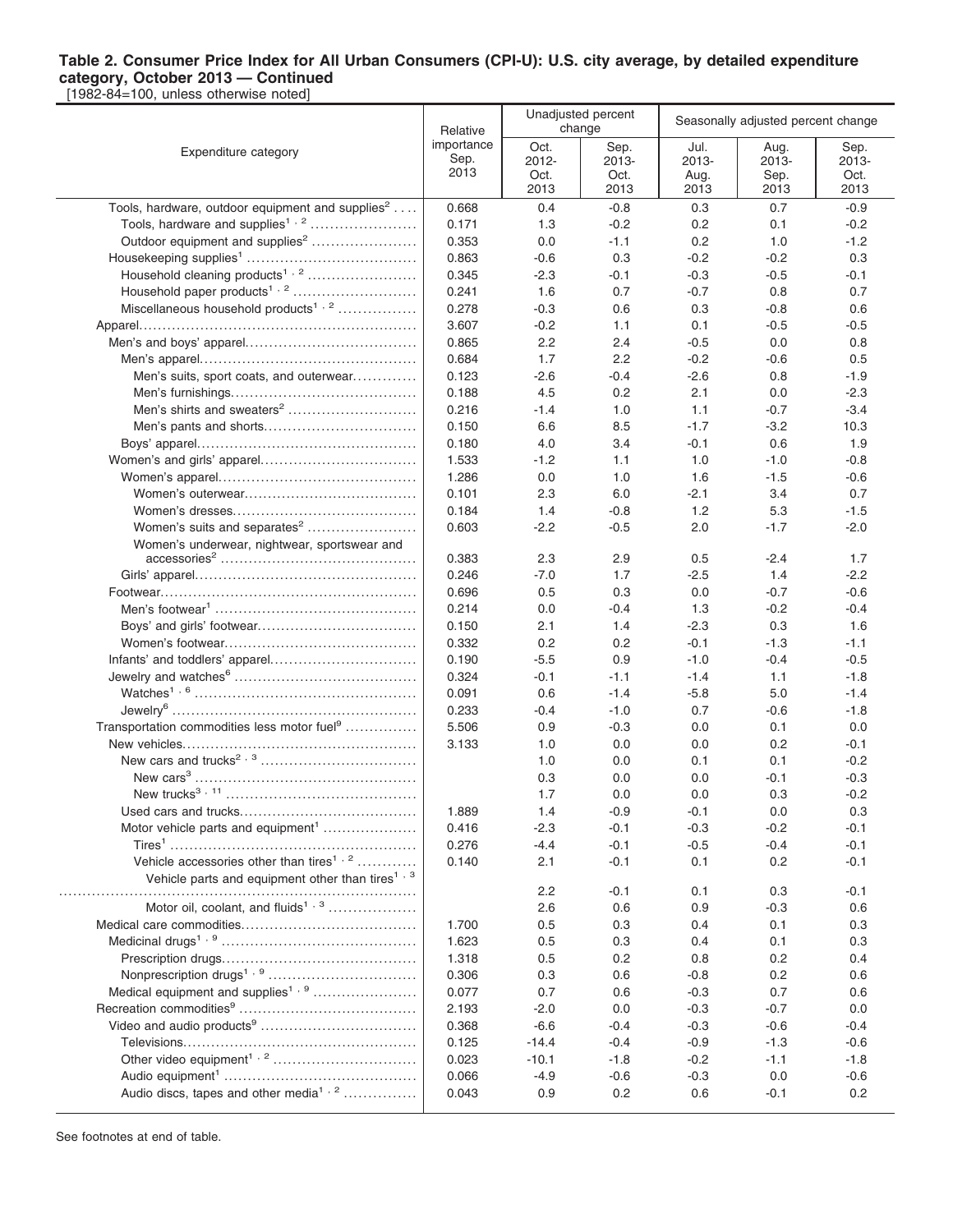[1982-84=100, unless otherwise noted]

|                                                              | Relative                   |                               | Unadjusted percent<br>change  | Seasonally adjusted percent change |                               |                               |
|--------------------------------------------------------------|----------------------------|-------------------------------|-------------------------------|------------------------------------|-------------------------------|-------------------------------|
| Expenditure category                                         | importance<br>Sep.<br>2013 | Oct.<br>2012-<br>Oct.<br>2013 | Sep.<br>2013-<br>Oct.<br>2013 | Jul.<br>2013-<br>Aug.<br>2013      | Aug.<br>2013-<br>Sep.<br>2013 | Sep.<br>2013-<br>Oct.<br>2013 |
|                                                              |                            |                               |                               |                                    |                               |                               |
| Tools, hardware, outdoor equipment and supplies <sup>2</sup> | 0.668                      | 0.4                           | $-0.8$                        | 0.3                                | 0.7                           | $-0.9$                        |
| Tools, hardware and supplies <sup>1, 2</sup>                 | 0.171                      | 1.3                           | $-0.2$                        | 0.2                                | 0.1                           | $-0.2$                        |
| Outdoor equipment and supplies <sup>2</sup>                  | 0.353                      | 0.0                           | $-1.1$                        | 0.2                                | 1.0                           | $-1.2$                        |
|                                                              | 0.863                      | $-0.6$                        | 0.3                           | $-0.2$                             | $-0.2$                        | 0.3                           |
|                                                              | 0.345                      | $-2.3$                        | $-0.1$                        | $-0.3$                             | $-0.5$                        | $-0.1$                        |
|                                                              | 0.241                      | 1.6                           | 0.7                           | $-0.7$                             | 0.8                           | 0.7                           |
| Miscellaneous household products <sup>1, 2</sup>             | 0.278                      | $-0.3$                        | 0.6                           | 0.3                                | $-0.8$                        | 0.6                           |
|                                                              | 3.607                      | $-0.2$                        | 1.1                           | 0.1                                | $-0.5$                        | $-0.5$                        |
|                                                              | 0.865                      | 2.2                           | 2.4                           | $-0.5$                             | 0.0                           | 0.8                           |
|                                                              | 0.684                      | 1.7                           | 2.2                           | $-0.2$                             | $-0.6$                        | 0.5                           |
| Men's suits, sport coats, and outerwear                      | 0.123                      | $-2.6$                        | $-0.4$                        | $-2.6$                             | 0.8                           | $-1.9$                        |
|                                                              | 0.188                      | 4.5                           | 0.2                           | 2.1                                | 0.0                           | $-2.3$                        |
| Men's shirts and sweaters <sup>2</sup>                       | 0.216                      | $-1.4$                        | 1.0                           | 1.1                                | $-0.7$                        | $-3.4$                        |
| Men's pants and shorts                                       | 0.150                      | 6.6                           | 8.5                           | $-1.7$                             | $-3.2$                        | 10.3                          |
|                                                              | 0.180                      | 4.0                           | 3.4                           | $-0.1$                             | 0.6                           | 1.9                           |
|                                                              | 1.533                      | $-1.2$                        | 1.1                           | 1.0                                | $-1.0$                        | $-0.8$                        |
|                                                              | 1.286                      | 0.0                           | 1.0                           | 1.6                                | $-1.5$                        | $-0.6$                        |
|                                                              | 0.101                      | 2.3                           | 6.0                           | -2.1                               | 3.4                           | 0.7                           |
|                                                              | 0.184                      | 1.4                           | $-0.8$                        | 1.2                                | 5.3                           | $-1.5$                        |
| Women's suits and separates <sup>2</sup>                     | 0.603                      | $-2.2$                        | $-0.5$                        | 2.0                                | $-1.7$                        | $-2.0$                        |
| Women's underwear, nightwear, sportswear and                 |                            |                               |                               |                                    |                               |                               |
|                                                              | 0.383                      | 2.3                           | 2.9                           | 0.5                                | $-2.4$                        | 1.7                           |
|                                                              | 0.246                      | $-7.0$                        | 1.7                           | $-2.5$                             | 1.4                           | $-2.2$                        |
|                                                              | 0.696                      | 0.5                           | 0.3                           | 0.0                                | $-0.7$                        | $-0.6$                        |
|                                                              | 0.214                      | 0.0                           | $-0.4$                        | 1.3                                | $-0.2$                        | $-0.4$                        |
|                                                              | 0.150                      | 2.1                           | 1.4                           | $-2.3$                             | 0.3                           | 1.6                           |
|                                                              | 0.332                      | 0.2                           | 0.2                           | $-0.1$                             | $-1.3$                        | $-1.1$                        |
|                                                              | 0.190                      | $-5.5$                        | 0.9                           | $-1.0$                             | $-0.4$                        | $-0.5$<br>$-1.8$              |
|                                                              | 0.324                      | $-0.1$                        | $-1.1$                        | $-1.4$                             | 1.1                           |                               |
|                                                              | 0.091                      | 0.6                           | $-1.4$                        | $-5.8$                             | 5.0                           | $-1.4$                        |
| Transportation commodities less motor fuel <sup>9</sup>      | 0.233                      | $-0.4$                        | $-1.0$                        | 0.7                                | $-0.6$                        | $-1.8$                        |
|                                                              | 5.506                      | 0.9                           | $-0.3$                        | 0.0                                | 0.1                           | 0.0                           |
|                                                              | 3.133                      | 1.0                           | 0.0                           | 0.0                                | 0.2                           | $-0.1$                        |
|                                                              |                            | 1.0<br>0.3                    | 0.0<br>0.0                    | 0.1<br>0.0                         | 0.1<br>$-0.1$                 | $-0.2$<br>$-0.3$              |
|                                                              |                            | 1.7                           | 0.0                           | 0.0                                | 0.3                           | $-0.2$                        |
|                                                              | 1.889                      |                               |                               |                                    |                               |                               |
| Motor vehicle parts and equipment <sup>1</sup>               | 0.416                      | 1.4<br>$-2.3$                 | $-0.9$<br>$-0.1$              | $-0.1$<br>$-0.3$                   | 0.0<br>$-0.2$                 | 0.3<br>$-0.1$                 |
|                                                              | 0.276                      | $-4.4$                        | $-0.1$                        | $-0.5$                             | $-0.4$                        | $-0.1$                        |
| Vehicle accessories other than tires <sup>1, 2</sup>         | 0.140                      | 2.1                           | $-0.1$                        | 0.1                                | 0.2                           | $-0.1$                        |
| Vehicle parts and equipment other than tires <sup>1,3</sup>  |                            |                               |                               |                                    |                               |                               |
|                                                              |                            | 2.2                           | $-0.1$                        | 0.1                                | 0.3                           | $-0.1$                        |
| Motor oil, coolant, and fluids <sup>1, 3</sup>               |                            | 2.6                           | 0.6                           | 0.9                                | $-0.3$                        | 0.6                           |
|                                                              | 1.700                      | 0.5                           | 0.3                           | 0.4                                | 0.1                           | 0.3                           |
|                                                              | 1.623                      | 0.5                           | 0.3                           | 0.4                                | 0.1                           | 0.3                           |
|                                                              | 1.318                      | 0.5                           | 0.2                           | 0.8                                | 0.2                           | 0.4                           |
|                                                              | 0.306                      | 0.3                           | 0.6                           | $-0.8$                             | 0.2                           | 0.6                           |
| Medical equipment and supplies <sup>1, 9</sup>               | 0.077                      | 0.7                           | 0.6                           | $-0.3$                             | 0.7                           | 0.6                           |
|                                                              | 2.193                      | $-2.0$                        | 0.0                           | $-0.3$                             | $-0.7$                        | 0.0                           |
|                                                              | 0.368                      | $-6.6$                        | $-0.4$                        | $-0.3$                             | $-0.6$                        | $-0.4$                        |
|                                                              | 0.125                      | $-14.4$                       | $-0.4$                        | $-0.9$                             | $-1.3$                        | $-0.6$                        |
|                                                              | 0.023                      | $-10.1$                       | $-1.8$                        | $-0.2$                             | $-1.1$                        | $-1.8$                        |
|                                                              | 0.066                      | $-4.9$                        | $-0.6$                        | $-0.3$                             | 0.0                           | $-0.6$                        |
| Audio discs, tapes and other media <sup>1, 2</sup>           | 0.043                      | 0.9                           | 0.2                           | 0.6                                | -0.1                          | 0.2                           |
|                                                              |                            |                               |                               |                                    |                               |                               |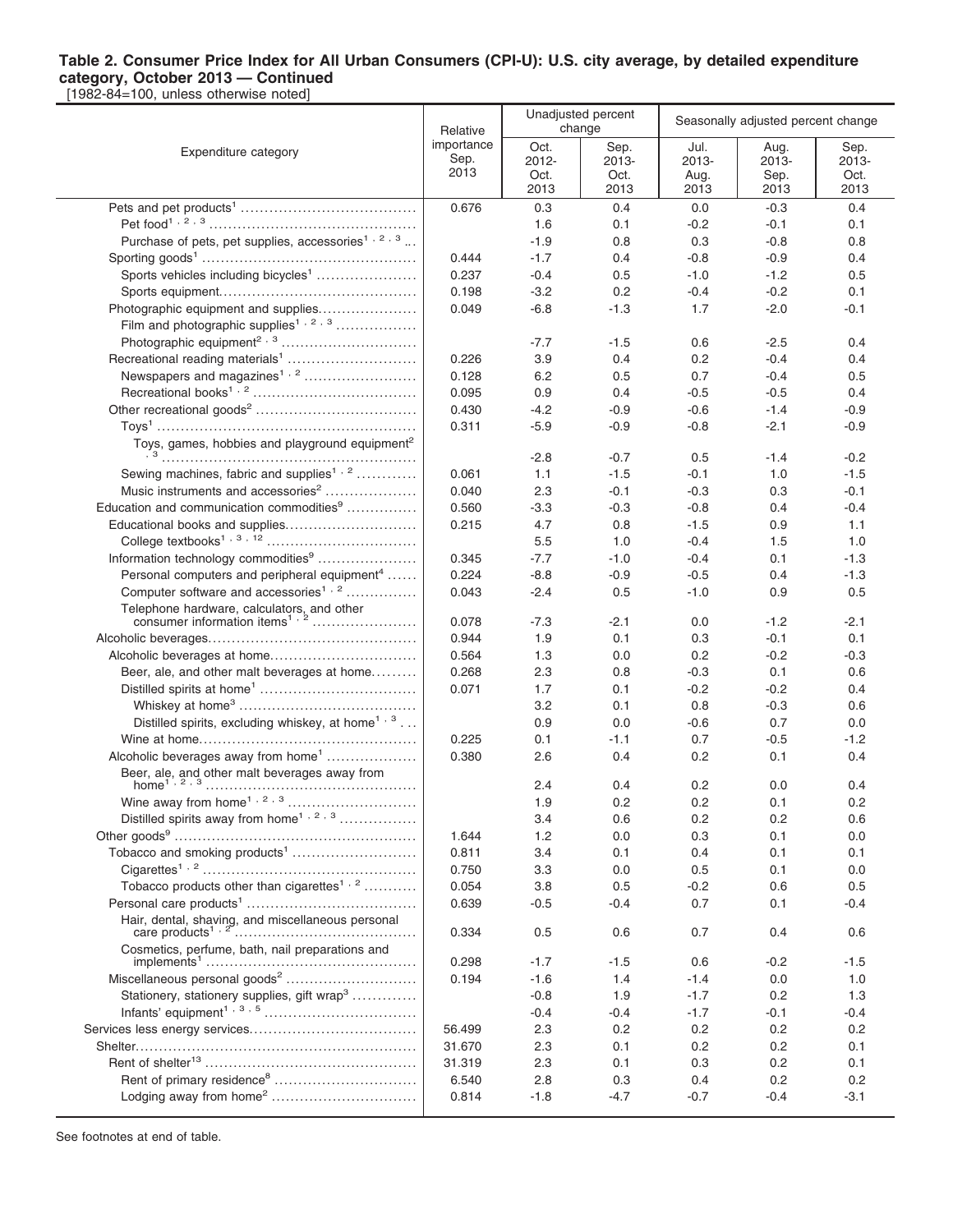[1982-84=100, unless otherwise noted]

|                                                                | Relative       | Unadjusted percent<br>change |              | Seasonally adjusted percent change |                  |              |
|----------------------------------------------------------------|----------------|------------------------------|--------------|------------------------------------|------------------|--------------|
| Expenditure category                                           | importance     | Oct.                         | Sep.         | Jul.                               | Aug.             | Sep.         |
|                                                                | Sep.<br>2013   | 2012-                        | 2013-        | 2013-                              | 2013-            | 2013-        |
|                                                                |                | Oct.<br>2013                 | Oct.<br>2013 | Aug.<br>2013                       | Sep.<br>2013     | Oct.<br>2013 |
|                                                                |                |                              |              |                                    |                  |              |
|                                                                | 0.676          | 0.3                          | 0.4          | 0.0                                | $-0.3$           | 0.4          |
| Purchase of pets, pet supplies, accessories <sup>1, 2, 3</sup> |                | 1.6                          | 0.1          | $-0.2$                             | $-0.1$           | 0.1          |
|                                                                |                | $-1.9$<br>$-1.7$             | 0.8          | 0.3<br>$-0.8$                      | $-0.8$<br>$-0.9$ | 0.8<br>0.4   |
| Sports vehicles including bicycles <sup>1</sup>                | 0.444<br>0.237 | $-0.4$                       | 0.4          | $-1.0$                             |                  | 0.5          |
|                                                                | 0.198          | $-3.2$                       | 0.5<br>0.2   | $-0.4$                             | $-1.2$<br>$-0.2$ | 0.1          |
| Photographic equipment and supplies                            | 0.049          | $-6.8$                       | $-1.3$       | 1.7                                | $-2.0$           | $-0.1$       |
| Film and photographic supplies <sup>1, 2, 3</sup>              |                |                              |              |                                    |                  |              |
|                                                                |                | $-7.7$                       | $-1.5$       | 0.6                                | $-2.5$           | 0.4          |
|                                                                | 0.226          | 3.9                          | 0.4          | 0.2                                | $-0.4$           | 0.4          |
|                                                                | 0.128          | 6.2                          | 0.5          | 0.7                                | $-0.4$           | 0.5          |
|                                                                | 0.095          | 0.9                          | 0.4          | $-0.5$                             | $-0.5$           | 0.4          |
|                                                                | 0.430          | $-4.2$                       | $-0.9$       | $-0.6$                             | $-1.4$           | $-0.9$       |
|                                                                | 0.311          | $-5.9$                       | $-0.9$       | $-0.8$                             | $-2.1$           | $-0.9$       |
| Toys, games, hobbies and playground equipment <sup>2</sup>     |                |                              |              |                                    |                  |              |
|                                                                |                | -2.8                         | $-0.7$       | 0.5                                | $-1.4$           | $-0.2$       |
| Sewing machines, fabric and supplies <sup>1, 2</sup>           | 0.061          | 1.1                          | $-1.5$       | $-0.1$                             | 1.0              | $-1.5$       |
| Music instruments and accessories <sup>2</sup>                 | 0.040          | 2.3                          | $-0.1$       | $-0.3$                             | 0.3              | $-0.1$       |
| Education and communication commodities <sup>9</sup>           | 0.560          | -3.3                         | $-0.3$       | $-0.8$                             | 0.4              | $-0.4$       |
|                                                                | 0.215          | 4.7                          | 0.8          | $-1.5$                             | 0.9              | 1.1          |
|                                                                |                | 5.5                          | 1.0          | $-0.4$                             | 1.5              | 1.0          |
| Information technology commodities <sup>9</sup>                | 0.345          | $-7.7$                       | $-1.0$       | $-0.4$                             | 0.1              | $-1.3$       |
| Personal computers and peripheral equipment <sup>4</sup>       | 0.224          | $-8.8$                       | $-0.9$       | $-0.5$                             | 0.4              | $-1.3$       |
| Computer software and accessories <sup>1, 2</sup>              | 0.043          | $-2.4$                       | 0.5          | $-1.0$                             | 0.9              | 0.5          |
| Telephone hardware, calculators, and other                     |                |                              |              |                                    |                  |              |
|                                                                | 0.078          | $-7.3$                       | $-2.1$       | 0.0                                | $-1.2$           | $-2.1$       |
|                                                                | 0.944          | 1.9                          | 0.1          | 0.3                                | $-0.1$           | 0.1          |
|                                                                | 0.564          | 1.3                          | 0.0          | 0.2                                | $-0.2$           | $-0.3$       |
| Beer, ale, and other malt beverages at home                    | 0.268          | 2.3                          | 0.8          | $-0.3$                             | 0.1              | 0.6          |
|                                                                | 0.071          | 1.7                          | 0.1          | $-0.2$                             | $-0.2$           | 0.4          |
|                                                                |                | 3.2                          | 0.1          | 0.8                                | $-0.3$           | 0.6          |
| Distilled spirits, excluding whiskey, at home <sup>1, 3</sup>  |                | 0.9                          | 0.0          | $-0.6$                             | 0.7              | 0.0          |
|                                                                | 0.225          | 0.1                          | $-1.1$       | 0.7                                | $-0.5$           | $-1.2$       |
| Alcoholic beverages away from home <sup>1</sup>                | 0.380          | 2.6                          | 0.4          | 0.2                                | 0.1              | 0.4          |
|                                                                |                |                              |              |                                    |                  |              |
|                                                                |                | 2.4                          | 0.4          | 0.2                                | 0.0              | 0.4          |
|                                                                |                | 1.9                          | 0.2          | 0.2                                | 0.1              | 0.2          |
| Distilled spirits away from home <sup>1, 2, 3</sup>            |                | 3.4                          | 0.6          | 0.2                                | 0.2              | 0.6          |
|                                                                | 1.644          | 1.2                          | 0.0          | 0.3                                | 0.1              | 0.0          |
| Tobacco and smoking products <sup>1</sup>                      | 0.811          | 3.4                          | 0.1          | 0.4                                | 0.1              | 0.1          |
| Tobacco products other than cigarettes <sup>1, 2</sup>         | 0.750          | 3.3                          | 0.0          | 0.5                                | 0.1              | 0.0          |
|                                                                | 0.054          | 3.8                          | 0.5          | $-0.2$                             | 0.6              | 0.5          |
|                                                                | 0.639          | $-0.5$                       | $-0.4$       | 0.7                                | 0.1              | $-0.4$       |
| Hair, dental, shaving, and miscellaneous personal              | 0.334          | 0.5                          | 0.6          | 0.7                                | 0.4              | 0.6          |
| Cosmetics, perfume, bath, nail preparations and                |                |                              |              |                                    |                  |              |
|                                                                | 0.298          | $-1.7$                       | $-1.5$       | 0.6                                | $-0.2$           | $-1.5$       |
| Miscellaneous personal goods <sup>2</sup>                      | 0.194          | $-1.6$                       | 1.4          | $-1.4$                             | 0.0              | 1.0          |
| Stationery, stationery supplies, gift wrap <sup>3</sup>        |                | $-0.8$                       | 1.9          | $-1.7$                             | 0.2              | 1.3          |
|                                                                |                | $-0.4$                       | $-0.4$       | $-1.7$                             | $-0.1$           | $-0.4$       |
|                                                                | 56.499         | 2.3                          | 0.2          | 0.2                                | 0.2              | 0.2          |
|                                                                | 31.670         | 2.3                          | 0.1          | 0.2                                | 0.2              | 0.1          |
|                                                                | 31.319         | 2.3                          | 0.1          | 0.3                                | 0.2              | 0.1          |
|                                                                | 6.540          | 2.8                          | 0.3          | 0.4                                | 0.2              | 0.2          |
| Lodging away from home <sup>2</sup>                            | 0.814          | $-1.8$                       | $-4.7$       | $-0.7$                             | $-0.4$           | $-3.1$       |
|                                                                |                |                              |              |                                    |                  |              |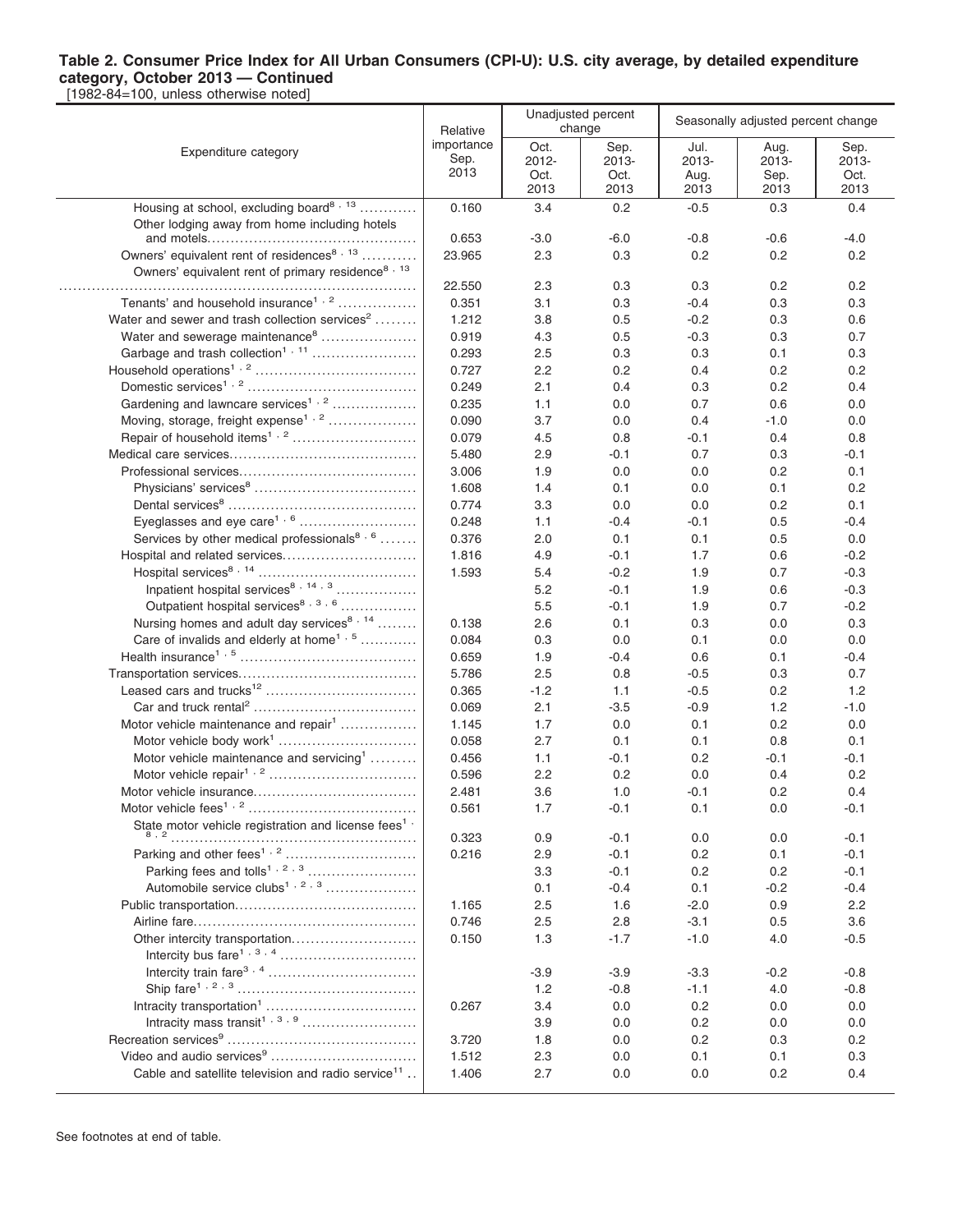|                                                                | Relative                   | Unadjusted percent<br>change  |                               | Seasonally adjusted percent change |                               |                               |
|----------------------------------------------------------------|----------------------------|-------------------------------|-------------------------------|------------------------------------|-------------------------------|-------------------------------|
| Expenditure category                                           | importance<br>Sep.<br>2013 | Oct.<br>2012-<br>Oct.<br>2013 | Sep.<br>2013-<br>Oct.<br>2013 | Jul.<br>2013-<br>Aug.<br>2013      | Aug.<br>2013-<br>Sep.<br>2013 | Sep.<br>2013-<br>Oct.<br>2013 |
| Housing at school, excluding board <sup>8, 13</sup>            | 0.160                      | 3.4                           | 0.2                           | $-0.5$                             | 0.3                           | 0.4                           |
| Other lodging away from home including hotels                  |                            |                               |                               |                                    |                               |                               |
|                                                                | 0.653                      | $-3.0$                        | $-6.0$                        | $-0.8$                             | $-0.6$                        | $-4.0$                        |
| Owners' equivalent rent of residences <sup>8, 13</sup>         | 23.965                     | 2.3                           | 0.3                           | 0.2                                | 0.2                           | 0.2                           |
| Owners' equivalent rent of primary residence <sup>8, 13</sup>  | 22.550                     | 2.3                           | 0.3                           | 0.3                                | 0.2                           | 0.2                           |
| Tenants' and household insurance <sup>1, 2</sup>               | 0.351                      | 3.1                           | 0.3                           | $-0.4$                             | 0.3                           | 0.3                           |
| Water and sewer and trash collection services <sup>2</sup>     | 1.212                      | 3.8                           | 0.5                           | $-0.2$                             | 0.3                           | 0.6                           |
| Water and sewerage maintenance <sup>8</sup>                    | 0.919                      | 4.3                           | 0.5                           | $-0.3$                             | 0.3                           | 0.7                           |
| Garbage and trash collection <sup>1, 11</sup>                  | 0.293                      | 2.5                           | 0.3                           | 0.3                                | 0.1                           | 0.3                           |
|                                                                | 0.727                      | 2.2                           | 0.2                           | 0.4                                | 0.2                           | 0.2                           |
|                                                                | 0.249                      | 2.1                           | 0.4                           | 0.3                                | 0.2                           | 0.4                           |
| Gardening and lawncare services <sup>1, 2</sup>                | 0.235                      | 1.1                           | 0.0                           | 0.7                                | 0.6                           | 0.0                           |
| Moving, storage, freight expense <sup>1, 2</sup>               | 0.090                      | 3.7                           | 0.0                           | 0.4                                | $-1.0$                        | 0.0                           |
|                                                                | 0.079                      | 4.5                           | 0.8                           | $-0.1$                             | 0.4                           | 0.8                           |
|                                                                | 5.480                      | 2.9                           | -0.1                          | 0.7                                | 0.3                           | $-0.1$                        |
|                                                                | 3.006                      | 1.9                           | 0.0                           | 0.0                                | 0.2                           | 0.1                           |
|                                                                | 1.608                      | 1.4                           | 0.1                           | 0.0                                | 0.1                           | 0.2                           |
|                                                                | 0.774                      | 3.3                           | 0.0                           | 0.0                                | 0.2                           | 0.1                           |
|                                                                | 0.248                      | 1.1                           | $-0.4$                        | $-0.1$                             | 0.5                           | $-0.4$                        |
| Services by other medical professionals <sup>8, 6</sup>        | 0.376                      | 2.0                           | 0.1                           | 0.1                                | 0.5                           | 0.0                           |
| Hospital and related services                                  | 1.816                      | 4.9                           | $-0.1$                        | 1.7                                | 0.6                           | $-0.2$                        |
|                                                                | 1.593                      | 5.4                           | $-0.2$                        | 1.9                                | 0.7                           | $-0.3$                        |
| Inpatient hospital services <sup>8, 14, 3</sup>                |                            | 5.2                           | $-0.1$                        | 1.9                                | 0.6                           | $-0.3$                        |
| Outpatient hospital services <sup>8, 3, 6</sup>                |                            | 5.5                           | -0.1                          | 1.9                                | 0.7                           | $-0.2$                        |
| Nursing homes and adult day services <sup>8, 14</sup>          | 0.138                      | 2.6                           | 0.1                           | 0.3                                | 0.0                           | 0.3                           |
| Care of invalids and elderly at home <sup>1, 5</sup>           | 0.084                      | 0.3                           | 0.0                           | 0.1                                | 0.0                           | 0.0                           |
|                                                                | 0.659                      | 1.9                           | -0.4                          | 0.6                                | 0.1                           | $-0.4$                        |
|                                                                | 5.786                      | 2.5                           | 0.8                           | $-0.5$                             | 0.3                           | 0.7                           |
| Leased cars and trucks <sup>12</sup>                           | 0.365                      | $-1.2$                        | 1.1                           | $-0.5$                             | 0.2                           | 1.2                           |
|                                                                | 0.069                      | 2.1                           | $-3.5$                        | $-0.9$                             | 1.2                           | $-1.0$                        |
| Motor vehicle maintenance and repair <sup>1</sup>              | 1.145                      | 1.7                           | 0.0                           | 0.1                                | 0.2                           | 0.0                           |
|                                                                | 0.058                      | 2.7                           | 0.1                           | 0.1                                | 0.8                           | 0.1                           |
| Motor vehicle maintenance and servicing <sup>1</sup>           | 0.456                      | 1.1                           | -0.1                          | 0.2                                | -0.1                          | $-0.1$                        |
|                                                                | 0.596<br>2.481             | 2.2<br>3.6                    | 0.2<br>1.0                    | 0.0<br>$-0.1$                      | 0.4<br>0.2                    | 0.2<br>0.4                    |
| Motor vehicle fees <sup><math>1, 2, \ldots</math></sup>        | 0.561                      | $1.7$                         | $-0.1$                        | 0.1                                | $0.0\,$                       | $-0.1$                        |
| State motor vehicle registration and license fees <sup>1</sup> |                            |                               |                               |                                    |                               |                               |
|                                                                | 0.323                      | 0.9                           | $-0.1$                        | 0.0                                | 0.0                           | $-0.1$                        |
|                                                                | 0.216                      | 2.9                           | $-0.1$                        | 0.2                                | 0.1                           | $-0.1$                        |
|                                                                |                            | 3.3                           | $-0.1$                        | 0.2                                | 0.2                           | $-0.1$                        |
| Automobile service clubs <sup>1, 2, 3</sup>                    |                            | 0.1                           | $-0.4$                        | 0.1                                | $-0.2$                        | $-0.4$                        |
|                                                                | 1.165                      | 2.5                           | 1.6                           | $-2.0$                             | 0.9                           | 2.2                           |
|                                                                | 0.746                      | 2.5                           | 2.8                           | $-3.1$                             | 0.5                           | 3.6                           |
| Other intercity transportation                                 | 0.150                      | 1.3                           | $-1.7$                        | $-1.0$                             | 4.0                           | $-0.5$                        |
|                                                                |                            |                               |                               |                                    |                               |                               |
|                                                                |                            | $-3.9$                        | $-3.9$                        | $-3.3$                             | $-0.2$                        | $-0.8$                        |
|                                                                |                            | 1.2                           | $-0.8$                        | $-1.1$                             | 4.0                           | $-0.8$                        |
|                                                                | 0.267                      | 3.4                           | 0.0                           | 0.2                                | 0.0                           | 0.0                           |
|                                                                |                            | 3.9                           | 0.0                           | 0.2                                | 0.0                           | 0.0                           |
|                                                                | 3.720                      | 1.8                           | 0.0                           | 0.2                                | 0.3                           | 0.2                           |
|                                                                | 1.512                      | 2.3                           | 0.0                           | 0.1                                | 0.1                           | 0.3                           |
| Cable and satellite television and radio service <sup>11</sup> | 1.406                      | 2.7                           | 0.0                           | 0.0                                | 0.2                           | 0.4                           |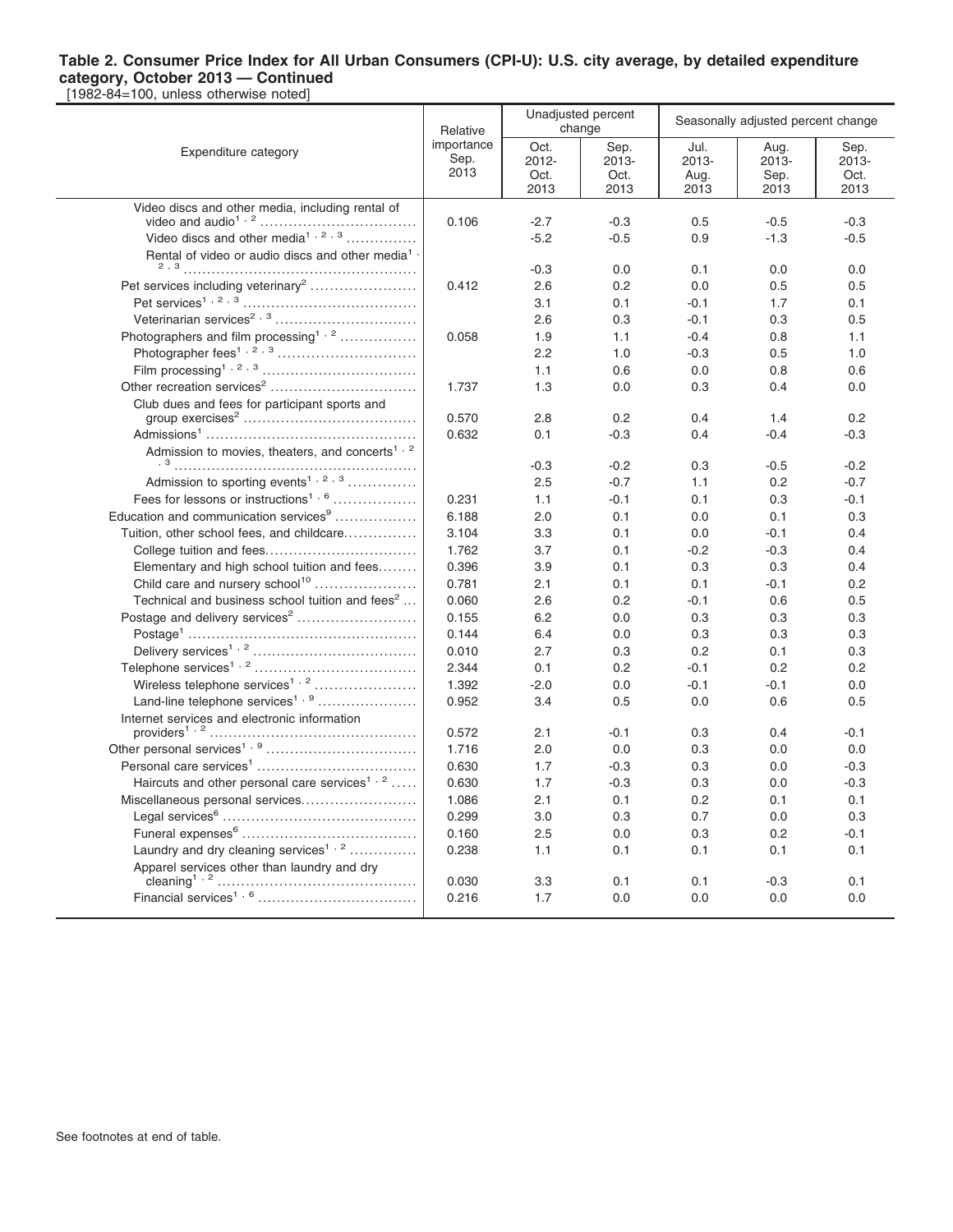|                                                             | Relative                   | Unadjusted percent<br>change  |                               | Seasonally adjusted percent change |                               |                               |
|-------------------------------------------------------------|----------------------------|-------------------------------|-------------------------------|------------------------------------|-------------------------------|-------------------------------|
| Expenditure category                                        | importance<br>Sep.<br>2013 | Oct.<br>2012-<br>Oct.<br>2013 | Sep.<br>2013-<br>Oct.<br>2013 | Jul.<br>2013-<br>Aug.<br>2013      | Aug.<br>2013-<br>Sep.<br>2013 | Sep.<br>2013-<br>Oct.<br>2013 |
|                                                             |                            |                               |                               |                                    |                               |                               |
| Video discs and other media, including rental of            | 0.106                      | $-2.7$                        | $-0.3$                        | 0.5                                | $-0.5$                        | $-0.3$                        |
|                                                             |                            | $-5.2$                        | $-0.5$                        | 0.9                                | $-1.3$                        | $-0.5$                        |
| Rental of video or audio discs and other media <sup>1</sup> |                            |                               |                               |                                    |                               |                               |
|                                                             |                            | $-0.3$                        | 0.0                           | 0.1                                | 0.0                           | 0.0                           |
| Pet services including veterinary <sup>2</sup>              | 0.412                      | 2.6                           | 0.2                           | 0.0                                | 0.5                           | 0.5                           |
|                                                             |                            | 3.1                           | 0.1                           | $-0.1$                             | 1.7                           | 0.1                           |
|                                                             |                            | 2.6                           | 0.3                           | $-0.1$                             | 0.3                           | 0.5                           |
| Photographers and film processing <sup>1, 2</sup>           | 0.058                      | 1.9                           | 1.1                           | $-0.4$                             | 0.8                           | 1.1                           |
|                                                             |                            | 2.2                           | 1.0                           | $-0.3$                             | 0.5                           | 1.0                           |
|                                                             |                            | 1.1                           | 0.6                           | 0.0                                | 0.8                           | 0.6                           |
| Other recreation services <sup>2</sup>                      | 1.737                      | 1.3                           | 0.0                           | 0.3                                | 0.4                           | 0.0                           |
| Club dues and fees for participant sports and               |                            |                               |                               |                                    |                               |                               |
|                                                             | 0.570                      | 2.8                           | 0.2                           | 0.4                                | 1.4                           | 0.2                           |
|                                                             | 0.632                      | 0.1                           | $-0.3$                        | 0.4                                | $-0.4$                        | $-0.3$                        |
| Admission to movies, theaters, and concerts <sup>1, 2</sup> |                            | $-0.3$                        | $-0.2$                        | 0.3                                | $-0.5$                        | $-0.2$                        |
| Admission to sporting events <sup>1, 2, 3</sup>             |                            | 2.5                           | $-0.7$                        | 1.1                                | 0.2                           | $-0.7$                        |
| Fees for lessons or instructions <sup>1, 6</sup>            | 0.231                      | 1.1                           | $-0.1$                        | 0.1                                | 0.3                           | $-0.1$                        |
| Education and communication services <sup>9</sup>           | 6.188                      | 2.0                           | 0.1                           | 0.0                                | 0.1                           | 0.3                           |
| Tuition, other school fees, and childcare                   | 3.104                      | 3.3                           | 0.1                           | 0.0                                | $-0.1$                        | 0.4                           |
|                                                             | 1.762                      | 3.7                           | 0.1                           | $-0.2$                             | $-0.3$                        | 0.4                           |
| Elementary and high school tuition and fees                 | 0.396                      | 3.9                           | 0.1                           | 0.3                                | 0.3                           | 0.4                           |
| Child care and nursery school <sup>10</sup>                 | 0.781                      | 2.1                           | 0.1                           | 0.1                                | $-0.1$                        | 0.2                           |
| Technical and business school tuition and fees <sup>2</sup> | 0.060                      | 2.6                           | 0.2                           | $-0.1$                             | 0.6                           | 0.5                           |
| Postage and delivery services <sup>2</sup>                  | 0.155                      | 6.2                           | 0.0                           | 0.3                                | 0.3                           | 0.3                           |
|                                                             | 0.144                      | 6.4                           | 0.0                           | 0.3                                | 0.3                           | 0.3                           |
|                                                             | 0.010                      | 2.7                           | 0.3                           | 0.2                                | 0.1                           | 0.3                           |
|                                                             | 2.344                      | 0.1                           | 0.2                           | $-0.1$                             | 0.2                           | 0.2                           |
| Wireless telephone services <sup>1, 2</sup>                 | 1.392                      | $-2.0$                        | 0.0                           | $-0.1$                             | $-0.1$                        | 0.0                           |
| Land-line telephone services <sup>1, 9</sup>                | 0.952                      | 3.4                           | 0.5                           | 0.0                                | 0.6                           | 0.5                           |
| Internet services and electronic information                |                            |                               |                               |                                    |                               |                               |
|                                                             | 0.572                      | 2.1                           | $-0.1$                        | 0.3                                | 0.4                           | $-0.1$                        |
|                                                             | 1.716                      | 2.0                           | 0.0                           | 0.3                                | 0.0                           | 0.0                           |
|                                                             | 0.630                      | 1.7                           | $-0.3$                        | 0.3                                | 0.0                           | $-0.3$                        |
| Haircuts and other personal care services <sup>1, 2</sup>   | 0.630                      | 1.7                           | $-0.3$                        | 0.3                                | 0.0                           | $-0.3$                        |
| Miscellaneous personal services                             | 1.086                      | 2.1                           | 0.1                           | 0.2                                | 0.1                           | 0.1                           |
|                                                             | 0.299                      | 3.0                           | 0.3                           | 0.7                                | 0.0                           | 0.3                           |
| Laundry and dry cleaning services <sup>1, 2</sup>           | 0.160                      | 2.5                           | 0.0                           | 0.3                                | 0.2                           | $-0.1$                        |
|                                                             | 0.238                      | 1.1                           | 0.1                           | 0.1                                | 0.1                           | 0.1                           |
| Apparel services other than laundry and dry                 | 0.030                      | 3.3                           | 0.1                           | 0.1                                | $-0.3$                        | 0.1                           |
|                                                             | 0.216                      | 1.7                           | 0.0                           | 0.0                                | 0.0                           | 0.0                           |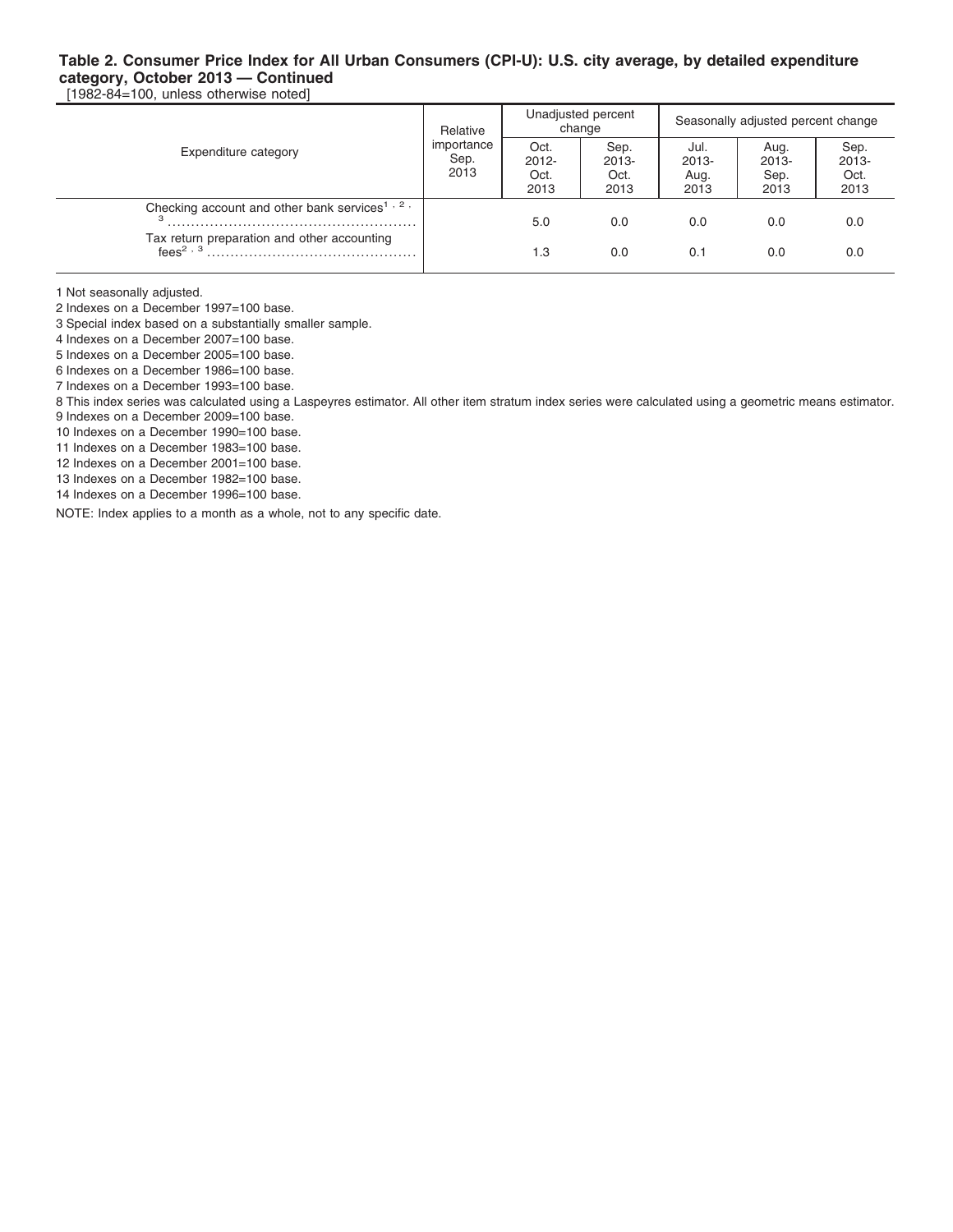[1982-84=100, unless otherwise noted]

| Expenditure category                                                | Relative<br>importance<br>Sep.<br>2013 | Unadjusted percent<br>change     |                                  | Seasonally adjusted percent change |                                  |                                  |
|---------------------------------------------------------------------|----------------------------------------|----------------------------------|----------------------------------|------------------------------------|----------------------------------|----------------------------------|
|                                                                     |                                        | Oct.<br>$2012 -$<br>Oct.<br>2013 | Sep.<br>$2013 -$<br>Oct.<br>2013 | Jul.<br>$2013 -$<br>Aug.<br>2013   | Aug.<br>$2013 -$<br>Sep.<br>2013 | Sep.<br>$2013 -$<br>Oct.<br>2013 |
| Checking account and other bank services <sup>1, 2,</sup>           |                                        | 5.0                              | 0.0                              | 0.0                                | 0.0                              | 0.0                              |
| Tax return preparation and other accounting<br>fees <sup>2, 3</sup> |                                        | 1.3                              | 0.0                              | 0.1                                | 0.0                              | 0.0                              |

1 Not seasonally adjusted.

2 Indexes on a December 1997=100 base.

3 Special index based on a substantially smaller sample.

4 Indexes on a December 2007=100 base.

5 Indexes on a December 2005=100 base.

6 Indexes on a December 1986=100 base.

7 Indexes on a December 1993=100 base.

8 This index series was calculated using a Laspeyres estimator. All other item stratum index series were calculated using a geometric means estimator.

9 Indexes on a December 2009=100 base.

10 Indexes on a December 1990=100 base. 11 Indexes on a December 1983=100 base.

12 Indexes on a December 2001=100 base.

13 Indexes on a December 1982=100 base.

14 Indexes on a December 1996=100 base.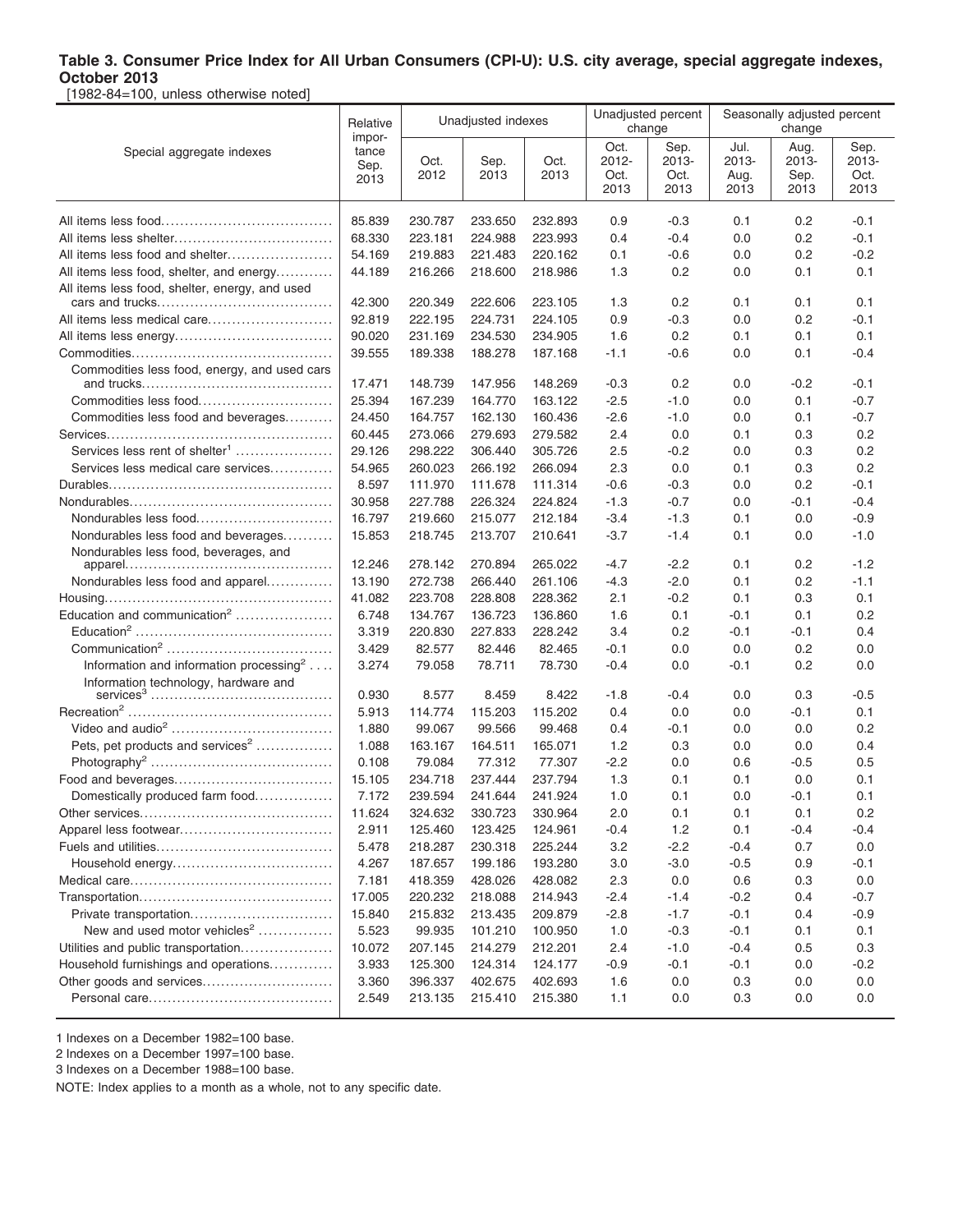#### **Table 3. Consumer Price Index for All Urban Consumers (CPI-U): U.S. city average, special aggregate indexes, October 2013**

[1982-84=100, unless otherwise noted]

|                                                     | Relative                        | Unadjusted indexes |              |              | Unadjusted percent<br>change  |                               | Seasonally adjusted percent<br>change |                               |                               |
|-----------------------------------------------------|---------------------------------|--------------------|--------------|--------------|-------------------------------|-------------------------------|---------------------------------------|-------------------------------|-------------------------------|
| Special aggregate indexes                           | impor-<br>tance<br>Sep.<br>2013 | Oct.<br>2012       | Sep.<br>2013 | Oct.<br>2013 | Oct.<br>2012-<br>Oct.<br>2013 | Sep.<br>2013-<br>Oct.<br>2013 | Jul.<br>2013-<br>Aug.<br>2013         | Aug.<br>2013-<br>Sep.<br>2013 | Sep.<br>2013-<br>Oct.<br>2013 |
|                                                     | 85.839                          | 230.787            | 233.650      | 232.893      | 0.9                           | $-0.3$                        | 0.1                                   | 0.2                           | $-0.1$                        |
|                                                     | 68.330                          | 223.181            | 224.988      | 223.993      | 0.4                           | $-0.4$                        | 0.0                                   | 0.2                           | $-0.1$                        |
| All items less food and shelter                     | 54.169                          | 219.883            | 221.483      | 220.162      | 0.1                           | $-0.6$                        | 0.0                                   | 0.2                           | $-0.2$                        |
| All items less food, shelter, and energy            | 44.189                          | 216.266            | 218,600      | 218.986      | 1.3                           | 0.2                           | 0.0                                   | 0.1                           | 0.1                           |
| All items less food, shelter, energy, and used      |                                 |                    |              |              |                               |                               |                                       |                               |                               |
|                                                     | 42.300                          | 220.349            | 222.606      | 223.105      | 1.3                           | 0.2                           | 0.1                                   | 0.1                           | 0.1                           |
|                                                     | 92.819                          | 222.195            | 224.731      | 224.105      | 0.9                           | $-0.3$                        | 0.0                                   | 0.2                           | $-0.1$                        |
|                                                     | 90.020                          | 231.169            | 234.530      | 234.905      | 1.6                           | 0.2                           | 0.1                                   | 0.1                           | 0.1                           |
|                                                     | 39.555                          | 189.338            | 188.278      | 187.168      | $-1.1$                        | $-0.6$                        | 0.0                                   | 0.1                           | $-0.4$                        |
| Commodities less food, energy, and used cars        | 17.471                          | 148.739            | 147.956      | 148.269      | $-0.3$                        | 0.2                           | 0.0                                   | $-0.2$                        | $-0.1$                        |
| Commodities less food                               | 25.394                          | 167.239            | 164.770      | 163.122      | $-2.5$                        | $-1.0$                        | 0.0                                   | 0.1                           | $-0.7$                        |
| Commodities less food and beverages                 | 24.450                          | 164.757            | 162.130      | 160.436      | $-2.6$                        | $-1.0$                        | 0.0                                   | 0.1                           | $-0.7$                        |
|                                                     | 60.445                          | 273.066            | 279.693      | 279.582      | 2.4                           | 0.0                           | 0.1                                   | 0.3                           | 0.2                           |
| Services less rent of shelter <sup>1</sup>          | 29.126                          | 298.222            | 306.440      | 305.726      | 2.5                           | $-0.2$                        | 0.0                                   | 0.3                           | 0.2                           |
| Services less medical care services                 | 54.965                          | 260.023            | 266.192      | 266.094      | 2.3                           | 0.0                           | 0.1                                   | 0.3                           | 0.2                           |
|                                                     | 8.597                           | 111.970            | 111.678      | 111.314      | $-0.6$                        | $-0.3$                        | 0.0                                   | 0.2                           | $-0.1$                        |
|                                                     | 30.958                          | 227.788            | 226.324      | 224.824      | $-1.3$                        | $-0.7$                        | 0.0                                   | $-0.1$                        | $-0.4$                        |
| Nondurables less food                               | 16.797                          | 219.660            | 215.077      | 212.184      | $-3.4$                        | $-1.3$                        | 0.1                                   | 0.0                           | $-0.9$                        |
| Nondurables less food and beverages                 | 15.853                          | 218.745            | 213.707      | 210.641      | $-3.7$                        | $-1.4$                        | 0.1                                   | 0.0                           | $-1.0$                        |
| Nondurables less food, beverages, and               |                                 |                    |              |              |                               |                               |                                       |                               |                               |
|                                                     | 12.246                          | 278.142            | 270.894      | 265.022      | $-4.7$                        | $-2.2$                        | 0.1                                   | 0.2                           | $-1.2$                        |
| Nondurables less food and apparel                   | 13.190                          | 272.738            | 266.440      | 261.106      | -4.3                          | $-2.0$                        | 0.1                                   | 0.2                           | $-1.1$                        |
|                                                     | 41.082                          | 223.708            | 228.808      | 228.362      | 2.1                           | $-0.2$                        | 0.1                                   | 0.3                           | 0.1                           |
| Education and communication <sup>2</sup>            | 6.748                           | 134.767            | 136.723      | 136.860      | 1.6                           | 0.1                           | $-0.1$                                | 0.1                           | 0.2                           |
|                                                     | 3.319                           | 220.830            | 227.833      | 228.242      | 3.4                           | 0.2                           | $-0.1$                                | $-0.1$                        | 0.4                           |
|                                                     | 3.429                           | 82.577             | 82.446       | 82.465       | $-0.1$                        | 0.0                           | 0.0                                   | 0.2                           | 0.0                           |
| Information and information processing <sup>2</sup> | 3.274                           | 79.058             | 78.711       | 78.730       | $-0.4$                        | 0.0                           | $-0.1$                                | 0.2                           | 0.0                           |
| Information technology, hardware and                | 0.930                           | 8.577              | 8.459        | 8.422        | $-1.8$                        | $-0.4$                        | 0.0                                   | 0.3                           | $-0.5$                        |
|                                                     | 5.913                           | 114.774            | 115.203      | 115.202      | 0.4                           | 0.0                           | 0.0                                   | $-0.1$                        | 0.1                           |
|                                                     | 1.880                           | 99.067             | 99.566       | 99.468       | 0.4                           | $-0.1$                        | 0.0                                   | 0.0                           | 0.2                           |
| Pets, pet products and services <sup>2</sup>        | 1.088                           | 163.167            | 164.511      | 165.071      | 1.2                           | 0.3                           | 0.0                                   | 0.0                           | 0.4                           |
|                                                     | 0.108                           | 79.084             | 77.312       | 77.307       | $-2.2$                        | 0.0                           | 0.6                                   | $-0.5$                        | 0.5                           |
|                                                     | 15.105                          | 234.718            | 237.444      | 237.794      | 1.3                           | 0.1                           | 0.1                                   | 0.0                           | 0.1                           |
| Domestically produced farm food                     | 7.172                           | 239.594            | 241.644      | 241.924      | 1.0                           | 0.1                           | 0.0                                   | $-0.1$                        | 0.1                           |
|                                                     | 11.624                          | 324.632            | 330.723      | 330.964      | 2.0                           | 0.1                           | 0.1                                   | 0.1                           | 0.2                           |
|                                                     | 2.911                           | 125.460            | 123.425      | 124.961      | $-0.4$                        | 1.2                           | 0.1                                   | $-0.4$                        | $-0.4$                        |
|                                                     | 5.478                           | 218.287            | 230.318      | 225.244      | 3.2                           | $-2.2$                        | $-0.4$                                | 0.7                           | 0.0                           |
|                                                     | 4.267                           | 187.657            | 199.186      | 193.280      | 3.0                           | $-3.0$                        | $-0.5$                                | 0.9                           | $-0.1$                        |
|                                                     | 7.181                           | 418.359            | 428.026      | 428.082      | 2.3                           | 0.0                           | 0.6                                   | 0.3                           | 0.0                           |
|                                                     | 17.005                          | 220.232            | 218.088      | 214.943      | $-2.4$                        | $-1.4$                        | $-0.2$                                | 0.4                           | $-0.7$                        |
| Private transportation                              | 15.840                          | 215.832            | 213.435      | 209.879      | $-2.8$                        | $-1.7$                        | $-0.1$                                | 0.4                           | $-0.9$                        |
| New and used motor vehicles <sup>2</sup>            | 5.523                           | 99.935             | 101.210      | 100.950      | 1.0                           | $-0.3$                        | $-0.1$                                | 0.1                           | 0.1                           |
| Utilities and public transportation                 | 10.072                          | 207.145            | 214.279      | 212.201      | 2.4                           | $-1.0$                        | $-0.4$                                | 0.5                           | 0.3                           |
| Household furnishings and operations                | 3.933                           | 125.300            | 124.314      | 124.177      | $-0.9$                        | $-0.1$                        | $-0.1$                                | 0.0                           | $-0.2$                        |
|                                                     | 3.360                           | 396.337            | 402.675      | 402.693      | 1.6                           | 0.0                           | 0.3                                   | 0.0                           | 0.0                           |
|                                                     | 2.549                           | 213.135            | 215.410      | 215.380      | 1.1                           | 0.0                           | 0.3                                   | 0.0                           | 0.0                           |

1 Indexes on a December 1982=100 base.

2 Indexes on a December 1997=100 base.

3 Indexes on a December 1988=100 base.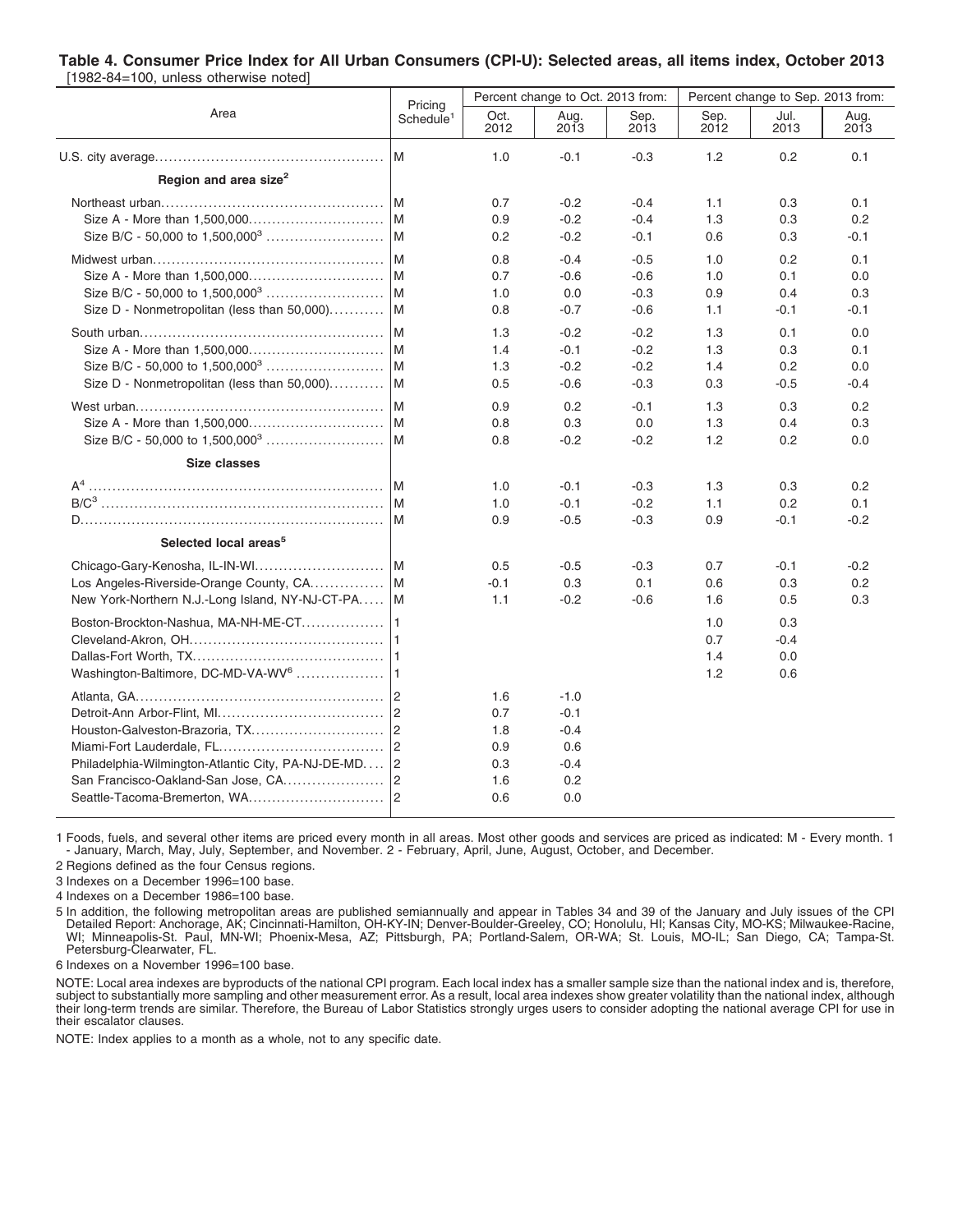#### **Table 4. Consumer Price Index for All Urban Consumers (CPI-U): Selected areas, all items index, October 2013** [1982-84=100, unless otherwise noted]

|                                                       | Pricina               |              | Percent change to Oct. 2013 from: |              |              | Percent change to Sep. 2013 from: |              |  |
|-------------------------------------------------------|-----------------------|--------------|-----------------------------------|--------------|--------------|-----------------------------------|--------------|--|
| Area                                                  | Schedule <sup>1</sup> | Oct.<br>2012 | Aug.<br>2013                      | Sep.<br>2013 | Sep.<br>2012 | Jul.<br>2013                      | Aug.<br>2013 |  |
|                                                       | lМ                    | 1.0          | $-0.1$                            | $-0.3$       | 1.2          | 0.2                               | 0.1          |  |
| Region and area size <sup>2</sup>                     |                       |              |                                   |              |              |                                   |              |  |
|                                                       | IM.                   | 0.7          | $-0.2$                            | $-0.4$       | 1.1          | 0.3                               | 0.1          |  |
|                                                       | l M                   | 0.9          | $-0.2$                            | $-0.4$       | 1.3          | 0.3                               | 0.2          |  |
|                                                       | lм                    | 0.2          | $-0.2$                            | $-0.1$       | 0.6          | 0.3                               | $-0.1$       |  |
|                                                       |                       | 0.8          | $-0.4$                            | $-0.5$       | 1.0          | 0.2                               | 0.1          |  |
|                                                       | lм                    | 0.7          | $-0.6$                            | $-0.6$       | 1.0          | 0.1                               | 0.0          |  |
|                                                       | Iм                    | 1.0          | 0.0                               | $-0.3$       | 0.9          | 0.4                               | 0.3          |  |
| Size D - Nonmetropolitan (less than 50,000)           | IM.                   | 0.8          | $-0.7$                            | $-0.6$       | 1.1          | $-0.1$                            | $-0.1$       |  |
|                                                       | IM.                   | 1.3          | $-0.2$                            | $-0.2$       | 1.3          | 0.1                               | 0.0          |  |
|                                                       | l M                   | 1.4          | $-0.1$                            | $-0.2$       | 1.3          | 0.3                               | 0.1          |  |
|                                                       |                       | 1.3          | $-0.2$                            | $-0.2$       | 1.4          | 0.2                               | 0.0          |  |
| Size D - Nonmetropolitan (less than 50,000)           |                       | 0.5          | $-0.6$                            | $-0.3$       | 0.3          | $-0.5$                            | $-0.4$       |  |
|                                                       |                       | 0.9          | 0.2                               | $-0.1$       | 1.3          | 0.3                               | 0.2          |  |
|                                                       | ΙM                    | 0.8          | 0.3                               | 0.0          | 1.3          | 0.4                               | 0.3          |  |
|                                                       | İМ                    | 0.8          | $-0.2$                            | $-0.2$       | 1.2          | 0.2                               | 0.0          |  |
| Size classes                                          |                       |              |                                   |              |              |                                   |              |  |
|                                                       |                       | 1.0          | $-0.1$                            | $-0.3$       | 1.3          | 0.3                               | 0.2          |  |
|                                                       | l M                   | 1.0          | $-0.1$                            | $-0.2$       | 1.1          | 0.2                               | 0.1          |  |
|                                                       | l M                   | 0.9          | $-0.5$                            | $-0.3$       | 0.9          | $-0.1$                            | $-0.2$       |  |
| Selected local areas <sup>5</sup>                     |                       |              |                                   |              |              |                                   |              |  |
|                                                       |                       | 0.5          | $-0.5$                            | $-0.3$       | 0.7          | $-0.1$                            | $-0.2$       |  |
| Los Angeles-Riverside-Orange County, CA               | lм                    | $-0.1$       | 0.3                               | 0.1          | 0.6          | 0.3                               | 0.2          |  |
| New York-Northern N.J.-Long Island, NY-NJ-CT-PA   M   |                       | 1.1          | $-0.2$                            | $-0.6$       | 1.6          | 0.5                               | 0.3          |  |
|                                                       |                       |              |                                   |              | 1.0          | 0.3                               |              |  |
|                                                       |                       |              |                                   |              | 0.7          | $-0.4$                            |              |  |
|                                                       |                       |              |                                   |              | 1.4          | 0.0                               |              |  |
|                                                       |                       |              |                                   |              | 1.2          | 0.6                               |              |  |
|                                                       |                       | 1.6          | $-1.0$                            |              |              |                                   |              |  |
|                                                       |                       | 0.7          | $-0.1$                            |              |              |                                   |              |  |
|                                                       |                       | 1.8          | $-0.4$                            |              |              |                                   |              |  |
|                                                       |                       | 0.9          | 0.6                               |              |              |                                   |              |  |
| Philadelphia-Wilmington-Atlantic City, PA-NJ-DE-MD  2 |                       | 0.3          | $-0.4$                            |              |              |                                   |              |  |
|                                                       |                       | 1.6          | 0.2                               |              |              |                                   |              |  |
|                                                       |                       | 0.6          | 0.0                               |              |              |                                   |              |  |

1 Foods, fuels, and several other items are priced every month in all areas. Most other goods and services are priced as indicated: M - Every month. 1 - January, March, May, July, September, and November. 2 - February, April, June, August, October, and December.

2 Regions defined as the four Census regions.

3 Indexes on a December 1996=100 base.

4 Indexes on a December 1986=100 base.

5 In addition, the following metropolitan areas are published semiannually and appear in Tables 34 and 39 of the January and July issues of the CPI<br>Detailed Report: Anchorage, AK; Cincinnati-Hamilton, OH-KY-IN; Denver-Boul

6 Indexes on a November 1996=100 base.

NOTE: Local area indexes are byproducts of the national CPI program. Each local index has a smaller sample size than the national index and is, therefore, subject to substantially more sampling and other measurement error. As a result, local area indexes show greater volatility than the national index, although their long-term trends are similar. Therefore, the Bureau of Labor Statistics strongly urges users to consider adopting the national average CPI for use in their escalator clauses.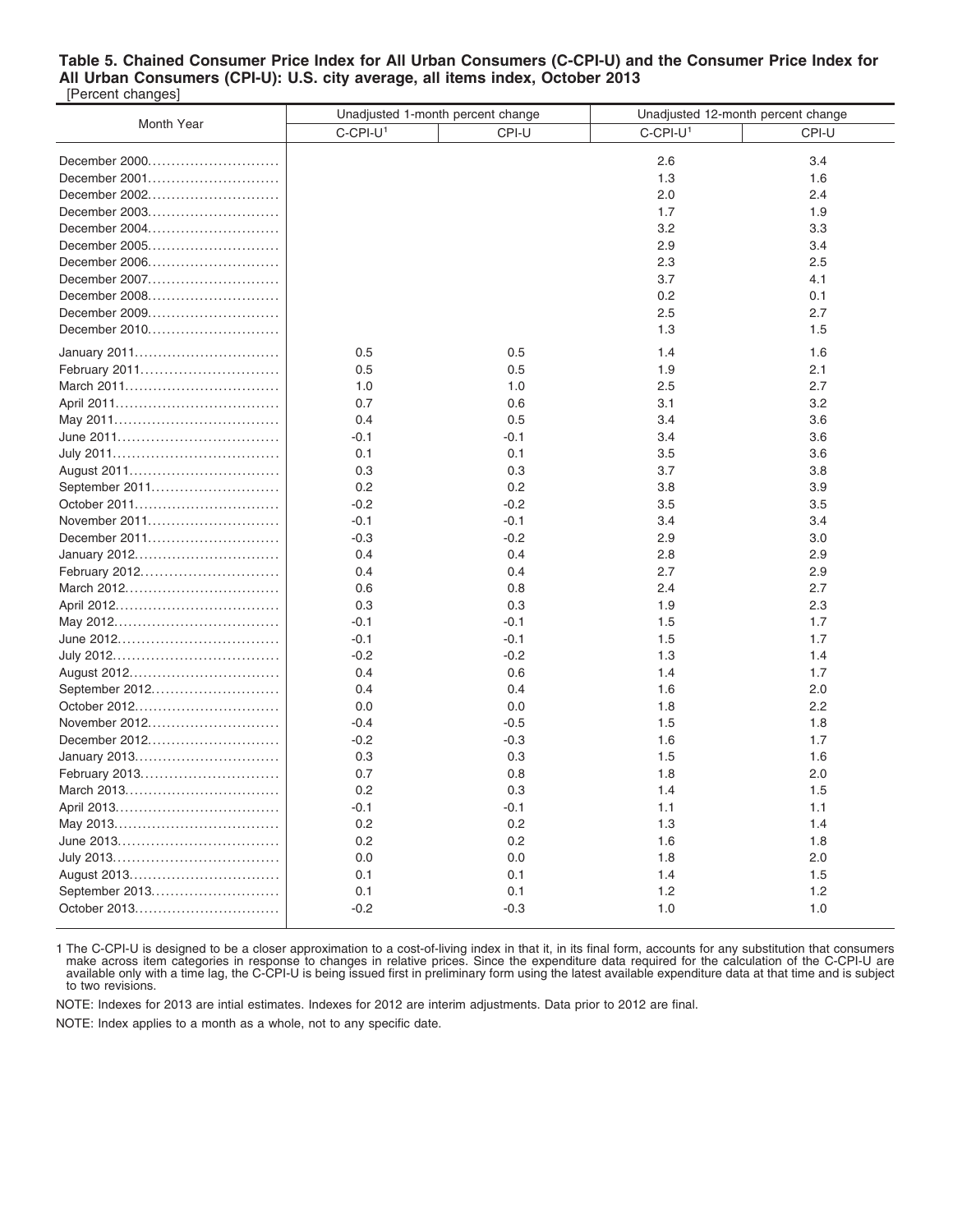#### **Table 5. Chained Consumer Price Index for All Urban Consumers (C-CPI-U) and the Consumer Price Index for All Urban Consumers (CPI-U): U.S. city average, all items index, October 2013** [Percent changes]

|                                |                         | Unadjusted 1-month percent change | Unadjusted 12-month percent change |            |
|--------------------------------|-------------------------|-----------------------------------|------------------------------------|------------|
| Month Year                     | $C$ -CPI-U <sup>1</sup> | CPI-U                             | C-CPI-U <sup>1</sup>               | CPI-U      |
|                                |                         |                                   |                                    |            |
| December 2000<br>December 2001 |                         |                                   | 2.6<br>1.3                         | 3.4<br>1.6 |
|                                |                         |                                   |                                    | 2.4        |
| December 2002                  |                         |                                   | 2.0                                |            |
| December 2003                  |                         |                                   | 1.7                                | 1.9        |
| December 2004                  |                         |                                   | 3.2                                | 3.3        |
| December 2005                  |                         |                                   | 2.9                                | 3.4        |
| December 2006                  |                         |                                   | 2.3                                | 2.5        |
| December 2007                  |                         |                                   | 3.7                                | 4.1        |
| December 2008                  |                         |                                   | 0.2                                | 0.1        |
| December 2009                  |                         |                                   | 2.5                                | 2.7        |
| December 2010                  |                         |                                   | 1.3                                | 1.5        |
| January 2011                   | 0.5                     | 0.5                               | 1.4                                | 1.6        |
| February 2011                  | 0.5                     | 0.5                               | 1.9                                | 2.1        |
| March 2011                     | 1.0                     | 1.0                               | 2.5                                | 2.7        |
|                                | 0.7                     | 0.6                               | 3.1                                | 3.2        |
|                                | 0.4                     | 0.5                               | 3.4                                | 3.6        |
|                                | $-0.1$                  | $-0.1$                            | 3.4                                | 3.6        |
|                                | 0.1                     | 0.1                               | 3.5                                | 3.6        |
|                                | 0.3                     | 0.3                               | 3.7                                | 3.8        |
| September 2011                 | 0.2                     | 0.2                               | 3.8                                | 3.9        |
| October 2011                   | $-0.2$                  | $-0.2$                            | 3.5                                | 3.5        |
| November 2011                  | $-0.1$                  | $-0.1$                            | 3.4                                | 3.4        |
| December 2011                  | $-0.3$                  | $-0.2$                            | 2.9                                | 3.0        |
| January 2012                   | 0.4                     | 0.4                               | 2.8                                | 2.9        |
| February 2012                  | 0.4                     | 0.4                               | 2.7                                | 2.9        |
|                                | 0.6                     | 0.8                               | 2.4                                | 2.7        |
|                                | 0.3                     | 0.3                               | 1.9                                | 2.3        |
|                                | $-0.1$                  | $-0.1$                            | 1.5                                | 1.7        |
|                                | $-0.1$                  | $-0.1$                            | 1.5                                | 1.7        |
|                                | $-0.2$                  | $-0.2$                            | 1.3                                | 1.4        |
| August 2012                    | 0.4                     | 0.6                               | 1.4                                | 1.7        |
| September 2012                 | 0.4                     | 0.4                               | 1.6                                | 2.0        |
| October 2012                   | 0.0                     | 0.0                               | 1.8                                | 2.2        |
| November 2012                  | $-0.4$                  | $-0.5$                            | 1.5                                | 1.8        |
| December 2012                  | $-0.2$                  | $-0.3$                            | 1.6                                | 1.7        |
| January 2013                   | 0.3                     | 0.3                               | 1.5                                | 1.6        |
| February 2013                  | 0.7                     | 0.8                               | 1.8                                | 2.0        |
| March 2013                     | 0.2                     | 0.3                               | 1.4                                | 1.5        |
|                                | $-0.1$                  | $-0.1$                            | 1.1                                | 1.1        |
|                                | 0.2                     | 0.2                               | 1.3                                | 1.4        |
|                                | 0.2                     | 0.2                               | 1.6                                | 1.8        |
|                                | 0.0                     | 0.0                               | 1.8                                | 2.0        |
| August 2013                    | 0.1                     | 0.1                               | 1.4                                | 1.5        |
| September 2013                 | 0.1                     | 0.1                               | 1.2                                | 1.2        |
| October 2013                   | $-0.2$                  | $-0.3$                            | 1.0                                | 1.0        |
|                                |                         |                                   |                                    |            |

1 The C-CPI-U is designed to be a closer approximation to a cost-of-living index in that it, in its final form, accounts for any substitution that consumers<br>make across item categories in response to changes in relative pr available only with a time lag, the C-CPI-U is being issued first in preliminary form using the latest available expenditure data at that time and is subject to two revisions.

NOTE: Indexes for 2013 are intial estimates. Indexes for 2012 are interim adjustments. Data prior to 2012 are final.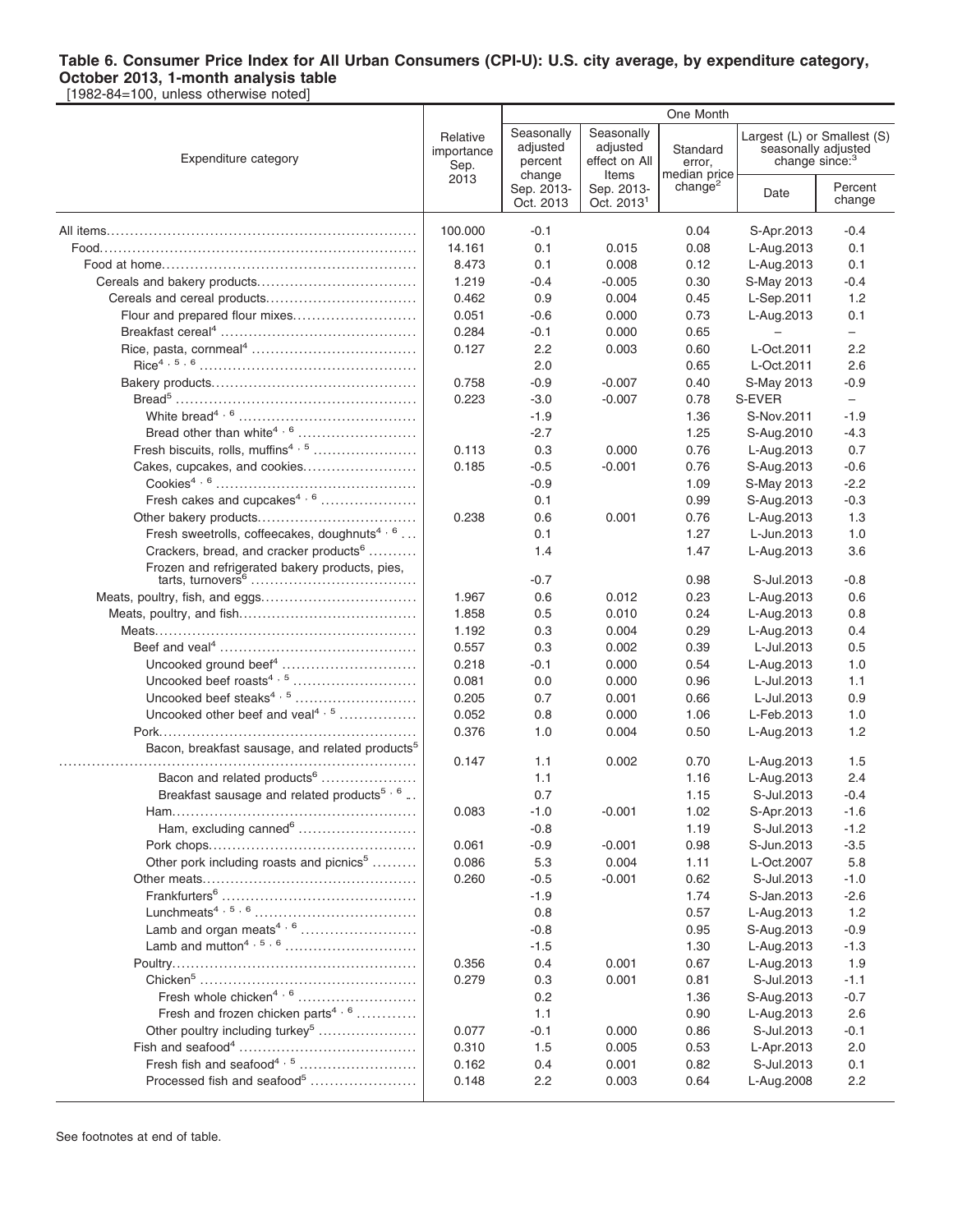|                                                                                                                                                              |                                | One Month                                   |                                                  |                                    |                                                   |                             |
|--------------------------------------------------------------------------------------------------------------------------------------------------------------|--------------------------------|---------------------------------------------|--------------------------------------------------|------------------------------------|---------------------------------------------------|-----------------------------|
| Expenditure category                                                                                                                                         | Relative<br>importance<br>Sep. | Seasonally<br>adjusted<br>percent<br>change | Seasonally<br>adjusted<br>effect on All<br>Items | Standard<br>error,<br>median price | seasonally adjusted<br>change since: <sup>3</sup> | Largest (L) or Smallest (S) |
|                                                                                                                                                              | 2013                           | Sep. 2013-<br>Oct. 2013                     | Sep. 2013-<br>Oct. 2013 <sup>1</sup>             | change <sup>2</sup>                | Date                                              | Percent<br>change           |
|                                                                                                                                                              | 100.000                        | $-0.1$                                      |                                                  | 0.04                               | S-Apr.2013                                        | $-0.4$                      |
|                                                                                                                                                              | 14.161                         | 0.1                                         | 0.015                                            | 0.08                               | L-Aug.2013                                        | 0.1                         |
|                                                                                                                                                              | 8.473                          | 0.1                                         | 0.008                                            | 0.12                               | L-Aug.2013                                        | 0.1                         |
|                                                                                                                                                              | 1.219                          | $-0.4$                                      | $-0.005$                                         | 0.30                               | S-May 2013                                        | $-0.4$                      |
|                                                                                                                                                              | 0.462                          | 0.9                                         | 0.004                                            | 0.45                               | L-Sep.2011                                        | 1.2                         |
| Flour and prepared flour mixes                                                                                                                               | 0.051                          | $-0.6$                                      | 0.000                                            | 0.73                               | L-Aug.2013                                        | 0.1                         |
|                                                                                                                                                              | 0.284                          | $-0.1$                                      | 0.000                                            | 0.65                               |                                                   | -                           |
|                                                                                                                                                              | 0.127                          | 2.2                                         | 0.003                                            | 0.60                               | L-Oct.2011                                        | 2.2                         |
|                                                                                                                                                              |                                | 2.0                                         |                                                  | 0.65                               | L-Oct.2011                                        | 2.6                         |
|                                                                                                                                                              | 0.758                          | $-0.9$                                      | $-0.007$                                         | 0.40                               | S-May 2013                                        | $-0.9$                      |
|                                                                                                                                                              | 0.223                          | $-3.0$                                      | $-0.007$                                         | 0.78                               | S-EVER                                            | $\overline{\phantom{m}}$    |
|                                                                                                                                                              |                                | $-1.9$                                      |                                                  | 1.36                               | S-Nov.2011                                        | $-1.9$                      |
|                                                                                                                                                              |                                | $-2.7$                                      |                                                  | 1.25                               | S-Aug.2010                                        | $-4.3$                      |
| Fresh biscuits, rolls, muffins <sup>4, 5</sup>                                                                                                               | 0.113                          | 0.3                                         | 0.000                                            | 0.76                               | L-Aug.2013                                        | 0.7                         |
| Cakes, cupcakes, and cookies                                                                                                                                 | 0.185                          | $-0.5$                                      | $-0.001$                                         | 0.76                               | S-Aug.2013                                        | $-0.6$                      |
|                                                                                                                                                              |                                | $-0.9$                                      |                                                  | 1.09                               | S-May 2013                                        | $-2.2$                      |
| Fresh cakes and cupcakes <sup>4, 6</sup>                                                                                                                     |                                | 0.1                                         |                                                  | 0.99                               | S-Aug.2013                                        | $-0.3$                      |
|                                                                                                                                                              | 0.238                          | 0.6                                         | 0.001                                            | 0.76                               | L-Aug.2013                                        | 1.3                         |
| Fresh sweetrolls, coffeecakes, doughnuts <sup>4, 6</sup>                                                                                                     |                                | 0.1                                         |                                                  | 1.27                               | L-Jun.2013                                        | 1.0                         |
| Crackers, bread, and cracker products <sup>6</sup>                                                                                                           |                                | 1.4                                         |                                                  | 1.47                               | L-Aug.2013                                        | 3.6                         |
| Frozen and refrigerated bakery products, pies,<br>$tarts, turnovers6 \dots \dots \dots \dots \dots \dots \dots \dots \dots \dots \dots \dots \dots$          |                                | $-0.7$                                      |                                                  | 0.98                               | S-Jul.2013                                        | $-0.8$                      |
|                                                                                                                                                              | 1.967                          | 0.6                                         | 0.012                                            | 0.23                               | L-Aug.2013                                        | 0.6                         |
|                                                                                                                                                              | 1.858                          | 0.5                                         | 0.010                                            | 0.24                               | L-Aug.2013                                        | 0.8                         |
|                                                                                                                                                              | 1.192                          | 0.3                                         | 0.004                                            | 0.29                               | L-Aug.2013                                        | 0.4                         |
|                                                                                                                                                              | 0.557                          | 0.3                                         | 0.002                                            | 0.39                               | L-Jul.2013                                        | 0.5                         |
|                                                                                                                                                              | 0.218                          | $-0.1$                                      | 0.000                                            | 0.54                               | L-Aug.2013                                        | 1.0                         |
|                                                                                                                                                              | 0.081                          | 0.0                                         | 0.000                                            | 0.96                               | L-Jul.2013                                        | 1.1                         |
| Uncooked beef steaks <sup>4, 5</sup>                                                                                                                         | 0.205                          | 0.7                                         | 0.001                                            | 0.66                               | L-Jul.2013                                        | 0.9                         |
| Uncooked other beef and veal <sup>4, 5</sup>                                                                                                                 | 0.052                          | 0.8                                         | 0.000                                            | 1.06                               | L-Feb.2013                                        | 1.0                         |
|                                                                                                                                                              | 0.376                          | 1.0                                         | 0.004                                            | 0.50                               | L-Aug.2013                                        | 1.2                         |
| Bacon, breakfast sausage, and related products <sup>5</sup>                                                                                                  | 0.147                          | 1.1                                         | 0.002                                            | 0.70                               | L-Aug.2013                                        | 1.5                         |
| Bacon and related products <sup>6</sup>                                                                                                                      |                                | 1.1                                         |                                                  | 1.16                               | L-Aug.2013                                        | 2.4                         |
| Breakfast sausage and related products <sup>5, 6</sup>                                                                                                       |                                | 0.7                                         |                                                  | 1.15                               | S-Jul.2013                                        | $-0.4$                      |
|                                                                                                                                                              | 0.083                          | $-1.0$                                      | $-0.001$                                         | 1.02                               | S-Apr.2013                                        | $-1.6$                      |
| Ham, excluding canned <sup>6</sup>                                                                                                                           |                                | $-0.8$                                      |                                                  | 1.19                               | S-Jul.2013                                        | $-1.2$                      |
|                                                                                                                                                              | 0.061                          | $-0.9$                                      | $-0.001$                                         | 0.98                               | S-Jun.2013                                        | $-3.5$                      |
| Other pork including roasts and picnics <sup>5</sup>                                                                                                         | 0.086                          | 5.3                                         | 0.004                                            | 1.11                               | L-Oct.2007                                        | 5.8                         |
|                                                                                                                                                              | 0.260                          | $-0.5$                                      | $-0.001$                                         | 0.62                               | S-Jul.2013                                        | $-1.0$                      |
|                                                                                                                                                              |                                | $-1.9$                                      |                                                  | 1.74                               | S-Jan.2013                                        | $-2.6$                      |
| $\text{Lunchmeats}^{\text{4}}, \, ^{\text{5}}, \, ^{\text{6}} \, \ldots \ldots \ldots \ldots \ldots \ldots \ldots \ldots \ldots \ldots \ldots \ldots \ldots$ |                                | 0.8                                         |                                                  | 0.57                               | L-Aug.2013                                        | 1.2                         |
|                                                                                                                                                              |                                | $-0.8$                                      |                                                  | 0.95                               | S-Aug.2013                                        | $-0.9$                      |
|                                                                                                                                                              |                                | $-1.5$                                      |                                                  | 1.30                               | L-Aug.2013                                        | $-1.3$                      |
|                                                                                                                                                              | 0.356                          | 0.4                                         | 0.001                                            | 0.67                               | L-Aug.2013                                        | 1.9                         |
|                                                                                                                                                              | 0.279                          | 0.3                                         | 0.001                                            | 0.81                               | S-Jul.2013                                        | $-1.1$                      |
| Fresh whole chicken <sup>4, 6</sup>                                                                                                                          |                                | 0.2                                         |                                                  | 1.36                               | S-Aug.2013                                        | $-0.7$                      |
| Fresh and frozen chicken parts <sup>4, 6</sup>                                                                                                               |                                | 1.1                                         |                                                  | 0.90                               | L-Aug.2013                                        | 2.6                         |
| Other poultry including turkey <sup>5</sup>                                                                                                                  | 0.077                          | $-0.1$                                      | 0.000                                            | 0.86                               | S-Jul.2013                                        | $-0.1$                      |
|                                                                                                                                                              | 0.310                          | 1.5                                         | 0.005                                            | 0.53                               | L-Apr.2013                                        | 2.0                         |
| Fresh fish and seafood <sup>4, 5</sup>                                                                                                                       | 0.162                          | 0.4                                         | 0.001                                            | 0.82                               | S-Jul.2013                                        | 0.1                         |
| Processed fish and seafood <sup>5</sup>                                                                                                                      | 0.148                          | 2.2                                         | 0.003                                            | 0.64                               | L-Aug.2008                                        | 2.2                         |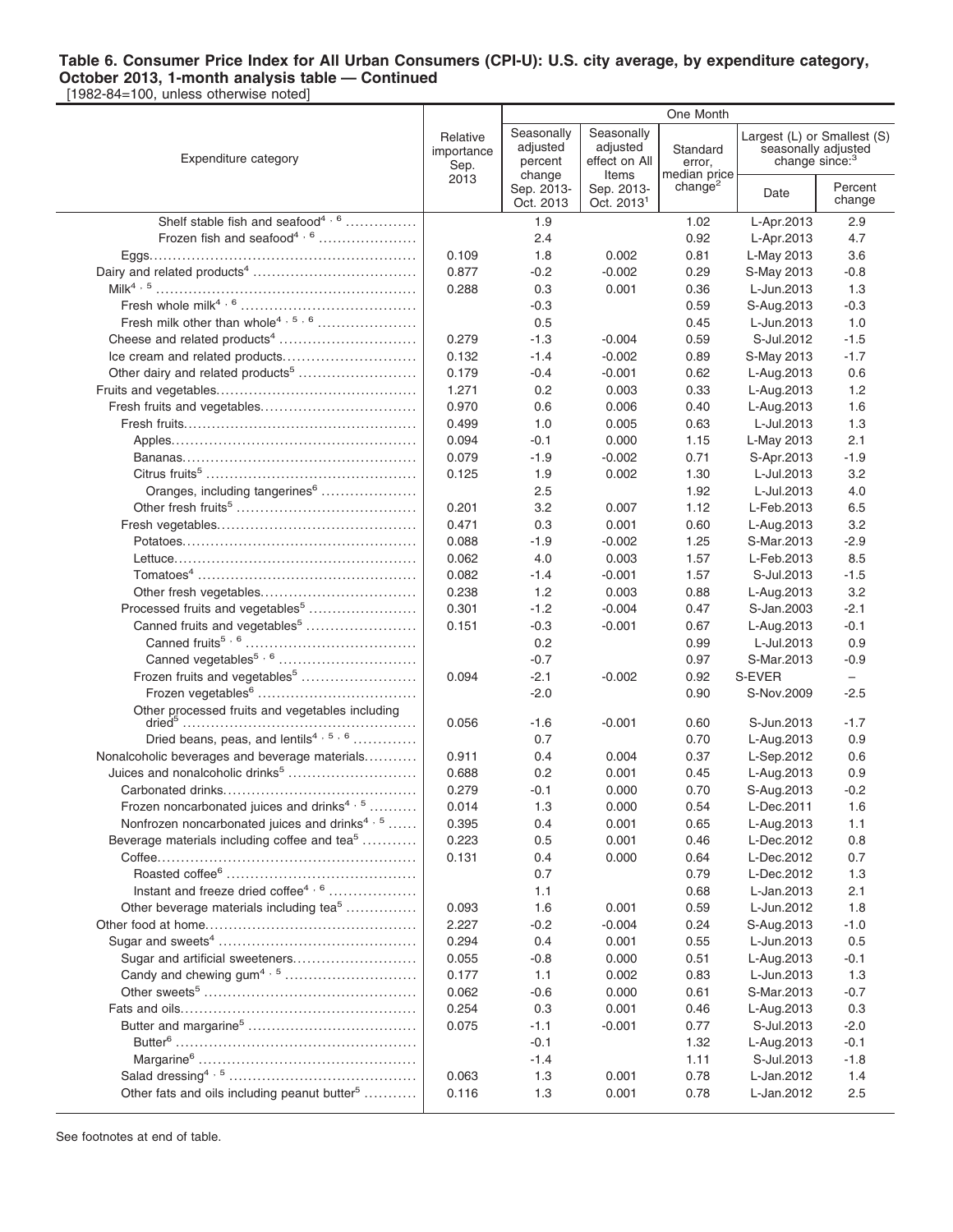[1982-84=100, unless otherwise noted]

|                                                             |                                | One Month                         |                                               |                                     |                            |                                                    |
|-------------------------------------------------------------|--------------------------------|-----------------------------------|-----------------------------------------------|-------------------------------------|----------------------------|----------------------------------------------------|
| Expenditure category                                        | Relative<br>importance<br>Sep. | Seasonally<br>adjusted<br>percent | Seasonally<br>adjusted<br>effect on All       | Standard<br>error,                  | change since: <sup>3</sup> | Largest (L) or Smallest (S)<br>seasonally adjusted |
|                                                             | 2013                           | change<br>Sep. 2013-<br>Oct. 2013 | Items<br>Sep. 2013-<br>Oct. 2013 <sup>1</sup> | median price<br>change <sup>2</sup> | Date                       | Percent<br>change                                  |
| Shelf stable fish and seafood <sup>4, 6</sup>               |                                | 1.9                               |                                               | 1.02                                | L-Apr.2013                 | 2.9                                                |
| Frozen fish and seafood <sup>4, 6</sup>                     |                                | 2.4                               |                                               | 0.92                                | L-Apr.2013                 | 4.7                                                |
|                                                             | 0.109                          | 1.8                               | 0.002                                         | 0.81                                | L-May 2013                 | 3.6                                                |
|                                                             | 0.877                          | $-0.2$                            | $-0.002$                                      | 0.29                                | S-May 2013                 | $-0.8$                                             |
|                                                             | 0.288                          | 0.3                               | 0.001                                         | 0.36                                | L-Jun.2013                 | 1.3                                                |
|                                                             |                                | $-0.3$                            |                                               | 0.59                                | S-Aug.2013                 | $-0.3$                                             |
|                                                             |                                | 0.5                               |                                               | 0.45                                | L-Jun.2013                 | 1.0                                                |
|                                                             | 0.279                          | $-1.3$                            | $-0.004$                                      | 0.59                                | S-Jul.2012                 | $-1.5$                                             |
|                                                             | 0.132                          | $-1.4$                            | $-0.002$                                      | 0.89                                | S-May 2013                 | $-1.7$                                             |
| Other dairy and related products <sup>5</sup>               | 0.179                          | $-0.4$                            | $-0.001$                                      | 0.62                                | L-Aug.2013                 | 0.6                                                |
|                                                             | 1.271                          | 0.2                               | 0.003                                         | 0.33                                | L-Aug.2013                 | 1.2                                                |
|                                                             | 0.970                          | 0.6                               | 0.006                                         | 0.40                                | L-Aug.2013                 | 1.6                                                |
|                                                             | 0.499                          | 1.0                               | 0.005                                         | 0.63                                | L-Jul.2013                 | 1.3                                                |
|                                                             | 0.094                          | $-0.1$                            | 0.000                                         | 1.15                                | L-May 2013                 | 2.1                                                |
|                                                             | 0.079                          | $-1.9$                            | $-0.002$                                      | 0.71                                | S-Apr.2013                 | $-1.9$                                             |
|                                                             | 0.125                          | 1.9                               | 0.002                                         | 1.30                                | L-Jul.2013                 | 3.2                                                |
| Oranges, including tangerines <sup>6</sup>                  |                                | 2.5                               |                                               | 1.92                                | L-Jul.2013                 | 4.0                                                |
|                                                             | 0.201                          | 3.2                               | 0.007                                         | 1.12                                | L-Feb.2013                 | 6.5                                                |
|                                                             | 0.471                          | 0.3                               | 0.001                                         | 0.60                                | L-Aug.2013                 | 3.2                                                |
|                                                             | 0.088                          | $-1.9$                            | $-0.002$                                      | 1.25                                | S-Mar.2013                 | $-2.9$                                             |
|                                                             | 0.062                          | 4.0                               | 0.003                                         | 1.57                                | L-Feb.2013                 | 8.5                                                |
|                                                             | 0.082                          | $-1.4$                            | $-0.001$                                      | 1.57                                | S-Jul.2013                 | $-1.5$                                             |
|                                                             | 0.238                          | 1.2                               | 0.003                                         | 0.88                                | L-Aug.2013                 | 3.2                                                |
| Processed fruits and vegetables <sup>5</sup>                | 0.301                          | $-1.2$                            | $-0.004$                                      | 0.47                                | S-Jan.2003                 | $-2.1$                                             |
| Canned fruits and vegetables <sup>5</sup>                   | 0.151                          | $-0.3$                            | $-0.001$                                      | 0.67                                | L-Aug.2013                 | $-0.1$                                             |
|                                                             |                                | 0.2                               |                                               | 0.99                                | L-Jul.2013                 | 0.9                                                |
|                                                             |                                | $-0.7$                            |                                               | 0.97                                | S-Mar.2013                 | $-0.9$                                             |
| Frozen fruits and vegetables <sup>5</sup>                   | 0.094                          | $-2.1$                            | $-0.002$                                      | 0.92                                | S-EVER                     | $\overline{\phantom{0}}$                           |
|                                                             |                                | $-2.0$                            |                                               | 0.90                                | S-Nov.2009                 | $-2.5$                                             |
| Other processed fruits and vegetables including             | 0.056                          | $-1.6$                            | $-0.001$                                      | 0.60                                | S-Jun.2013                 | $-1.7$                                             |
| Dried beans, peas, and lentils <sup>4, 5, 6</sup>           |                                | 0.7                               |                                               | 0.70                                | L-Aug.2013                 | 0.9                                                |
| Nonalcoholic beverages and beverage materials               | 0.911                          | 0.4                               | 0.004                                         | 0.37                                | L-Sep.2012                 | 0.6                                                |
| Juices and nonalcoholic drinks <sup>5</sup>                 | 0.688                          | 0.2                               | 0.001                                         | 0.45                                | L-Aug.2013                 | 0.9                                                |
|                                                             | 0.279                          | $-0.1$                            | 0.000                                         | 0.70                                | S-Aug.2013                 | $-0.2$                                             |
| Frozen noncarbonated juices and drinks <sup>4, 5</sup><br>. | 0.014                          | 1.3                               | 0.000                                         | 0.54                                | L-Dec.2011                 | 1.6                                                |
| Nonfrozen noncarbonated juices and drinks <sup>4, 5</sup>   | 0.395                          | 0.4                               | 0.001                                         | 0.65                                | L-Aug.2013                 | 1.1                                                |
| Beverage materials including coffee and tea <sup>5</sup>    | 0.223                          | 0.5                               | 0.001                                         | 0.46                                | L-Dec.2012                 | 0.8                                                |
|                                                             | 0.131                          | 0.4                               | 0.000                                         | 0.64                                | L-Dec.2012                 | 0.7                                                |
|                                                             |                                | 0.7                               |                                               | 0.79                                | L-Dec.2012                 | 1.3                                                |
| Instant and freeze dried coffee <sup>4, 6</sup>             |                                | 1.1                               |                                               | 0.68                                | L-Jan.2013                 | 2.1                                                |
| Other beverage materials including tea <sup>5</sup>         | 0.093                          | 1.6                               | 0.001                                         | 0.59                                | L-Jun.2012                 | 1.8                                                |
|                                                             | 2.227                          | $-0.2$                            | $-0.004$                                      | 0.24                                | S-Aug.2013                 | $-1.0$                                             |
|                                                             | 0.294                          | 0.4                               | 0.001                                         | 0.55                                | L-Jun.2013                 | 0.5                                                |
| Sugar and artificial sweeteners                             | 0.055                          | $-0.8$                            | 0.000                                         | 0.51                                | L-Aug.2013                 | $-0.1$                                             |
|                                                             | 0.177                          | 1.1                               | 0.002                                         | 0.83                                | L-Jun.2013                 | 1.3                                                |
|                                                             | 0.062                          | $-0.6$                            | 0.000                                         | 0.61                                | S-Mar.2013                 | $-0.7$                                             |
|                                                             | 0.254                          | 0.3                               | 0.001                                         | 0.46                                | L-Aug.2013                 | 0.3                                                |
|                                                             | 0.075                          | $-1.1$                            | $-0.001$                                      | 0.77                                | S-Jul.2013                 | $-2.0$                                             |
|                                                             |                                | $-0.1$                            |                                               | 1.32                                | L-Aug.2013                 | $-0.1$                                             |
|                                                             |                                | $-1.4$                            |                                               | 1.11                                | S-Jul.2013                 | $-1.8$                                             |
|                                                             | 0.063                          | 1.3                               | 0.001                                         | 0.78                                | L-Jan.2012                 | 1.4                                                |
| Other fats and oils including peanut butter <sup>5</sup>    | 0.116                          | 1.3                               | 0.001                                         | 0.78                                | L-Jan.2012                 | 2.5                                                |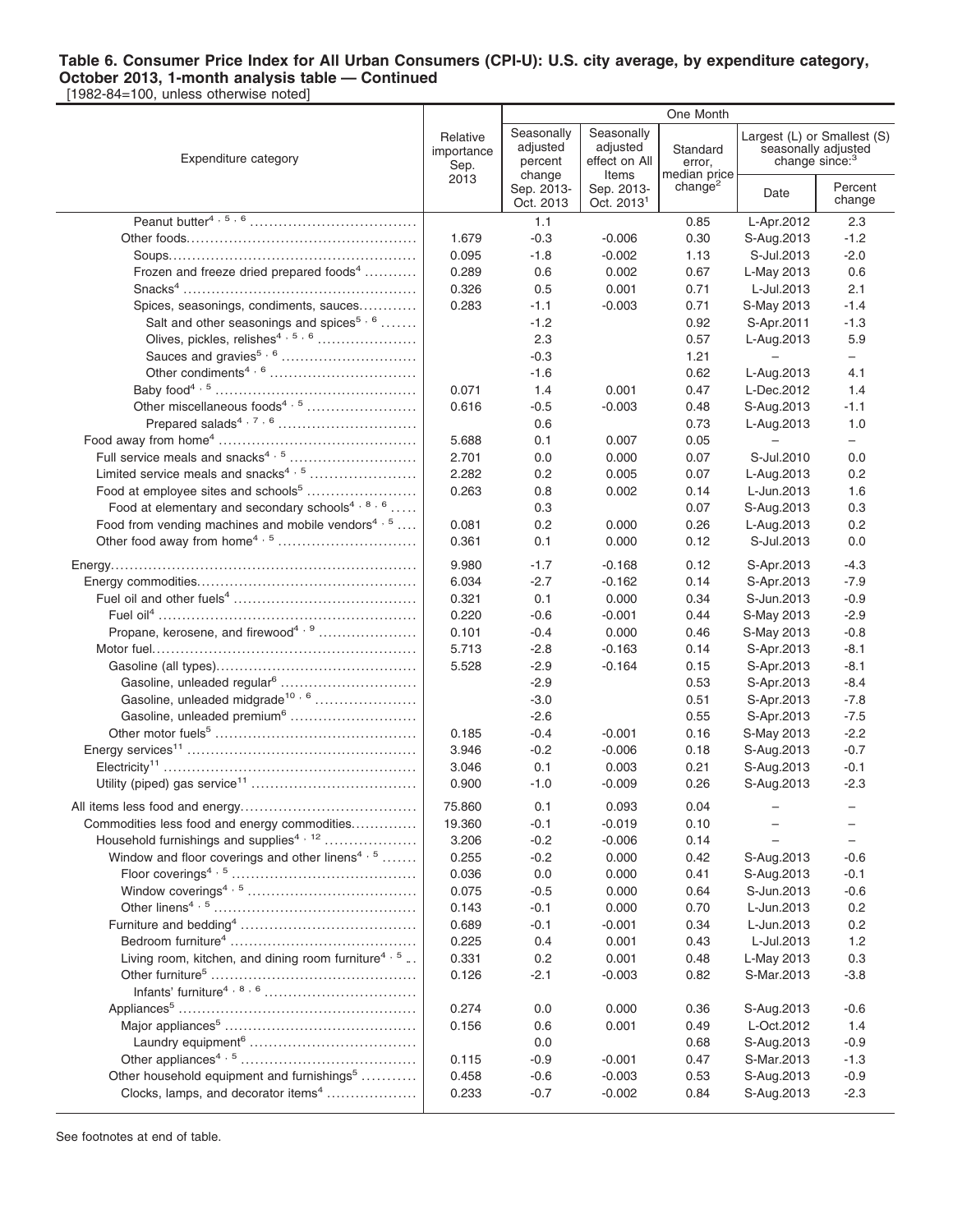[1982-84=100, unless otherwise noted]

|                                                                                                                    |                                | One Month                         |                                               |                                    |                                                   |                             |
|--------------------------------------------------------------------------------------------------------------------|--------------------------------|-----------------------------------|-----------------------------------------------|------------------------------------|---------------------------------------------------|-----------------------------|
| Expenditure category                                                                                               | Relative<br>importance<br>Sep. | Seasonally<br>adjusted<br>percent | Seasonally<br>adjusted<br>effect on All       | Standard<br>error,<br>median price | seasonally adjusted<br>change since: <sup>3</sup> | Largest (L) or Smallest (S) |
|                                                                                                                    | 2013                           | change<br>Sep. 2013-<br>Oct. 2013 | Items<br>Sep. 2013-<br>Oct. 2013 <sup>1</sup> | change <sup>2</sup>                | Date                                              | Percent<br>change           |
|                                                                                                                    |                                | 1.1                               |                                               | 0.85                               | L-Apr.2012                                        | 2.3                         |
|                                                                                                                    | 1.679                          | $-0.3$                            | $-0.006$                                      | 0.30                               | S-Aug.2013                                        | $-1.2$                      |
|                                                                                                                    | 0.095                          | $-1.8$                            | $-0.002$                                      | 1.13                               | S-Jul.2013                                        | $-2.0$                      |
| Frozen and freeze dried prepared foods <sup>4</sup>                                                                | 0.289                          | 0.6                               | 0.002                                         | 0.67                               | L-May 2013                                        | 0.6                         |
|                                                                                                                    | 0.326                          | 0.5                               | 0.001                                         | 0.71                               | L-Jul.2013                                        | 2.1                         |
| Spices, seasonings, condiments, sauces                                                                             | 0.283                          | $-1.1$                            | $-0.003$                                      | 0.71                               | S-May 2013                                        | $-1.4$                      |
| Salt and other seasonings and spices <sup>5, 6</sup>                                                               |                                | $-1.2$                            |                                               | 0.92                               | S-Apr.2011                                        | $-1.3$                      |
| Olives, pickles, relishes <sup>4, 5, 6</sup>                                                                       |                                | 2.3                               |                                               | 0.57                               | L-Aug.2013                                        | 5.9                         |
|                                                                                                                    |                                | $-0.3$                            |                                               | 1.21                               | $\overline{\phantom{0}}$                          | $\overline{\phantom{0}}$    |
|                                                                                                                    |                                | $-1.6$                            |                                               | 0.62                               | L-Aug.2013                                        | 4.1                         |
|                                                                                                                    | 0.071                          | 1.4                               | 0.001                                         | 0.47                               | L-Dec.2012                                        | 1.4                         |
| Other miscellaneous foods <sup>4, 5</sup>                                                                          | 0.616                          | $-0.5$                            | $-0.003$                                      | 0.48                               | S-Aug.2013                                        | $-1.1$                      |
|                                                                                                                    |                                | 0.6                               |                                               | 0.73                               | L-Aug.2013                                        | 1.0                         |
|                                                                                                                    | 5.688                          | 0.1                               | 0.007                                         | 0.05                               |                                                   | -                           |
|                                                                                                                    | 2.701                          | 0.0                               | 0.000                                         | 0.07                               | S-Jul.2010                                        | 0.0                         |
| Limited service meals and snacks <sup>4, 5</sup>                                                                   | 2.282                          | 0.2                               | 0.005                                         | 0.07                               | L-Aug.2013                                        | 0.2                         |
|                                                                                                                    | 0.263                          | 0.8                               | 0.002                                         | 0.14                               | L-Jun.2013                                        | 1.6                         |
| Food at elementary and secondary schools <sup>4, 8, 6</sup>                                                        |                                | 0.3                               |                                               | 0.07                               | S-Aug.2013                                        | 0.3                         |
| Food from vending machines and mobile vendors <sup>4, 5</sup>                                                      | 0.081                          | 0.2                               | 0.000                                         | 0.26                               | L-Aug.2013                                        | 0.2                         |
|                                                                                                                    | 0.361                          | 0.1                               | 0.000                                         | 0.12                               | S-Jul.2013                                        | 0.0                         |
|                                                                                                                    | 9.980                          | $-1.7$                            | $-0.168$                                      | 0.12                               | S-Apr.2013                                        | $-4.3$                      |
|                                                                                                                    | 6.034                          | $-2.7$                            | $-0.162$                                      | 0.14                               | S-Apr.2013                                        | $-7.9$                      |
|                                                                                                                    | 0.321                          | 0.1                               | 0.000                                         | 0.34                               | S-Jun.2013                                        | $-0.9$                      |
|                                                                                                                    | 0.220                          | $-0.6$                            | $-0.001$                                      | 0.44                               | S-May 2013                                        | $-2.9$                      |
| Propane, kerosene, and firewood <sup>4, 9</sup>                                                                    | 0.101                          | $-0.4$                            | 0.000                                         | 0.46                               | S-May 2013                                        | $-0.8$                      |
|                                                                                                                    | 5.713                          | $-2.8$                            | $-0.163$                                      | 0.14                               | S-Apr.2013                                        | $-8.1$                      |
|                                                                                                                    | 5.528                          | $-2.9$                            | $-0.164$                                      | 0.15                               | S-Apr.2013                                        | $-8.1$                      |
|                                                                                                                    |                                | $-2.9$                            |                                               | 0.53                               | S-Apr.2013                                        | $-8.4$                      |
| Gasoline, unleaded midgrade <sup>10, 6</sup>                                                                       |                                | $-3.0$                            |                                               | 0.51                               | S-Apr.2013                                        | $-7.8$                      |
| Gasoline, unleaded premium <sup>6</sup>                                                                            |                                | $-2.6$                            |                                               | 0.55                               | S-Apr.2013                                        | $-7.5$                      |
|                                                                                                                    | 0.185                          | $-0.4$                            | $-0.001$                                      | 0.16                               | S-May 2013                                        | $-2.2$                      |
|                                                                                                                    | 3.946                          | $-0.2$                            | $-0.006$                                      | 0.18                               | S-Aug.2013                                        | $-0.7$                      |
|                                                                                                                    | 3.046                          | 0.1                               | 0.003                                         | 0.21                               | S-Aug.2013                                        | $-0.1$                      |
|                                                                                                                    | 0.900                          | $-1.0$                            | $-0.009$                                      | 0.26                               | S-Aug.2013                                        | $-2.3$                      |
|                                                                                                                    | 75.860                         | 0.1                               | 0.093                                         | 0.04                               |                                                   |                             |
| Commodities less food and energy commodities                                                                       | 19.360                         | $-0.1$                            | -0.019                                        | 0.10                               |                                                   | -                           |
| Household furnishings and supplies <sup>4, 12</sup><br>Window and floor coverings and other linens <sup>4, 5</sup> | 3.206                          | $-0.2$                            | $-0.006$                                      | 0.14                               |                                                   |                             |
|                                                                                                                    | 0.255                          | $-0.2$                            | 0.000                                         | 0.42                               | S-Aug.2013                                        | $-0.6$                      |
|                                                                                                                    | 0.036                          | 0.0                               | 0.000                                         | 0.41                               | S-Aug.2013                                        | $-0.1$                      |
|                                                                                                                    | 0.075                          | $-0.5$                            | 0.000                                         | 0.64                               | S-Jun.2013                                        | $-0.6$                      |
|                                                                                                                    | 0.143                          | $-0.1$                            | 0.000                                         | 0.70                               | L-Jun.2013                                        | 0.2                         |
|                                                                                                                    | 0.689                          | $-0.1$                            | $-0.001$                                      | 0.34                               | L-Jun.2013                                        | 0.2                         |
| Living room, kitchen, and dining room furniture <sup>4, 5</sup>                                                    | 0.225                          | 0.4                               | 0.001<br>0.001                                | 0.43                               | L-Jul.2013                                        | 1.2<br>0.3                  |
|                                                                                                                    | 0.331<br>0.126                 | 0.2<br>$-2.1$                     | $-0.003$                                      | 0.48<br>0.82                       | L-May 2013<br>S-Mar.2013                          | $-3.8$                      |
|                                                                                                                    |                                |                                   |                                               |                                    |                                                   |                             |
|                                                                                                                    | 0.274                          | 0.0                               | 0.000                                         | 0.36                               | S-Aug.2013                                        | $-0.6$                      |
|                                                                                                                    | 0.156                          | 0.6                               | 0.001                                         | 0.49                               | L-Oct.2012                                        | 1.4                         |
|                                                                                                                    |                                | 0.0                               |                                               | 0.68                               | S-Aug.2013                                        | $-0.9$                      |
|                                                                                                                    | 0.115                          | $-0.9$                            | $-0.001$                                      | 0.47                               | S-Mar.2013                                        | $-1.3$                      |
| Other household equipment and furnishings <sup>5</sup>                                                             | 0.458                          | $-0.6$                            | $-0.003$                                      | 0.53                               | S-Aug.2013                                        | $-0.9$                      |
| Clocks, lamps, and decorator items <sup>4</sup>                                                                    | 0.233                          | $-0.7$                            | $-0.002$                                      | 0.84                               | S-Aug.2013                                        | $-2.3$                      |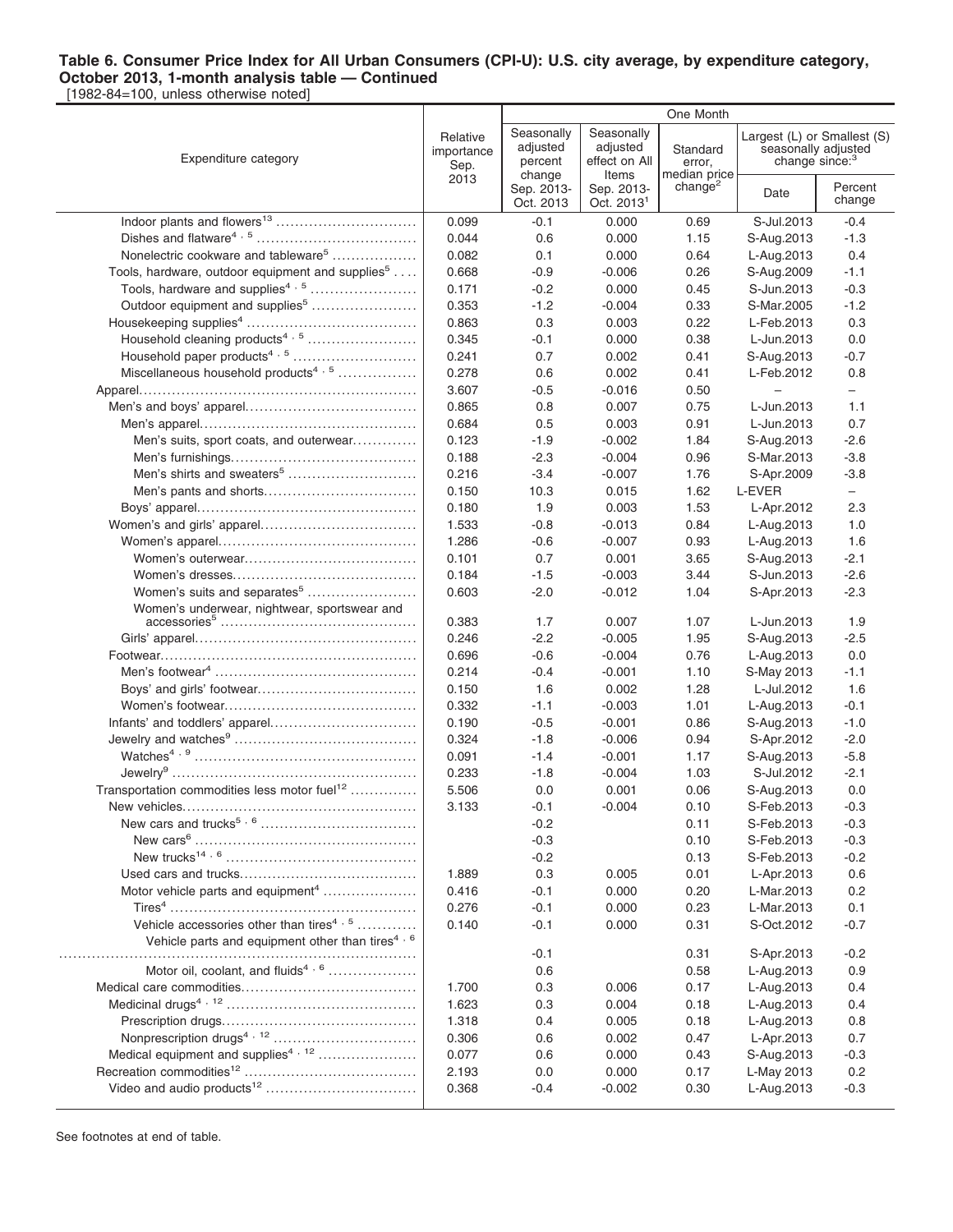[1982-84=100, unless otherwise noted]

|                                                                                          |                        | One Month                         |                                               |                                     |                                                                                  |                          |
|------------------------------------------------------------------------------------------|------------------------|-----------------------------------|-----------------------------------------------|-------------------------------------|----------------------------------------------------------------------------------|--------------------------|
| Expenditure category                                                                     | Relative<br>importance | Seasonally<br>adjusted<br>percent | Seasonally<br>adjusted<br>effect on All       | Standard<br>error,                  | Largest (L) or Smallest (S)<br>seasonally adjusted<br>change since: <sup>3</sup> |                          |
|                                                                                          | Sep.<br>2013           | change<br>Sep. 2013-<br>Oct. 2013 | Items<br>Sep. 2013-<br>Oct. 2013 <sup>1</sup> | median price<br>change <sup>2</sup> | Date                                                                             | Percent<br>change        |
| Indoor plants and flowers <sup>13</sup>                                                  | 0.099                  | $-0.1$                            | 0.000                                         | 0.69                                | S-Jul.2013                                                                       | $-0.4$                   |
|                                                                                          | 0.044                  | 0.6                               | 0.000                                         | 1.15                                | S-Aug.2013                                                                       | $-1.3$                   |
| Nonelectric cookware and tableware <sup>5</sup>                                          | 0.082                  | 0.1                               | 0.000                                         | 0.64                                | L-Aug.2013                                                                       | 0.4                      |
| Tools, hardware, outdoor equipment and supplies <sup>5</sup>                             | 0.668                  | $-0.9$                            | $-0.006$                                      | 0.26                                | S-Aug.2009                                                                       | $-1.1$                   |
| Tools, hardware and supplies <sup>4, 5</sup>                                             | 0.171                  | $-0.2$                            | 0.000                                         | 0.45                                | S-Jun.2013                                                                       | $-0.3$                   |
| Outdoor equipment and supplies <sup>5</sup>                                              | 0.353                  | $-1.2$                            | $-0.004$                                      | 0.33                                | S-Mar.2005                                                                       | $-1.2$                   |
|                                                                                          | 0.863                  | 0.3                               | 0.003                                         | 0.22                                | L-Feb.2013                                                                       | 0.3                      |
| Household cleaning products <sup>4, 5</sup>                                              | 0.345                  | $-0.1$                            | 0.000                                         | 0.38                                | L-Jun.2013                                                                       | 0.0                      |
| Household paper products <sup>4, 5</sup>                                                 | 0.241                  | 0.7                               | 0.002                                         | 0.41                                | S-Aug.2013                                                                       | $-0.7$                   |
| Miscellaneous household products <sup>4, 5</sup>                                         | 0.278                  | 0.6                               | 0.002                                         | 0.41                                | L-Feb.2012                                                                       | 0.8                      |
|                                                                                          | 3.607                  | $-0.5$                            | $-0.016$                                      | 0.50                                |                                                                                  | $\overline{\phantom{0}}$ |
|                                                                                          | 0.865                  | 0.8                               | 0.007                                         | 0.75                                | L-Jun.2013                                                                       | 1.1                      |
|                                                                                          | 0.684                  | 0.5                               | 0.003                                         | 0.91                                | L-Jun.2013                                                                       | 0.7                      |
| Men's suits, sport coats, and outerwear                                                  | 0.123                  | $-1.9$                            | $-0.002$                                      | 1.84                                | S-Aug.2013                                                                       | $-2.6$                   |
|                                                                                          | 0.188                  | $-2.3$                            | $-0.004$                                      | 0.96                                | S-Mar.2013                                                                       | $-3.8$                   |
|                                                                                          | 0.216                  | $-3.4$                            | $-0.007$                                      | 1.76                                | S-Apr.2009                                                                       | $-3.8$                   |
|                                                                                          | 0.150                  | 10.3                              | 0.015                                         | 1.62                                | L-EVER                                                                           | $\overline{\phantom{0}}$ |
|                                                                                          | 0.180                  | 1.9                               | 0.003                                         | 1.53                                | L-Apr.2012                                                                       | 2.3                      |
|                                                                                          | 1.533                  | $-0.8$                            | $-0.013$                                      | 0.84                                | L-Aug.2013                                                                       | 1.0                      |
|                                                                                          | 1.286                  | $-0.6$                            | $-0.007$                                      | 0.93                                | L-Aug.2013                                                                       | 1.6                      |
|                                                                                          | 0.101                  | 0.7                               | 0.001                                         | 3.65                                | S-Aug.2013                                                                       | $-2.1$                   |
|                                                                                          | 0.184                  | $-1.5$                            | $-0.003$                                      | 3.44                                | S-Jun.2013                                                                       | $-2.6$                   |
| Women's suits and separates <sup>5</sup><br>Women's underwear, nightwear, sportswear and | 0.603                  | $-2.0$                            | $-0.012$                                      | 1.04                                | S-Apr.2013                                                                       | $-2.3$                   |
|                                                                                          | 0.383                  | 1.7                               | 0.007                                         | 1.07                                | L-Jun.2013                                                                       | 1.9                      |
|                                                                                          | 0.246                  | $-2.2$                            | $-0.005$                                      | 1.95                                | S-Aug.2013                                                                       | $-2.5$                   |
|                                                                                          | 0.696                  | $-0.6$                            | $-0.004$                                      | 0.76                                | L-Aug.2013                                                                       | 0.0                      |
|                                                                                          | 0.214                  | $-0.4$                            | $-0.001$                                      | 1.10                                | S-May 2013                                                                       | $-1.1$                   |
|                                                                                          | 0.150                  | 1.6                               | 0.002                                         | 1.28                                | L-Jul.2012                                                                       | 1.6                      |
|                                                                                          | 0.332                  | $-1.1$                            | $-0.003$                                      | 1.01                                | L-Aug.2013                                                                       | $-0.1$                   |
|                                                                                          | 0.190                  | $-0.5$                            | $-0.001$                                      | 0.86                                | S-Aug.2013                                                                       | $-1.0$                   |
|                                                                                          | 0.324                  | $-1.8$                            | $-0.006$                                      | 0.94                                | S-Apr.2012                                                                       | $-2.0$                   |
|                                                                                          | 0.091                  | $-1.4$                            | $-0.001$                                      | 1.17                                | S-Aug.2013                                                                       | $-5.8$                   |
|                                                                                          | 0.233                  | $-1.8$                            | $-0.004$                                      | 1.03                                | S-Jul.2012                                                                       | $-2.1$                   |
| Transportation commodities less motor fuel <sup>12</sup>                                 | 5.506                  | 0.0                               | 0.001                                         | 0.06                                | S-Aug.2013                                                                       | 0.0                      |
| New vehicles                                                                             | 3.133                  | $-0.1$                            | $-0.004$                                      | 0.10                                | S-Feb.2013                                                                       | $-0.3$                   |
|                                                                                          |                        | $-0.2$                            |                                               | 0.11                                | S-Feb.2013                                                                       | $-0.3$                   |
|                                                                                          |                        | $-0.3$                            |                                               | 0.10                                | S-Feb.2013                                                                       | $-0.3$                   |
|                                                                                          |                        | $-0.2$                            |                                               | 0.13                                | S-Feb.2013                                                                       | $-0.2$                   |
|                                                                                          | 1.889                  | 0.3                               | 0.005                                         | 0.01                                | L-Apr.2013                                                                       | 0.6                      |
| Motor vehicle parts and equipment <sup>4</sup>                                           | 0.416                  | $-0.1$                            | 0.000                                         | 0.20                                | L-Mar.2013                                                                       | 0.2                      |
| Vehicle accessories other than tires <sup>4, 5</sup>                                     | 0.276                  | $-0.1$                            | 0.000                                         | 0.23                                | L-Mar.2013                                                                       | 0.1                      |
| Vehicle parts and equipment other than tires <sup>4, 6</sup>                             | 0.140                  | $-0.1$                            | 0.000                                         | 0.31                                | S-Oct.2012                                                                       | $-0.7$                   |
|                                                                                          |                        | -0.1                              |                                               | 0.31                                | S-Apr.2013                                                                       | $-0.2$                   |
| Motor oil, coolant, and fluids <sup>4, 6</sup>                                           |                        | 0.6                               |                                               | 0.58                                | L-Aug.2013                                                                       | 0.9                      |
|                                                                                          | 1.700                  | 0.3                               | 0.006                                         | 0.17                                | L-Aug.2013                                                                       | 0.4                      |
|                                                                                          | 1.623<br>1.318         | 0.3<br>0.4                        | 0.004<br>0.005                                | 0.18<br>0.18                        | L-Aug.2013                                                                       | 0.4<br>0.8               |
|                                                                                          | 0.306                  |                                   |                                               |                                     | L-Aug.2013                                                                       | 0.7                      |
| Medical equipment and supplies <sup>4, 12</sup>                                          | 0.077                  | 0.6                               | 0.002<br>0.000                                | 0.47<br>0.43                        | L-Apr.2013                                                                       | $-0.3$                   |
|                                                                                          | 2.193                  | 0.6                               | 0.000                                         | 0.17                                | S-Aug.2013                                                                       | 0.2                      |
|                                                                                          |                        | 0.0                               |                                               |                                     | L-May 2013                                                                       |                          |
|                                                                                          | 0.368                  | $-0.4$                            | $-0.002$                                      | 0.30                                | L-Aug.2013                                                                       | $-0.3$                   |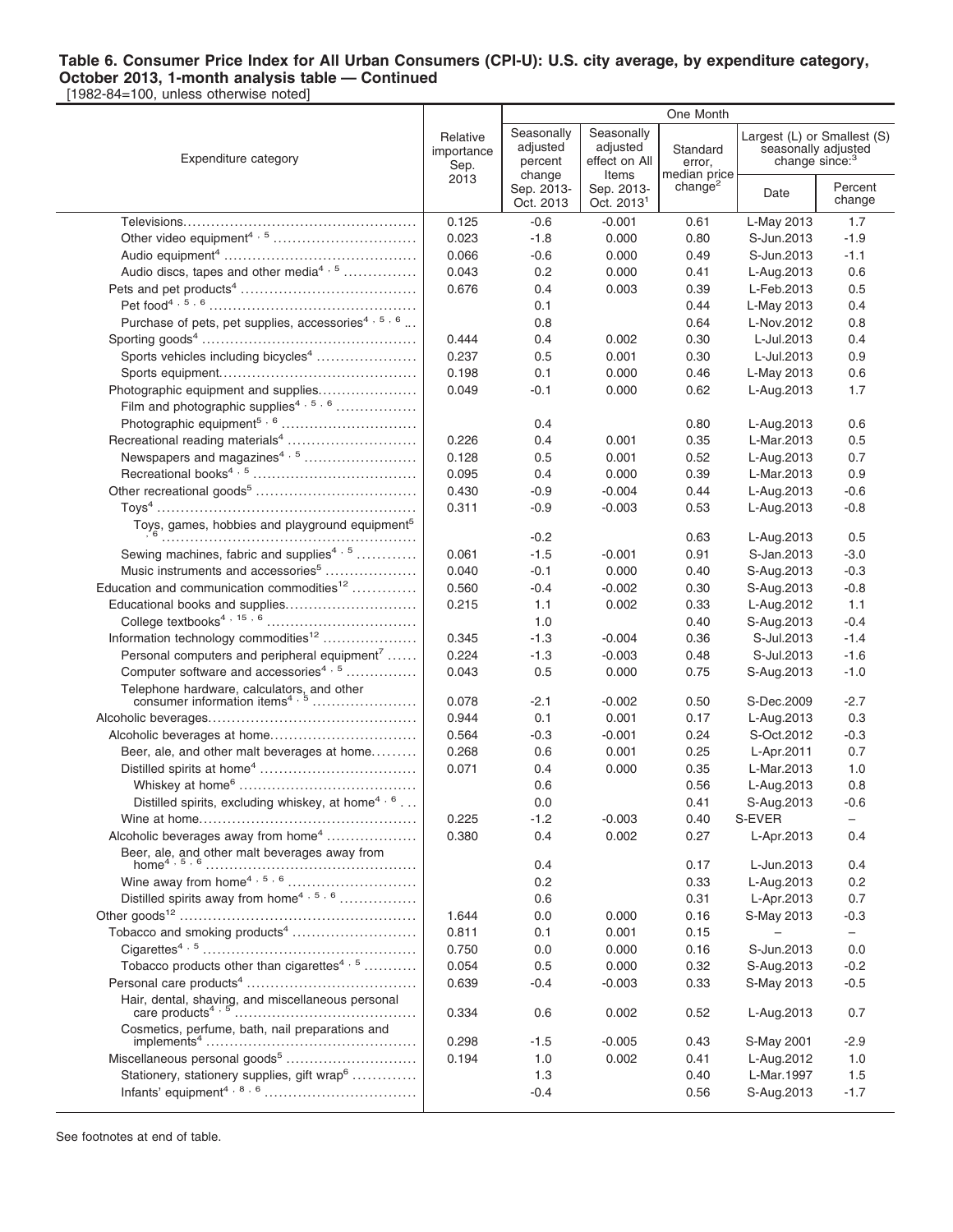[1982-84=100, unless otherwise noted]

|                                                                |                                | One Month                         |                                               |                                     |                                                   |                             |
|----------------------------------------------------------------|--------------------------------|-----------------------------------|-----------------------------------------------|-------------------------------------|---------------------------------------------------|-----------------------------|
| Expenditure category                                           | Relative<br>importance<br>Sep. | Seasonally<br>adjusted<br>percent | Seasonally<br>adjusted<br>effect on All       | Standard<br>error,                  | seasonally adjusted<br>change since: <sup>3</sup> | Largest (L) or Smallest (S) |
|                                                                | 2013                           | change<br>Sep. 2013-<br>Oct. 2013 | Items<br>Sep. 2013-<br>Oct. 2013 <sup>1</sup> | median price<br>change <sup>2</sup> | Date                                              | Percent<br>change           |
|                                                                | 0.125                          | $-0.6$                            | $-0.001$                                      | 0.61                                | L-May 2013                                        | 1.7                         |
|                                                                | 0.023                          | $-1.8$                            | 0.000                                         | 0.80                                | S-Jun.2013                                        | $-1.9$                      |
|                                                                | 0.066                          | $-0.6$                            | 0.000                                         | 0.49                                | S-Jun.2013                                        | $-1.1$                      |
| Audio discs, tapes and other media <sup>4, 5</sup>             | 0.043                          | 0.2                               | 0.000                                         | 0.41                                | L-Aug.2013                                        | 0.6                         |
|                                                                | 0.676                          | 0.4                               | 0.003                                         | 0.39                                | L-Feb.2013                                        | 0.5                         |
|                                                                |                                | 0.1                               |                                               | 0.44                                | L-May 2013                                        | 0.4                         |
| Purchase of pets, pet supplies, accessories <sup>4, 5, 6</sup> |                                | 0.8                               |                                               | 0.64                                | L-Nov.2012                                        | 0.8                         |
|                                                                | 0.444                          | 0.4                               | 0.002                                         | 0.30                                | L-Jul.2013                                        | 0.4                         |
| Sports vehicles including bicycles <sup>4</sup>                | 0.237                          | 0.5                               | 0.001                                         | 0.30                                | L-Jul.2013                                        | 0.9                         |
|                                                                | 0.198                          | 0.1                               | 0.000                                         | 0.46                                | L-May 2013                                        | 0.6                         |
| Photographic equipment and supplies                            | 0.049                          | $-0.1$                            | 0.000                                         | 0.62                                | L-Aug.2013                                        | 1.7                         |
| Film and photographic supplies <sup>4, 5, 6</sup>              |                                |                                   |                                               |                                     |                                                   |                             |
|                                                                |                                | 0.4                               |                                               | 0.80                                | L-Aug.2013                                        | 0.6                         |
|                                                                | 0.226                          | 0.4                               | 0.001                                         | 0.35                                | L-Mar.2013                                        | 0.5                         |
| Newspapers and magazines <sup>4, 5</sup>                       | 0.128                          | 0.5                               | 0.001                                         | 0.52                                | L-Aug.2013                                        | 0.7                         |
|                                                                | 0.095                          | 0.4                               | 0.000                                         | 0.39                                | L-Mar.2013                                        | 0.9                         |
|                                                                | 0.430                          | $-0.9$                            | $-0.004$                                      | 0.44                                | L-Aug.2013                                        | $-0.6$                      |
|                                                                | 0.311                          | $-0.9$                            | $-0.003$                                      | 0.53                                | L-Aug.2013                                        | $-0.8$                      |
| Toys, games, hobbies and playground equipment <sup>5</sup>     |                                | $-0.2$                            |                                               | 0.63                                | L-Aug.2013                                        | 0.5                         |
| Sewing machines, fabric and supplies <sup>4, 5</sup>           | 0.061                          | $-1.5$                            | $-0.001$                                      | 0.91                                | S-Jan.2013                                        | $-3.0$                      |
| Music instruments and accessories <sup>5</sup>                 | 0.040                          | $-0.1$                            | 0.000                                         | 0.40                                | S-Aug.2013                                        | $-0.3$                      |
| Education and communication commodities <sup>12</sup>          | 0.560                          | $-0.4$                            | $-0.002$                                      | 0.30                                | S-Aug.2013                                        | $-0.8$                      |
| Educational books and supplies                                 | 0.215                          | 1.1                               | 0.002                                         | 0.33                                | L-Aug.2012                                        | 1.1                         |
|                                                                |                                | 1.0                               |                                               | 0.40                                | S-Aug.2013                                        | $-0.4$                      |
| Information technology commodities <sup>12</sup>               | 0.345                          | $-1.3$                            | $-0.004$                                      | 0.36                                | S-Jul.2013                                        | $-1.4$                      |
| Personal computers and peripheral equipment <sup>7</sup>       | 0.224                          | $-1.3$                            | $-0.003$                                      | 0.48                                | S-Jul.2013                                        | $-1.6$                      |
| Computer software and accessories <sup>4, 5</sup>              | 0.043                          | 0.5                               | 0.000                                         | 0.75                                | S-Aug.2013                                        | $-1.0$                      |
|                                                                | 0.078                          | $-2.1$                            | $-0.002$                                      | 0.50                                | S-Dec.2009                                        | $-2.7$                      |
|                                                                | 0.944                          | 0.1                               | 0.001                                         | 0.17                                | L-Aug.2013                                        | 0.3                         |
|                                                                | 0.564                          | -0.3                              | $-0.001$                                      | 0.24                                | S-Oct.2012                                        | $-0.3$                      |
| Beer, ale, and other malt beverages at home                    | 0.268                          | 0.6                               | 0.001                                         | 0.25                                | L-Apr.2011                                        | 0.7                         |
|                                                                | 0.071                          | 0.4                               | 0.000                                         | 0.35                                | L-Mar.2013                                        | 1.0                         |
|                                                                |                                | 0.6                               |                                               | 0.56                                | L-Aug.2013                                        | 0.8                         |
| Distilled spirits, excluding whiskey, at home <sup>4, 6</sup>  |                                | 0.0                               |                                               | 0.41                                | S-Aug.2013                                        | $-0.6$                      |
|                                                                | 0.225                          | $-1.2$                            | -0.003                                        | 0.40                                | S-EVER                                            | $\overline{\phantom{0}}$    |
| Alcoholic beverages away from home <sup>4</sup>                | 0.380                          | 0.4                               | 0.002                                         | 0.27                                | L-Apr.2013                                        | 0.4                         |
|                                                                |                                | 0.4                               |                                               | 0.17                                | L-Jun.2013                                        | 0.4                         |
|                                                                |                                | 0.2                               |                                               | 0.33                                | L-Aug.2013                                        | 0.2                         |
| Distilled spirits away from home <sup>4, 5, 6</sup>            |                                | 0.6                               |                                               | 0.31                                | L-Apr.2013                                        | 0.7                         |
|                                                                | 1.644                          | 0.0                               | 0.000                                         | 0.16                                | S-May 2013                                        | $-0.3$                      |
| Tobacco and smoking products <sup>4</sup>                      | 0.811                          | 0.1                               | 0.001                                         | 0.15                                |                                                   | -                           |
|                                                                | 0.750                          | 0.0                               | 0.000                                         | 0.16                                | S-Jun.2013                                        | 0.0                         |
| Tobacco products other than cigarettes <sup>4, 5</sup>         | 0.054<br>0.639                 | 0.5<br>$-0.4$                     | 0.000<br>$-0.003$                             | 0.32<br>0.33                        | S-Aug.2013<br>S-May 2013                          | $-0.2$<br>$-0.5$            |
| Hair, dental, shaving, and miscellaneous personal              | 0.334                          | 0.6                               | 0.002                                         | 0.52                                | L-Aug.2013                                        | 0.7                         |
| Cosmetics, perfume, bath, nail preparations and                | 0.298                          | $-1.5$                            | $-0.005$                                      | 0.43                                | S-May 2001                                        | $-2.9$                      |
| Miscellaneous personal goods <sup>5</sup>                      | 0.194                          | 1.0                               | 0.002                                         | 0.41                                | L-Aug.2012                                        | 1.0                         |
| Stationery, stationery supplies, gift wrap <sup>6</sup>        |                                | 1.3                               |                                               | 0.40                                | L-Mar.1997                                        | 1.5                         |
|                                                                |                                | $-0.4$                            |                                               | 0.56                                | S-Aug.2013                                        | $-1.7$                      |
|                                                                |                                |                                   |                                               |                                     |                                                   |                             |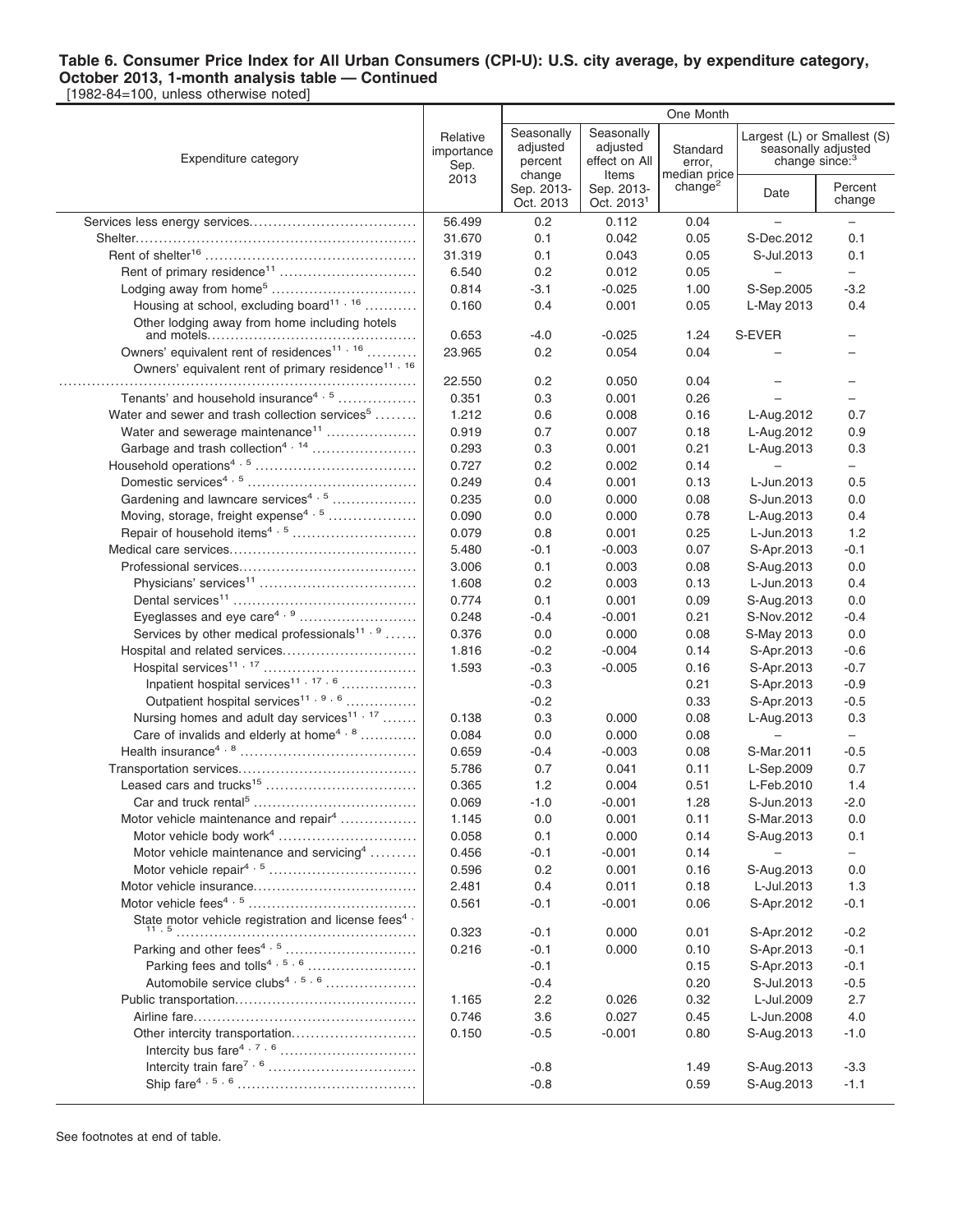|                                                                                                                |                                |                                   |                                               | One Month                           |                                                                                  |                          |
|----------------------------------------------------------------------------------------------------------------|--------------------------------|-----------------------------------|-----------------------------------------------|-------------------------------------|----------------------------------------------------------------------------------|--------------------------|
| Expenditure category                                                                                           | Relative<br>importance<br>Sep. | Seasonally<br>adjusted<br>percent | Seasonally<br>adjusted<br>effect on All       | Standard<br>error,                  | Largest (L) or Smallest (S)<br>seasonally adjusted<br>change since: <sup>3</sup> |                          |
|                                                                                                                | 2013                           | change<br>Sep. 2013-<br>Oct. 2013 | Items<br>Sep. 2013-<br>Oct. 2013 <sup>1</sup> | median price<br>change <sup>2</sup> | Date                                                                             | Percent<br>change        |
|                                                                                                                | 56.499                         | 0.2                               | 0.112                                         | 0.04                                |                                                                                  | $\overline{\phantom{0}}$ |
|                                                                                                                | 31.670                         | 0.1                               | 0.042                                         | 0.05                                | S-Dec.2012                                                                       | 0.1                      |
|                                                                                                                | 31.319                         | 0.1                               | 0.043                                         | 0.05                                | S-Jul.2013                                                                       | 0.1                      |
|                                                                                                                | 6.540                          | 0.2                               | 0.012                                         | 0.05                                |                                                                                  | $\overline{\phantom{0}}$ |
|                                                                                                                | 0.814                          | $-3.1$                            | $-0.025$                                      | 1.00                                | S-Sep.2005                                                                       | $-3.2$                   |
| Housing at school, excluding board <sup>11, 16</sup>                                                           | 0.160                          | 0.4                               | 0.001                                         | 0.05                                | L-May 2013                                                                       | 0.4                      |
| Other lodging away from home including hotels                                                                  | 0.653                          | $-4.0$                            | $-0.025$                                      | 1.24                                | S-EVER                                                                           |                          |
| Owners' equivalent rent of residences <sup>11, 16</sup>                                                        | 23.965                         | 0.2                               | 0.054                                         | 0.04                                |                                                                                  |                          |
| Owners' equivalent rent of primary residence <sup>11, 16</sup>                                                 |                                |                                   |                                               |                                     |                                                                                  |                          |
|                                                                                                                | 22.550                         | 0.2                               | 0.050                                         | 0.04                                | $\qquad \qquad -$                                                                |                          |
| Tenants' and household insurance <sup>4, 5</sup>                                                               | 0.351                          | 0.3                               | 0.001                                         | 0.26                                |                                                                                  |                          |
| Water and sewer and trash collection services <sup>5</sup>                                                     | 1.212                          | 0.6                               | 0.008                                         | 0.16                                | L-Aug.2012                                                                       | 0.7                      |
| Water and sewerage maintenance <sup>11</sup>                                                                   | 0.919                          | 0.7                               | 0.007                                         | 0.18                                | L-Aug.2012                                                                       | 0.9                      |
| Garbage and trash collection <sup>4, 14</sup>                                                                  | 0.293                          | 0.3                               | 0.001                                         | 0.21                                | L-Aug.2013                                                                       | 0.3                      |
|                                                                                                                | 0.727                          | 0.2                               | 0.002                                         | 0.14                                | $\overline{\phantom{0}}$                                                         | $\overline{\phantom{0}}$ |
|                                                                                                                | 0.249                          | 0.4                               | 0.001                                         | 0.13                                | L-Jun.2013                                                                       | 0.5                      |
| Gardening and lawncare services <sup>4, 5</sup>                                                                | 0.235                          | 0.0                               | 0.000                                         | 0.08                                | S-Jun.2013                                                                       | 0.0                      |
| Moving, storage, freight expense <sup>4, 5</sup>                                                               | 0.090                          | 0.0                               | 0.000                                         | 0.78                                | L-Aug.2013                                                                       | 0.4                      |
|                                                                                                                | 0.079                          | 0.8                               | 0.001                                         | 0.25                                | L-Jun.2013                                                                       | 1.2                      |
|                                                                                                                | 5.480                          | -0.1                              | $-0.003$                                      | 0.07                                | S-Apr.2013                                                                       | $-0.1$                   |
|                                                                                                                | 3.006                          | 0.1                               | 0.003                                         | 0.08                                | S-Aug.2013                                                                       | 0.0                      |
|                                                                                                                | 1.608                          | 0.2                               | 0.003                                         | 0.13                                | L-Jun.2013                                                                       | 0.4                      |
|                                                                                                                | 0.774                          | 0.1                               | 0.001                                         | 0.09                                | S-Aug.2013                                                                       | 0.0                      |
|                                                                                                                | 0.248                          | $-0.4$                            | $-0.001$                                      | 0.21                                | S-Nov.2012                                                                       | $-0.4$                   |
| Services by other medical professionals <sup>11, 9</sup>                                                       | 0.376                          | 0.0                               | 0.000                                         | 0.08                                | S-May 2013                                                                       | 0.0                      |
| Hospital and related services                                                                                  | 1.816                          | $-0.2$                            | $-0.004$                                      | 0.14                                | S-Apr.2013                                                                       | $-0.6$                   |
|                                                                                                                | 1.593                          | $-0.3$                            | $-0.005$                                      | 0.16                                | S-Apr.2013                                                                       | $-0.7$                   |
| Inpatient hospital services <sup>11, 17, 6</sup>                                                               |                                | $-0.3$                            |                                               | 0.21                                | S-Apr.2013                                                                       | $-0.9$                   |
| Outpatient hospital services <sup>11, 9, 6</sup>                                                               |                                | $-0.2$                            |                                               | 0.33                                | S-Apr.2013                                                                       | $-0.5$                   |
| Nursing homes and adult day services <sup>11, 17</sup>                                                         | 0.138                          | 0.3                               | 0.000                                         | 0.08                                | L-Aug.2013                                                                       | 0.3                      |
| Care of invalids and elderly at home <sup>4, 8</sup>                                                           | 0.084                          | 0.0                               | 0.000                                         | 0.08                                |                                                                                  | $\overline{\phantom{0}}$ |
|                                                                                                                | 0.659                          | $-0.4$                            | $-0.003$                                      | 0.08                                | S-Mar.2011                                                                       | $-0.5$                   |
|                                                                                                                | 5.786                          | 0.7                               | 0.041                                         | 0.11                                | L-Sep.2009                                                                       | 0.7                      |
|                                                                                                                | 0.365                          | 1.2                               | 0.004                                         | 0.51                                | L-Feb.2010                                                                       | 1.4                      |
|                                                                                                                | 0.069                          | $-1.0$                            | $-0.001$                                      | 1.28                                | S-Jun.2013                                                                       | $-2.0$                   |
| Motor vehicle maintenance and repair <sup>4</sup>                                                              | 1.145                          | 0.0                               | 0.001                                         | 0.11                                | S-Mar.2013                                                                       | 0.0                      |
| Motor vehicle body work <sup>4</sup>                                                                           | 0.058                          | 0.1                               | 0.000                                         | 0.14                                | S-Aug.2013                                                                       | 0.1                      |
| Motor vehicle maintenance and servicing <sup>4</sup>                                                           | 0.456                          | $-0.1$                            | $-0.001$                                      | 0.14                                | $\overline{\phantom{0}}$                                                         | $-$                      |
| Motor vehicle repair <sup>4, 5</sup>                                                                           | 0.596                          | 0.2                               | 0.001                                         | 0.16                                | S-Aug.2013                                                                       | 0.0                      |
|                                                                                                                | 2.481                          | 0.4                               | 0.011                                         | 0.18                                | L-Jul.2013                                                                       | 1.3                      |
|                                                                                                                | 0.561                          | $-0.1$                            | $-0.001$                                      | 0.06                                | S-Apr.2012                                                                       | $-0.1$                   |
| State motor vehicle registration and license fees <sup>4</sup> <sup>,</sup>                                    |                                |                                   |                                               |                                     |                                                                                  |                          |
|                                                                                                                | 0.323                          | $-0.1$                            | 0.000                                         | 0.01                                | S-Apr.2012                                                                       | $-0.2$                   |
|                                                                                                                | 0.216                          | $-0.1$                            | 0.000                                         | 0.10                                | S-Apr.2013                                                                       | $-0.1$                   |
|                                                                                                                |                                | $-0.1$                            |                                               | 0.15                                | S-Apr.2013                                                                       | $-0.1$                   |
| Automobile service clubs <sup>4, 5, 6</sup>                                                                    |                                | $-0.4$                            |                                               | 0.20                                | S-Jul.2013                                                                       | $-0.5$                   |
|                                                                                                                | 1.165                          | 2.2                               | 0.026                                         | 0.32                                | L-Jul.2009                                                                       | 2.7                      |
|                                                                                                                | 0.746                          | 3.6                               | 0.027                                         | 0.45                                | L-Jun.2008                                                                       | 4.0                      |
| Other intercity transportation<br>Intercity bus fare $4, 7, 6, \ldots, \ldots, \ldots, \ldots, \ldots, \ldots$ | 0.150                          | $-0.5$                            | $-0.001$                                      | 0.80                                | S-Aug.2013                                                                       | $-1.0$                   |
|                                                                                                                |                                | $-0.8$                            |                                               | 1.49                                | S-Aug.2013                                                                       | $-3.3$                   |
|                                                                                                                |                                | $-0.8$                            |                                               | 0.59                                | S-Aug.2013                                                                       | $-1.1$                   |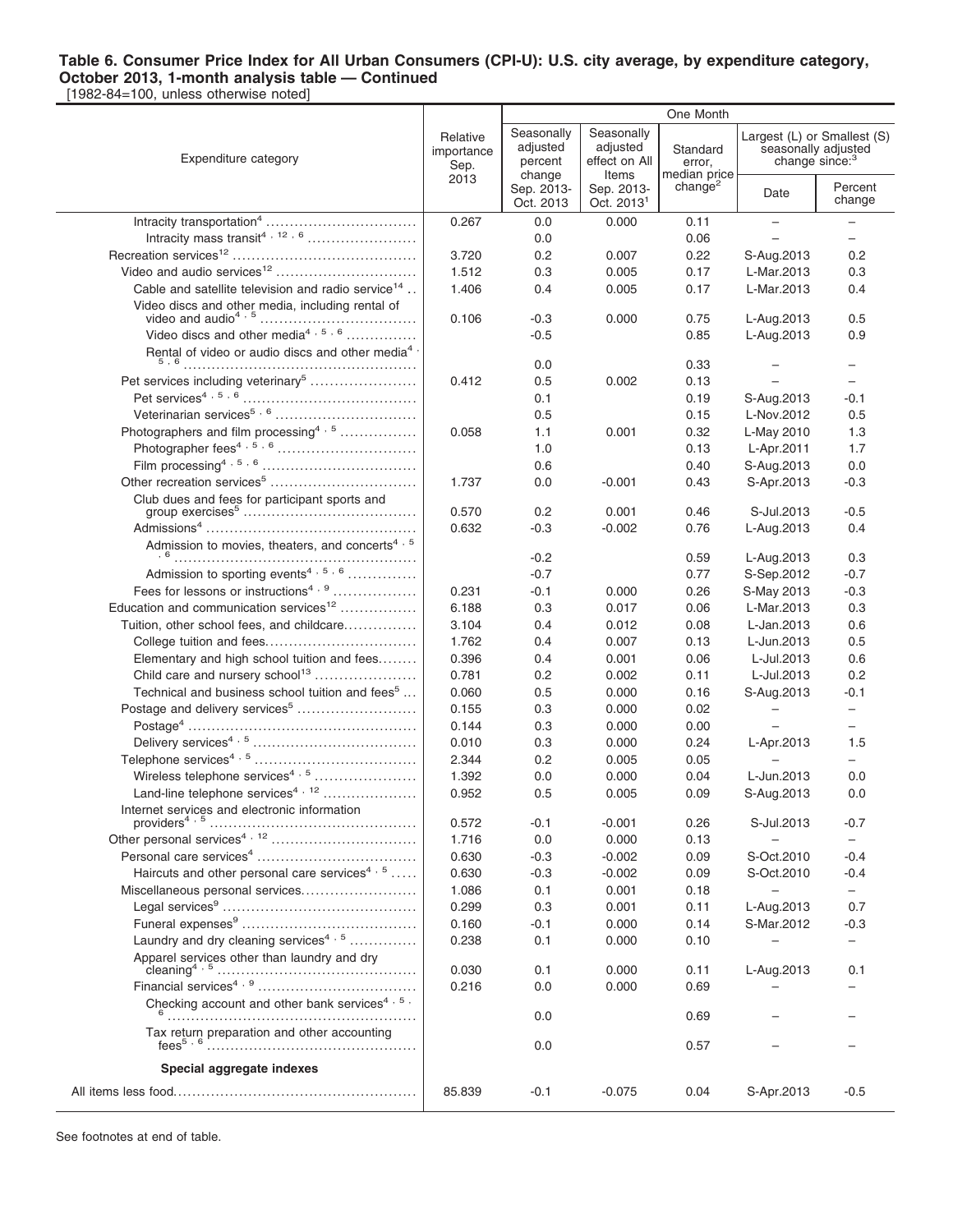[1982-84=100, unless otherwise noted]

|                                                                                            |                                | One Month                         |                                               |                                     |                                                   |                             |
|--------------------------------------------------------------------------------------------|--------------------------------|-----------------------------------|-----------------------------------------------|-------------------------------------|---------------------------------------------------|-----------------------------|
| Expenditure category                                                                       | Relative<br>importance<br>Sep. | Seasonally<br>adjusted<br>percent | Seasonally<br>adjusted<br>effect on All       | Standard<br>error,                  | seasonally adjusted<br>change since: <sup>3</sup> | Largest (L) or Smallest (S) |
|                                                                                            | 2013                           | change<br>Sep. 2013-<br>Oct. 2013 | Items<br>Sep. 2013-<br>Oct. 2013 <sup>1</sup> | median price<br>change <sup>2</sup> | Date                                              | Percent<br>change           |
| Intracity transportation <sup>4</sup>                                                      | 0.267                          | 0.0                               | 0.000                                         | 0.11                                | $\overline{\phantom{0}}$                          | $\overline{\phantom{0}}$    |
|                                                                                            |                                | 0.0                               |                                               | 0.06                                |                                                   | $\overline{\phantom{0}}$    |
|                                                                                            | 3.720                          | 0.2                               | 0.007                                         | 0.22                                | S-Aug.2013                                        | 0.2                         |
|                                                                                            | 1.512                          | 0.3                               | 0.005                                         | 0.17                                | L-Mar.2013                                        | 0.3                         |
| Cable and satellite television and radio service <sup>14</sup>                             | 1.406                          | 0.4                               | 0.005                                         | 0.17                                | L-Mar.2013                                        | 0.4                         |
|                                                                                            |                                |                                   |                                               |                                     |                                                   |                             |
|                                                                                            | 0.106                          | $-0.3$                            | 0.000                                         | 0.75                                | L-Aug.2013                                        | 0.5                         |
| Video discs and other media <sup>4, 5, 6</sup>                                             |                                | $-0.5$                            |                                               | 0.85                                | L-Aug.2013                                        | 0.9                         |
| Rental of video or audio discs and other media <sup>4</sup>                                |                                | 0.0                               |                                               | 0.33                                |                                                   | $\overline{\phantom{0}}$    |
| Pet services including veterinary <sup>5</sup>                                             | 0.412                          | 0.5                               | 0.002                                         | 0.13                                |                                                   |                             |
|                                                                                            |                                | 0.1                               |                                               | 0.19                                | S-Aug.2013                                        | $-0.1$                      |
|                                                                                            |                                | 0.5                               |                                               | 0.15                                | L-Nov.2012                                        | 0.5                         |
| Photographers and film processing <sup>4, 5</sup>                                          | 0.058                          | 1.1                               | 0.001                                         | 0.32                                | L-May 2010                                        | 1.3                         |
|                                                                                            |                                | 1.0                               |                                               | 0.13                                | L-Apr.2011                                        | 1.7                         |
|                                                                                            |                                | 0.6                               |                                               | 0.40                                | S-Aug.2013                                        | 0.0                         |
| Other recreation services <sup>5</sup>                                                     | 1.737                          | 0.0                               | $-0.001$                                      | 0.43                                | S-Apr.2013                                        | $-0.3$                      |
| Club dues and fees for participant sports and                                              |                                |                                   |                                               |                                     |                                                   |                             |
|                                                                                            | 0.570                          | 0.2                               | 0.001                                         | 0.46                                | S-Jul.2013                                        | $-0.5$                      |
|                                                                                            | 0.632                          | $-0.3$                            | $-0.002$                                      | 0.76                                | L-Aug.2013                                        | 0.4                         |
| Admission to movies, theaters, and concerts <sup>4, 5</sup>                                |                                |                                   |                                               |                                     |                                                   |                             |
|                                                                                            |                                | $-0.2$                            |                                               | 0.59                                | L-Aug.2013                                        | 0.3                         |
| Admission to sporting events <sup>4, 5, 6</sup>                                            |                                | $-0.7$                            |                                               | 0.77                                | S-Sep.2012                                        | $-0.7$                      |
| Fees for lessons or instructions <sup>4, 9</sup>                                           | 0.231                          | $-0.1$                            | 0.000                                         | 0.26                                | S-May 2013                                        | $-0.3$                      |
| Education and communication services <sup>12</sup>                                         | 6.188                          | 0.3                               | 0.017                                         | 0.06                                | L-Mar.2013                                        | 0.3                         |
| Tuition, other school fees, and childcare                                                  | 3.104                          | 0.4                               | 0.012                                         | 0.08                                | L-Jan.2013                                        | 0.6                         |
| College tuition and fees                                                                   | 1.762                          | 0.4                               | 0.007                                         | 0.13                                | L-Jun.2013                                        | 0.5                         |
| Elementary and high school tuition and fees<br>Child care and nursery school <sup>13</sup> | 0.396<br>0.781                 | 0.4<br>0.2                        | 0.001                                         | 0.06<br>0.11                        | L-Jul.2013<br>L-Jul.2013                          | 0.6<br>0.2                  |
| Technical and business school tuition and fees <sup>5</sup>                                | 0.060                          | 0.5                               | 0.002<br>0.000                                | 0.16                                | S-Aug.2013                                        | $-0.1$                      |
| Postage and delivery services <sup>5</sup>                                                 | 0.155                          | 0.3                               | 0.000                                         | 0.02                                | $\overline{\phantom{0}}$                          | $\overline{\phantom{0}}$    |
|                                                                                            | 0.144                          | 0.3                               | 0.000                                         | 0.00                                |                                                   | -                           |
|                                                                                            | 0.010                          | 0.3                               | 0.000                                         | 0.24                                | L-Apr.2013                                        | 1.5                         |
|                                                                                            | 2.344                          | 0.2                               | 0.005                                         | 0.05                                | $\overline{\phantom{0}}$                          | $\overline{\phantom{0}}$    |
| Wireless telephone services <sup>4, 5</sup>                                                | 1.392                          | 0.0                               | 0.000                                         | 0.04                                | L-Jun.2013                                        | 0.0                         |
| Land-line telephone services <sup>4, 12</sup>                                              | 0.952                          | 0.5                               | 0.005                                         | 0.09                                | S-Aug.2013                                        | 0.0                         |
| Internet services and electronic information                                               |                                |                                   |                                               |                                     |                                                   |                             |
| provides <sup>4</sup> , 5                                                                  | 0.572                          | $-0.1$                            | $-0.001$                                      | 0.26                                | S-Jul.2013                                        | $-0.7$                      |
|                                                                                            | 1.716                          | 0.0                               | 0.000                                         | 0.13                                |                                                   | $\overline{\phantom{0}}$    |
|                                                                                            | 0.630                          | $-0.3$                            | $-0.002$                                      | 0.09                                | S-Oct.2010                                        | $-0.4$                      |
| Haircuts and other personal care services <sup>4, 5</sup>                                  | 0.630                          | $-0.3$                            | $-0.002$                                      | 0.09                                | S-Oct.2010                                        | $-0.4$                      |
| Miscellaneous personal services                                                            | 1.086                          | 0.1                               | 0.001                                         | 0.18                                | $\overline{\phantom{0}}$                          | $-$                         |
|                                                                                            | 0.299                          | 0.3                               | 0.001                                         | 0.11                                | L-Aug.2013                                        | 0.7                         |
|                                                                                            | 0.160                          | $-0.1$                            | 0.000                                         | 0.14                                | S-Mar.2012                                        | $-0.3$                      |
| Laundry and dry cleaning services <sup>4, 5</sup>                                          | 0.238                          | 0.1                               | 0.000                                         | 0.10                                | $\overline{\phantom{0}}$                          | $\overline{\phantom{0}}$    |
| Apparel services other than laundry and dry                                                |                                |                                   |                                               |                                     |                                                   |                             |
|                                                                                            | 0.030<br>0.216                 | 0.1<br>0.0                        | 0.000<br>0.000                                | 0.11<br>0.69                        | L-Aug.2013                                        | 0.1                         |
| Checking account and other bank services <sup>4, 5,</sup>                                  |                                |                                   |                                               |                                     |                                                   |                             |
|                                                                                            |                                | 0.0                               |                                               | 0.69                                |                                                   |                             |
| Tax return preparation and other accounting                                                |                                |                                   |                                               |                                     |                                                   |                             |
|                                                                                            |                                | 0.0                               |                                               | 0.57                                |                                                   |                             |
| Special aggregate indexes                                                                  |                                |                                   |                                               |                                     |                                                   |                             |
|                                                                                            | 85.839                         | $-0.1$                            | $-0.075$                                      | 0.04                                | S-Apr.2013                                        | $-0.5$                      |
|                                                                                            |                                |                                   |                                               |                                     |                                                   |                             |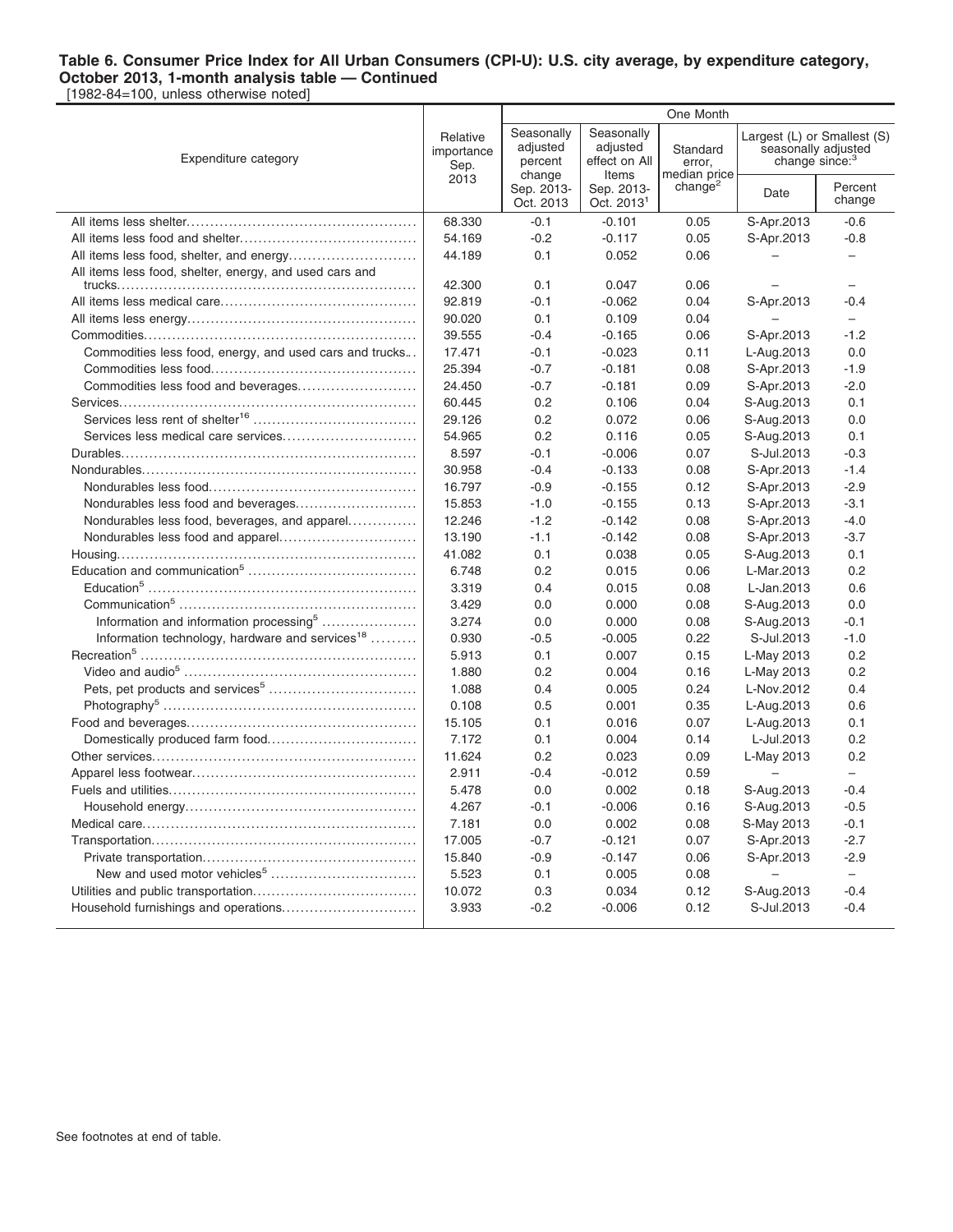|                                                             |                                |                                             |                                                  | One Month                          |                                                                                  |                          |
|-------------------------------------------------------------|--------------------------------|---------------------------------------------|--------------------------------------------------|------------------------------------|----------------------------------------------------------------------------------|--------------------------|
| Expenditure category                                        | Relative<br>importance<br>Sep. | Seasonally<br>adjusted<br>percent<br>change | Seasonally<br>adjusted<br>effect on All<br>Items | Standard<br>error,<br>median price | Largest (L) or Smallest (S)<br>seasonally adjusted<br>change since: <sup>3</sup> |                          |
|                                                             | 2013                           | Sep. 2013-<br>Oct. 2013                     | Sep. 2013-<br>Oct. 2013 <sup>1</sup>             | change <sup>2</sup>                | Date                                                                             | Percent<br>change        |
|                                                             | 68.330                         | $-0.1$                                      | $-0.101$                                         | 0.05                               | S-Apr.2013                                                                       | $-0.6$                   |
|                                                             | 54.169                         | $-0.2$                                      | $-0.117$                                         | 0.05                               | S-Apr.2013                                                                       | $-0.8$                   |
|                                                             | 44.189                         | 0.1                                         | 0.052                                            | 0.06                               |                                                                                  | $\overline{\phantom{0}}$ |
| All items less food, shelter, energy, and used cars and     |                                |                                             |                                                  |                                    |                                                                                  |                          |
|                                                             | 42.300                         | 0.1                                         | 0.047                                            | 0.06                               |                                                                                  |                          |
|                                                             | 92.819                         | $-0.1$                                      | $-0.062$                                         | 0.04                               | S-Apr.2013                                                                       | $-0.4$                   |
|                                                             | 90.020                         | 0.1                                         | 0.109                                            | 0.04                               |                                                                                  | $\overline{\phantom{0}}$ |
|                                                             | 39.555                         | $-0.4$                                      | $-0.165$                                         | 0.06                               | S-Apr.2013                                                                       | $-1.2$                   |
| Commodities less food, energy, and used cars and trucks     | 17.471                         | $-0.1$                                      | $-0.023$                                         | 0.11                               | L-Aug.2013                                                                       | 0.0                      |
|                                                             | 25.394                         | $-0.7$                                      | $-0.181$                                         | 0.08                               | S-Apr.2013                                                                       | $-1.9$                   |
| Commodities less food and beverages                         | 24.450                         | $-0.7$                                      | $-0.181$                                         | 0.09                               | S-Apr.2013                                                                       | $-2.0$                   |
|                                                             | 60.445                         | 0.2                                         | 0.106                                            | 0.04                               | S-Aug.2013                                                                       | 0.1                      |
|                                                             | 29.126                         | 0.2                                         | 0.072                                            | 0.06                               | S-Aug.2013                                                                       | 0.0                      |
|                                                             | 54.965                         | 0.2                                         | 0.116                                            | 0.05                               | S-Aug.2013                                                                       | 0.1                      |
|                                                             | 8.597                          | $-0.1$                                      | $-0.006$                                         | 0.07                               | S-Jul.2013                                                                       | $-0.3$                   |
|                                                             | 30.958                         | $-0.4$                                      | $-0.133$                                         | 0.08                               | S-Apr.2013                                                                       | $-1.4$                   |
|                                                             | 16.797                         | $-0.9$                                      | $-0.155$                                         | 0.12                               | S-Apr.2013                                                                       | $-2.9$                   |
|                                                             | 15.853                         | $-1.0$                                      | $-0.155$                                         | 0.13                               | S-Apr.2013                                                                       | $-3.1$                   |
| Nondurables less food, beverages, and apparel               | 12.246                         | $-1.2$                                      | $-0.142$                                         | 0.08                               | S-Apr.2013                                                                       | $-4.0$                   |
|                                                             | 13.190                         | $-1.1$                                      | $-0.142$                                         | 0.08                               | S-Apr.2013                                                                       | $-3.7$                   |
|                                                             | 41.082                         | 0.1                                         | 0.038                                            | 0.05                               | S-Aug.2013                                                                       | 0.1                      |
|                                                             | 6.748                          | 0.2                                         | 0.015                                            | 0.06                               | L-Mar.2013                                                                       | 0.2                      |
|                                                             | 3.319                          | 0.4                                         | 0.015                                            | 0.08                               | L-Jan.2013                                                                       | 0.6                      |
|                                                             | 3.429                          | 0.0                                         | 0.000                                            | 0.08                               | S-Aug.2013                                                                       | 0.0                      |
| Information and information processing <sup>5</sup>         | 3.274                          | 0.0                                         | 0.000                                            | 0.08                               | S-Aug.2013                                                                       | $-0.1$                   |
| Information technology, hardware and services <sup>18</sup> | 0.930                          | $-0.5$                                      | $-0.005$                                         | 0.22                               | S-Jul.2013                                                                       | $-1.0$                   |
|                                                             | 5.913                          | 0.1                                         | 0.007                                            | 0.15                               | L-May 2013                                                                       | 0.2                      |
|                                                             | 1.880                          | 0.2                                         | 0.004                                            | 0.16                               | L-May 2013                                                                       | 0.2                      |
|                                                             | 1.088                          | 0.4                                         | 0.005                                            | 0.24                               | L-Nov.2012                                                                       | 0.4                      |
|                                                             | 0.108                          | 0.5                                         | 0.001                                            | 0.35                               | L-Aug.2013                                                                       | 0.6                      |
|                                                             | 15.105                         | 0.1                                         | 0.016                                            | 0.07                               | L-Aug.2013                                                                       | 0.1                      |
|                                                             | 7.172                          | 0.1                                         | 0.004                                            | 0.14                               | L-Jul.2013                                                                       | 0.2                      |
|                                                             | 11.624                         | 0.2                                         | 0.023                                            | 0.09                               | L-May 2013                                                                       | 0.2                      |
|                                                             | 2.911                          | $-0.4$                                      | $-0.012$                                         | 0.59                               |                                                                                  |                          |
|                                                             | 5.478                          | 0.0                                         | 0.002                                            | 0.18                               | S-Aug.2013                                                                       | $-0.4$                   |
|                                                             | 4.267                          | $-0.1$                                      | $-0.006$                                         | 0.16                               | S-Aug.2013                                                                       | $-0.5$                   |
|                                                             | 7.181                          | 0.0                                         | 0.002                                            | 0.08                               | S-May 2013                                                                       | $-0.1$                   |
|                                                             | 17.005                         | $-0.7$                                      | $-0.121$                                         | 0.07                               | S-Apr.2013                                                                       | $-2.7$                   |
|                                                             | 15.840                         | $-0.9$                                      | $-0.147$                                         | 0.06                               | S-Apr.2013                                                                       | $-2.9$                   |
|                                                             | 5.523                          | 0.1                                         | 0.005                                            | 0.08                               |                                                                                  | $-$                      |
|                                                             | 10.072                         | 0.3                                         | 0.034                                            | 0.12                               | S-Aug.2013                                                                       | $-0.4$                   |
| Household furnishings and operations                        | 3.933                          | $-0.2$                                      | $-0.006$                                         | 0.12                               | S-Jul.2013                                                                       | $-0.4$                   |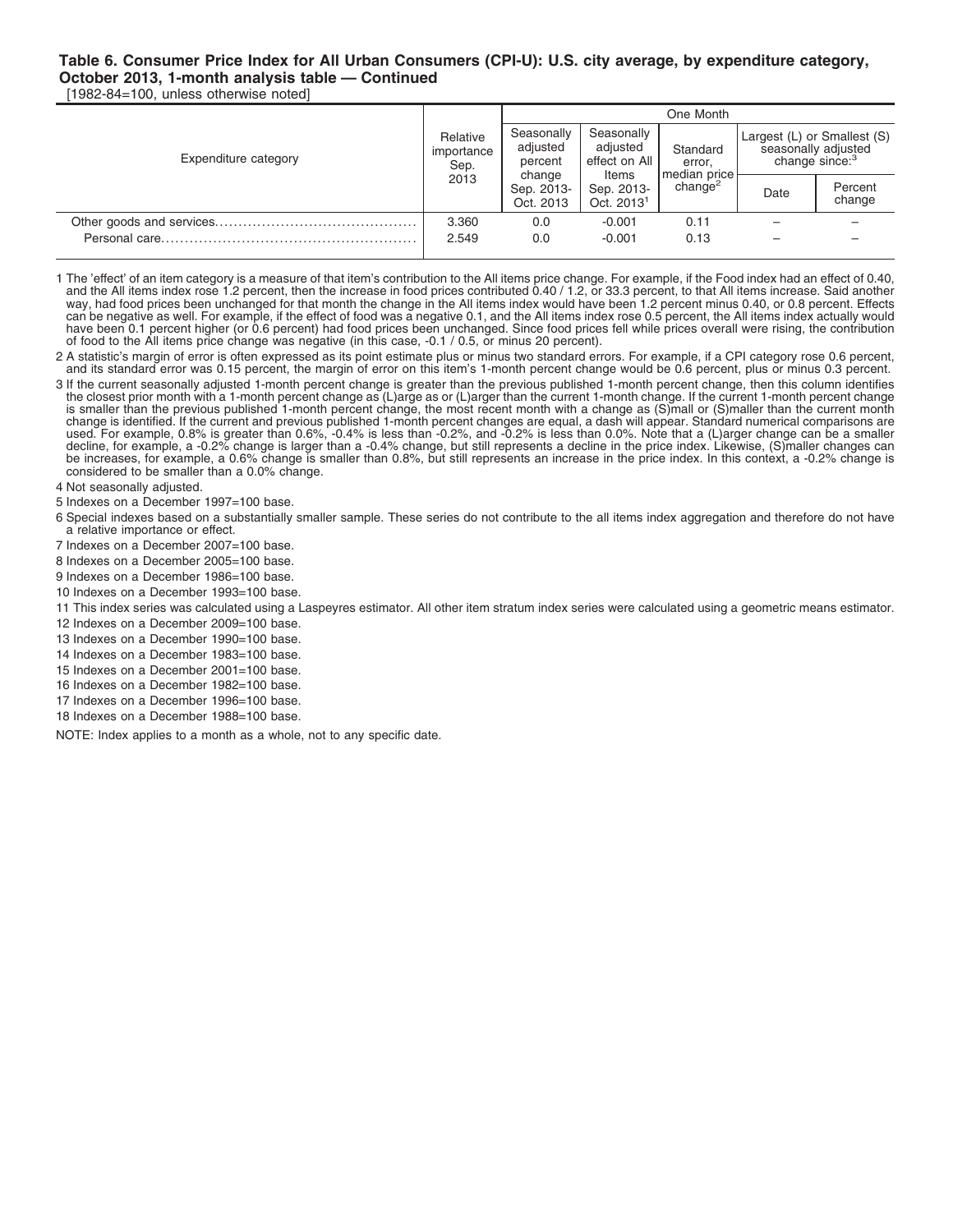[1982-84=100, unless otherwise noted]

|                                        |                                   |                                         | One Month                                                           |                                                                                  |                   |
|----------------------------------------|-----------------------------------|-----------------------------------------|---------------------------------------------------------------------|----------------------------------------------------------------------------------|-------------------|
| Relative<br>importance<br>Sep.<br>2013 | Seasonally<br>adjusted<br>percent | Seasonally<br>adjusted<br>effect on All | Standard<br>error.<br> median price <br>change <sup>2</sup><br>Date | Largest (L) or Smallest (S)<br>seasonally adjusted<br>change since: <sup>3</sup> |                   |
|                                        | Sep. 2013-<br>Oct. 2013           | Sep. 2013-<br>Oct. 2013 <sup>1</sup>    |                                                                     |                                                                                  | Percent<br>change |
| 3.360                                  | 0.0                               | $-0.001$                                | 0.11                                                                |                                                                                  |                   |
| 2.549                                  | 0.0                               | $-0.001$                                | 0.13                                                                |                                                                                  |                   |
|                                        |                                   | change                                  | Items                                                               |                                                                                  |                   |

1 The 'effect' of an item category is a measure of that item's contribution to the All items price change. For example, if the Food index had an effect of 0.40,<br>and the All items index rose 1.2 percent, then the increase i way, had food prices been unchanged for that month the change in the All items index would have been 1.2 percent minus 0.40, or 0.8 percent. Effects can be negative as well. For example, if the effect of food was a negative 0.1, and the All items index rose 0.5 percent, the All items index actually would have been 0.1 percent higher (or 0.6 percent) had food prices been unchanged. Since food prices fell while prices overall were rising, the contribution of food to the All items price change was negative (in this case, -0.1 / 0.5, or minus 20 percent).

2 A statistic's margin of error is often expressed as its point estimate plus or minus two standard errors. For example, if a CPI category rose 0.6 percent, and its standard error was 0.15 percent, the margin of error on this item's 1-month percent change would be 0.6 percent, plus or minus 0.3 percent.

- 3 If the current seasonally adjusted 1-month percent change is greater than the previous published 1-month percent change, then this column identifies the closest prior month with a 1-month percent change as (L)arge as or (L)arger than the current 1-month change. If the current 1-month percent change is smaller than the previous published 1-month percent change, the most recent month with a change as (S)mall or (S)maller than the current month change is identified. If the current and previous published 1-month percent changes are equal, a dash will appear. Standard numerical comparisons are used. For example, 0.8% is greater than 0.6%, -0.4% is less than -0.2%, and -0.2% is less than 0.0%. Note that a (L)arger change can be a smaller<br>decline, for example, a -0.2% change is larger than a -0.4% change, but stil be increases, for example, a 0.6% change is smaller than 0.8%, but still represents an increase in the price index. In this context, a -0.2% change is considered to be smaller than a 0.0% change.
- 4 Not seasonally adjusted.

5 Indexes on a December 1997=100 base.

- 6 Special indexes based on a substantially smaller sample. These series do not contribute to the all items index aggregation and therefore do not have a relative importance or effect.
- 7 Indexes on a December 2007=100 base.
- 8 Indexes on a December 2005=100 base.
- 9 Indexes on a December 1986=100 base.
- 10 Indexes on a December 1993=100 base.
- 11 This index series was calculated using a Laspeyres estimator. All other item stratum index series were calculated using a geometric means estimator.
- 12 Indexes on a December 2009=100 base.
- 13 Indexes on a December 1990=100 base.
- 14 Indexes on a December 1983=100 base.
- 15 Indexes on a December 2001=100 base.
- 16 Indexes on a December 1982=100 base.
- 17 Indexes on a December 1996=100 base.
- 18 Indexes on a December 1988=100 base.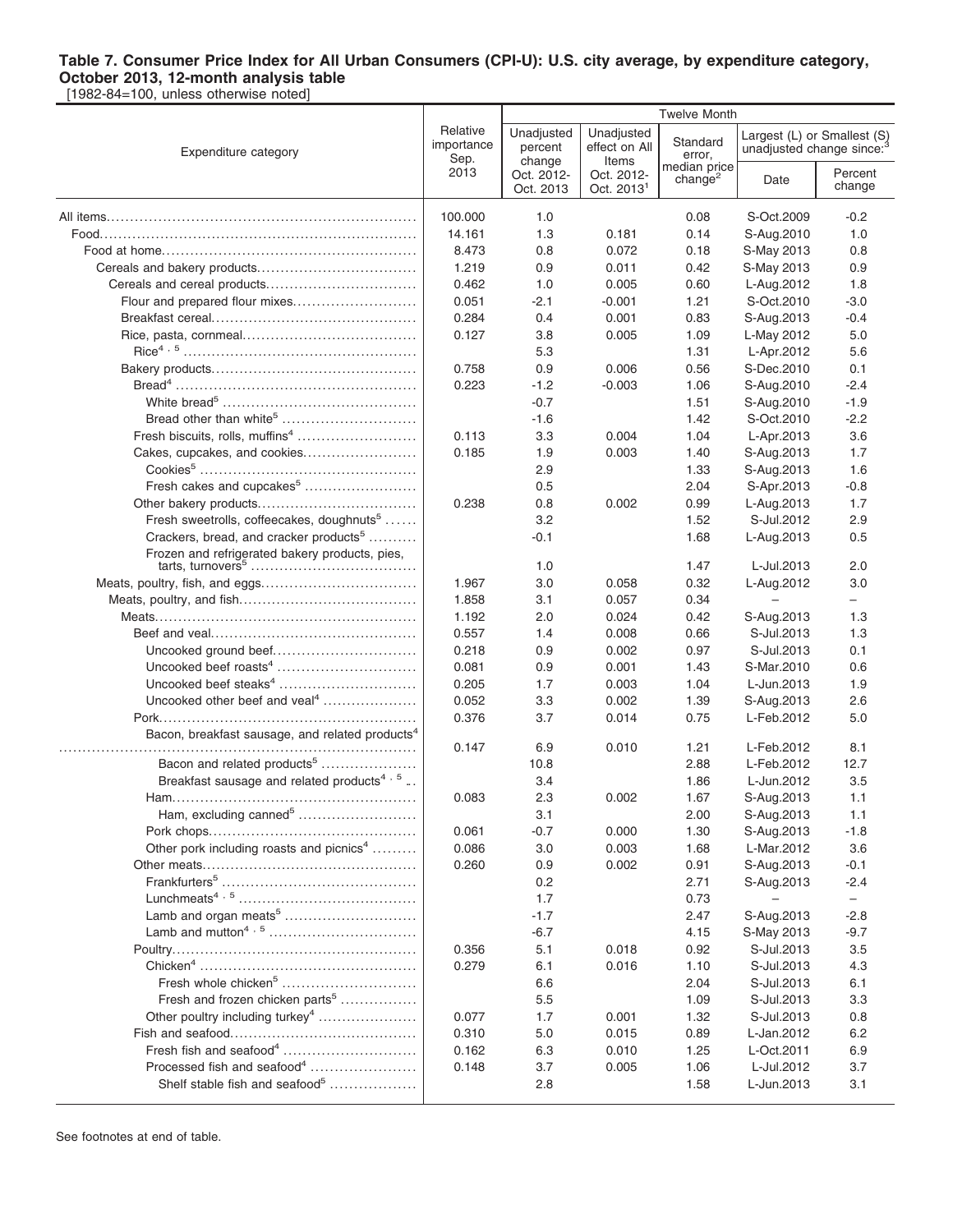|                                                                                                   |                                |                                   |                                               | <b>Twelve Month</b>                 |                                                                      |                          |  |
|---------------------------------------------------------------------------------------------------|--------------------------------|-----------------------------------|-----------------------------------------------|-------------------------------------|----------------------------------------------------------------------|--------------------------|--|
| Expenditure category                                                                              | Relative<br>importance<br>Sep. | Unadjusted<br>percent             | Unadjusted<br>effect on All                   | Standard<br>error,                  | Largest (L) or Smallest (S)<br>unadjusted change since: <sup>3</sup> |                          |  |
|                                                                                                   | 2013                           | change<br>Oct. 2012-<br>Oct. 2013 | Items<br>Oct. 2012-<br>Oct. 2013 <sup>1</sup> | median price<br>change <sup>2</sup> | Date                                                                 | Percent<br>change        |  |
|                                                                                                   | 100.000                        | 1.0                               |                                               | 0.08                                | S-Oct.2009                                                           | $-0.2$                   |  |
|                                                                                                   | 14.161                         | 1.3                               | 0.181                                         | 0.14                                | S-Aug.2010                                                           | 1.0                      |  |
|                                                                                                   | 8.473                          | 0.8                               | 0.072                                         | 0.18                                | S-May 2013                                                           | 0.8                      |  |
|                                                                                                   | 1.219                          | 0.9                               | 0.011                                         | 0.42                                | S-May 2013                                                           | 0.9                      |  |
|                                                                                                   | 0.462                          | 1.0                               | 0.005                                         | 0.60                                | L-Aug.2012                                                           | 1.8                      |  |
|                                                                                                   | 0.051                          | $-2.1$                            | $-0.001$                                      | 1.21                                | S-Oct.2010                                                           | $-3.0$                   |  |
|                                                                                                   | 0.284                          | 0.4                               | 0.001                                         | 0.83                                | S-Aug.2013                                                           | $-0.4$                   |  |
|                                                                                                   | 0.127                          | 3.8                               | 0.005                                         | 1.09                                | L-May 2012                                                           | 5.0                      |  |
|                                                                                                   |                                | 5.3                               |                                               | 1.31                                | L-Apr.2012                                                           | 5.6                      |  |
|                                                                                                   | 0.758                          | 0.9                               | 0.006                                         | 0.56                                | S-Dec.2010                                                           | 0.1                      |  |
|                                                                                                   | 0.223                          | $-1.2$                            | $-0.003$                                      | 1.06                                | S-Aug.2010                                                           | $-2.4$                   |  |
|                                                                                                   |                                | $-0.7$                            |                                               | 1.51                                | S-Aug.2010                                                           | $-1.9$                   |  |
| Bread other than white <sup>5</sup>                                                               |                                | $-1.6$                            |                                               | 1.42                                | S-Oct.2010                                                           | $-2.2$                   |  |
| Fresh biscuits, rolls, muffins <sup>4</sup>                                                       | 0.113                          | 3.3                               | 0.004                                         | 1.04                                | L-Apr.2013                                                           | 3.6                      |  |
| Cakes, cupcakes, and cookies                                                                      | 0.185                          | 1.9                               | 0.003                                         | 1.40                                |                                                                      | 1.7                      |  |
|                                                                                                   |                                | 2.9                               |                                               | 1.33                                | S-Aug.2013<br>S-Aug.2013                                             | 1.6                      |  |
| Fresh cakes and cupcakes <sup>5</sup>                                                             |                                | 0.5                               |                                               | 2.04                                | S-Apr.2013                                                           | $-0.8$                   |  |
|                                                                                                   | 0.238                          | 0.8                               | 0.002                                         | 0.99                                |                                                                      | 1.7                      |  |
| Fresh sweetrolls, coffeecakes, doughnuts <sup>5</sup>                                             |                                | 3.2                               |                                               | 1.52                                | L-Aug.2013<br>S-Jul.2012                                             | 2.9                      |  |
| Crackers, bread, and cracker products <sup>5</sup>                                                |                                |                                   |                                               |                                     |                                                                      |                          |  |
| Frozen and refrigerated bakery products, pies,                                                    |                                | $-0.1$                            |                                               | 1.68                                | L-Aug.2013                                                           | 0.5                      |  |
| $tarts, turnovers5 \dots \dots \dots \dots \dots \dots \dots \dots \dots \dots \dots \dots \dots$ |                                | 1.0                               |                                               | 1.47                                | L-Jul.2013                                                           | 2.0                      |  |
|                                                                                                   | 1.967                          | 3.0                               | 0.058                                         | 0.32                                | L-Aug.2012                                                           | 3.0                      |  |
|                                                                                                   | 1.858                          | 3.1                               | 0.057                                         | 0.34                                | $\overline{\phantom{0}}$                                             | $\overline{\phantom{0}}$ |  |
|                                                                                                   | 1.192                          | 2.0                               | 0.024                                         | 0.42                                | S-Aug.2013                                                           | 1.3                      |  |
|                                                                                                   | 0.557                          | 1.4                               | 0.008                                         | 0.66                                | S-Jul.2013                                                           | 1.3                      |  |
|                                                                                                   | 0.218                          | 0.9                               | 0.002                                         | 0.97                                | S-Jul.2013                                                           | 0.1                      |  |
|                                                                                                   | 0.081                          | 0.9                               | 0.001                                         | 1.43                                | S-Mar.2010                                                           | 0.6                      |  |
|                                                                                                   | 0.205                          | 1.7                               | 0.003                                         | 1.04                                | L-Jun.2013                                                           | 1.9                      |  |
| Uncooked other beef and veal <sup>4</sup>                                                         | 0.052                          | 3.3                               | 0.002                                         | 1.39                                | S-Aug.2013                                                           | 2.6                      |  |
|                                                                                                   | 0.376                          | 3.7                               | 0.014                                         | 0.75                                | L-Feb.2012                                                           | 5.0                      |  |
| Bacon, breakfast sausage, and related products <sup>4</sup>                                       |                                |                                   |                                               |                                     |                                                                      |                          |  |
|                                                                                                   | 0.147                          | 6.9                               | 0.010                                         | 1.21                                | L-Feb.2012                                                           | 8.1                      |  |
| Bacon and related products <sup>5</sup>                                                           |                                | 10.8                              |                                               | 2.88                                | L-Feb.2012                                                           | 12.7                     |  |
| Breakfast sausage and related products <sup>4, 5</sup> .                                          |                                | 3.4                               |                                               | 1.86                                | L-Jun.2012                                                           | 3.5                      |  |
|                                                                                                   | 0.083                          | 2.3                               | 0.002                                         | 1.67                                | S-Aug.2013                                                           | 1.1                      |  |
| Ham, excluding canned <sup>5</sup>                                                                |                                | 3.1                               |                                               | 2.00                                | S-Aug.2013                                                           | 1.1                      |  |
|                                                                                                   | 0.061                          | $-0.7$                            | 0.000                                         | 1.30                                | S-Aug.2013                                                           | $-1.8$                   |  |
| Other pork including roasts and picnics <sup>4</sup>                                              | 0.086                          | 3.0                               | 0.003                                         | 1.68                                | L-Mar.2012                                                           | 3.6                      |  |
|                                                                                                   | 0.260                          | 0.9                               | 0.002                                         | 0.91                                | S-Aug.2013                                                           | $-0.1$                   |  |
|                                                                                                   |                                | 0.2                               |                                               | 2.71                                | S-Aug.2013                                                           | $-2.4$                   |  |
|                                                                                                   |                                | 1.7                               |                                               | 0.73                                |                                                                      | $\overline{\phantom{0}}$ |  |
|                                                                                                   |                                | $-1.7$                            |                                               | 2.47                                | S-Aug.2013                                                           | $-2.8$                   |  |
|                                                                                                   |                                | $-6.7$                            |                                               | 4.15                                | S-May 2013                                                           | $-9.7$                   |  |
|                                                                                                   | 0.356                          | 5.1                               | 0.018                                         | 0.92                                | S-Jul.2013                                                           | 3.5                      |  |
|                                                                                                   | 0.279                          | 6.1                               | 0.016                                         | 1.10                                | S-Jul.2013                                                           | 4.3                      |  |
| Fresh whole chicken <sup>5</sup>                                                                  |                                | 6.6                               |                                               | 2.04                                | S-Jul.2013                                                           | 6.1                      |  |
| Fresh and frozen chicken parts <sup>5</sup>                                                       |                                | 5.5                               |                                               | 1.09                                | S-Jul.2013                                                           | 3.3                      |  |
| Other poultry including turkey <sup>4</sup>                                                       | 0.077                          | 1.7                               | 0.001                                         | 1.32                                | S-Jul.2013                                                           | 0.8                      |  |
|                                                                                                   | 0.310                          | 5.0                               | 0.015                                         | 0.89                                | L-Jan.2012                                                           | 6.2                      |  |
| Fresh fish and seafood <sup>4</sup>                                                               | 0.162                          | 6.3                               | 0.010                                         | 1.25                                | L-Oct.2011                                                           | 6.9                      |  |
| Processed fish and seafood <sup>4</sup>                                                           | 0.148                          | 3.7                               | 0.005                                         | 1.06                                | L-Jul.2012                                                           | 3.7                      |  |
| Shelf stable fish and seafood <sup>5</sup>                                                        |                                | 2.8                               |                                               | 1.58                                | L-Jun.2013                                                           | 3.1                      |  |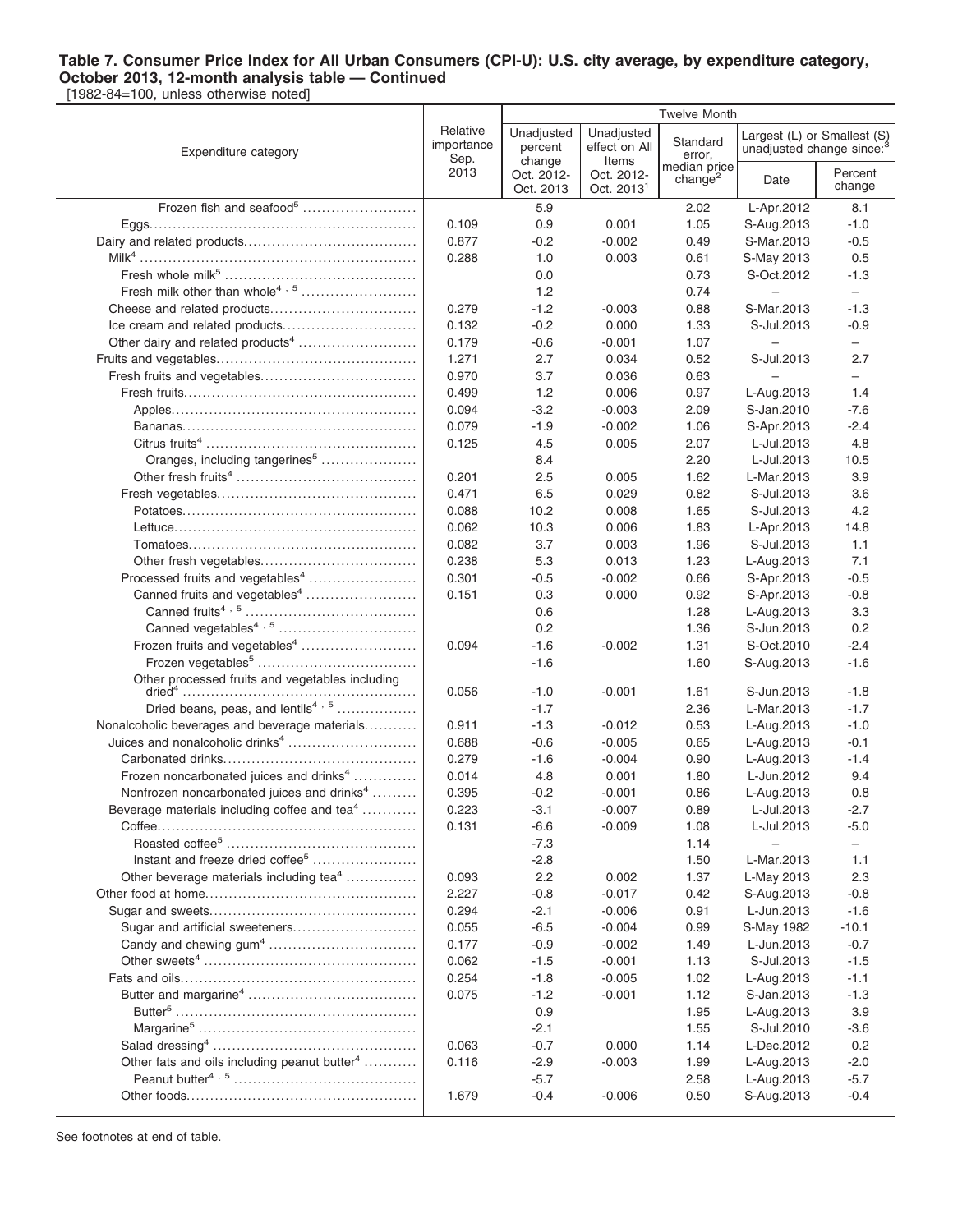[1982-84=100, unless otherwise noted]

|                                                          |                    |                      | <b>Twelve Month</b>    |                     |                          |                                       |
|----------------------------------------------------------|--------------------|----------------------|------------------------|---------------------|--------------------------|---------------------------------------|
|                                                          | Relative           | Unadjusted           | Unadjusted             | Standard            |                          | Largest (L) or Smallest (S)           |
| Expenditure category                                     | importance<br>Sep. | percent              | effect on All          | error,              |                          | unadjusted change since: <sup>3</sup> |
|                                                          | 2013               | change<br>Oct. 2012- | Items<br>Oct. 2012-    | median price        |                          | Percent                               |
|                                                          |                    | Oct. 2013            | Oct. 2013 <sup>1</sup> | change <sup>2</sup> | Date                     | change                                |
| Frozen fish and seafood <sup>5</sup>                     |                    | 5.9                  |                        | 2.02                | L-Apr.2012               | 8.1                                   |
|                                                          | 0.109              | 0.9                  | 0.001                  | 1.05                | S-Aug.2013               | $-1.0$                                |
|                                                          | 0.877              | $-0.2$               | $-0.002$               | 0.49                | S-Mar.2013               | $-0.5$                                |
|                                                          | 0.288              | 1.0                  | 0.003                  | 0.61                | S-May 2013               | 0.5                                   |
|                                                          |                    | 0.0                  |                        | 0.73                | S-Oct.2012               | $-1.3$                                |
|                                                          |                    | 1.2                  |                        | 0.74                | $\equiv$                 | $-$                                   |
|                                                          | 0.279              | $-1.2$               | $-0.003$               | 0.88                | S-Mar.2013               | $-1.3$                                |
|                                                          | 0.132              | $-0.2$               | 0.000                  | 1.33                | S-Jul.2013               | $-0.9$                                |
| Other dairy and related products <sup>4</sup>            | 0.179              | $-0.6$               | $-0.001$               | 1.07                |                          | $\overline{\phantom{0}}$              |
|                                                          | 1.271              | 2.7                  | 0.034                  | 0.52                | S-Jul.2013               | 2.7                                   |
|                                                          | 0.970              | 3.7                  | 0.036                  | 0.63                | $\overline{\phantom{0}}$ | $\equiv$                              |
|                                                          | 0.499              | 1.2                  | 0.006                  | 0.97                | L-Aug.2013               | 1.4                                   |
|                                                          | 0.094              | $-3.2$               | $-0.003$               | 2.09                | S-Jan.2010               | $-7.6$                                |
|                                                          | 0.079              | $-1.9$               | $-0.002$               | 1.06                | S-Apr.2013               | $-2.4$                                |
|                                                          | 0.125              | 4.5                  | 0.005                  | 2.07                | L-Jul.2013               | 4.8                                   |
| Oranges, including tangerines <sup>5</sup>               |                    | 8.4                  |                        | 2.20                | L-Jul.2013               | 10.5                                  |
|                                                          | 0.201              | 2.5                  | 0.005                  | 1.62                | L-Mar.2013               | 3.9                                   |
|                                                          | 0.471              | 6.5                  | 0.029                  | 0.82                | S-Jul.2013               | 3.6                                   |
|                                                          | 0.088              | 10.2                 | 0.008                  | 1.65                | S-Jul.2013               | 4.2                                   |
|                                                          | 0.062              | 10.3                 | 0.006                  | 1.83                | L-Apr.2013               | 14.8                                  |
|                                                          | 0.082              | 3.7                  | 0.003                  | 1.96                | S-Jul.2013               | 1.1                                   |
|                                                          | 0.238              | 5.3                  | 0.013                  | 1.23                | L-Aug.2013               | 7.1                                   |
| Processed fruits and vegetables <sup>4</sup>             | 0.301              | $-0.5$               | $-0.002$               | 0.66                | S-Apr.2013               | $-0.5$                                |
| Canned fruits and vegetables <sup>4</sup>                | 0.151              | 0.3                  | 0.000                  | 0.92                | S-Apr.2013               | $-0.8$                                |
|                                                          |                    | 0.6                  |                        | 1.28                | L-Aug.2013               | 3.3                                   |
|                                                          |                    | 0.2                  |                        | 1.36                | S-Jun.2013               | 0.2                                   |
| Frozen fruits and vegetables <sup>4</sup>                | 0.094              | $-1.6$               | $-0.002$               | 1.31                | S-Oct.2010               | $-2.4$                                |
|                                                          |                    | $-1.6$               |                        | 1.60                | S-Aug.2013               | $-1.6$                                |
| Other processed fruits and vegetables including          |                    |                      |                        |                     |                          |                                       |
|                                                          | 0.056              | $-1.0$               | $-0.001$               | 1.61                | S-Jun.2013               | $-1.8$                                |
| Dried beans, peas, and lentils <sup>4, 5</sup>           |                    | $-1.7$               |                        | 2.36                | L-Mar.2013               | $-1.7$                                |
| Nonalcoholic beverages and beverage materials            | 0.911              | $-1.3$               | $-0.012$               | 0.53                | L-Aug.2013               | $-1.0$                                |
| Juices and nonalcoholic drinks <sup>4</sup>              | 0.688              | $-0.6$               | $-0.005$               | 0.65                | L-Aug.2013               | $-0.1$                                |
|                                                          | 0.279              | $-1.6$               | $-0.004$               | 0.90                | L-Aug.2013               | $-1.4$                                |
| Frozen noncarbonated juices and drinks <sup>4</sup>      | 0.014              | 4.8                  | 0.001                  | 1.80                | L-Jun.2012               | 9.4                                   |
| Nonfrozen noncarbonated juices and drinks <sup>4</sup>   | 0.395              | $-0.2$               | $-0.001$               | 0.86                | L-Aug.2013               | 0.8                                   |
| Beverage materials including coffee and tea <sup>4</sup> | 0.223              | -3.1                 | $-0.007$               | 0.89                | L-Jul.2013               | -2.7                                  |
|                                                          | 0.131              | $-6.6$               | $-0.009$               | 1.08                | L-Jul.2013               | $-5.0$                                |
|                                                          |                    | $-7.3$               |                        | 1.14                |                          | $\overline{\phantom{0}}$              |
| Instant and freeze dried coffee <sup>5</sup>             |                    | $-2.8$               |                        | 1.50                | L-Mar.2013               | 1.1                                   |
| Other beverage materials including tea <sup>4</sup>      | 0.093              | 2.2                  | 0.002                  | 1.37                | L-May 2013               | 2.3                                   |
|                                                          | 2.227              | $-0.8$               | $-0.017$               | 0.42                | S-Aug.2013               | $-0.8$                                |
|                                                          | 0.294              | $-2.1$               | $-0.006$               | 0.91                | L-Jun.2013               | $-1.6$                                |
| Sugar and artificial sweeteners                          | 0.055              | $-6.5$               | $-0.004$               | 0.99                | S-May 1982               | $-10.1$                               |
|                                                          | 0.177              | $-0.9$               | $-0.002$               | 1.49                | L-Jun.2013               | $-0.7$                                |
|                                                          | 0.062              | $-1.5$               | $-0.001$               | 1.13                | S-Jul.2013               | $-1.5$                                |
|                                                          | 0.254              | $-1.8$               | $-0.005$               | 1.02                | L-Aug.2013               | $-1.1$                                |
|                                                          | 0.075              | $-1.2$               | $-0.001$               | 1.12                | S-Jan.2013               | $-1.3$                                |
|                                                          |                    | 0.9                  |                        | 1.95                | L-Aug.2013               | 3.9                                   |
|                                                          |                    | $-2.1$               |                        | 1.55                | S-Jul.2010               | $-3.6$                                |
|                                                          | 0.063              | $-0.7$               | 0.000                  | 1.14                | L-Dec.2012               | 0.2                                   |
| Other fats and oils including peanut butter <sup>4</sup> | 0.116              | $-2.9$               | $-0.003$               | 1.99                | L-Aug.2013               | $-2.0$                                |
|                                                          |                    | $-5.7$               |                        | 2.58                | L-Aug.2013               | $-5.7$                                |
|                                                          | 1.679              | $-0.4$               | $-0.006$               | 0.50                | S-Aug.2013               | $-0.4$                                |
|                                                          |                    |                      |                        |                     |                          |                                       |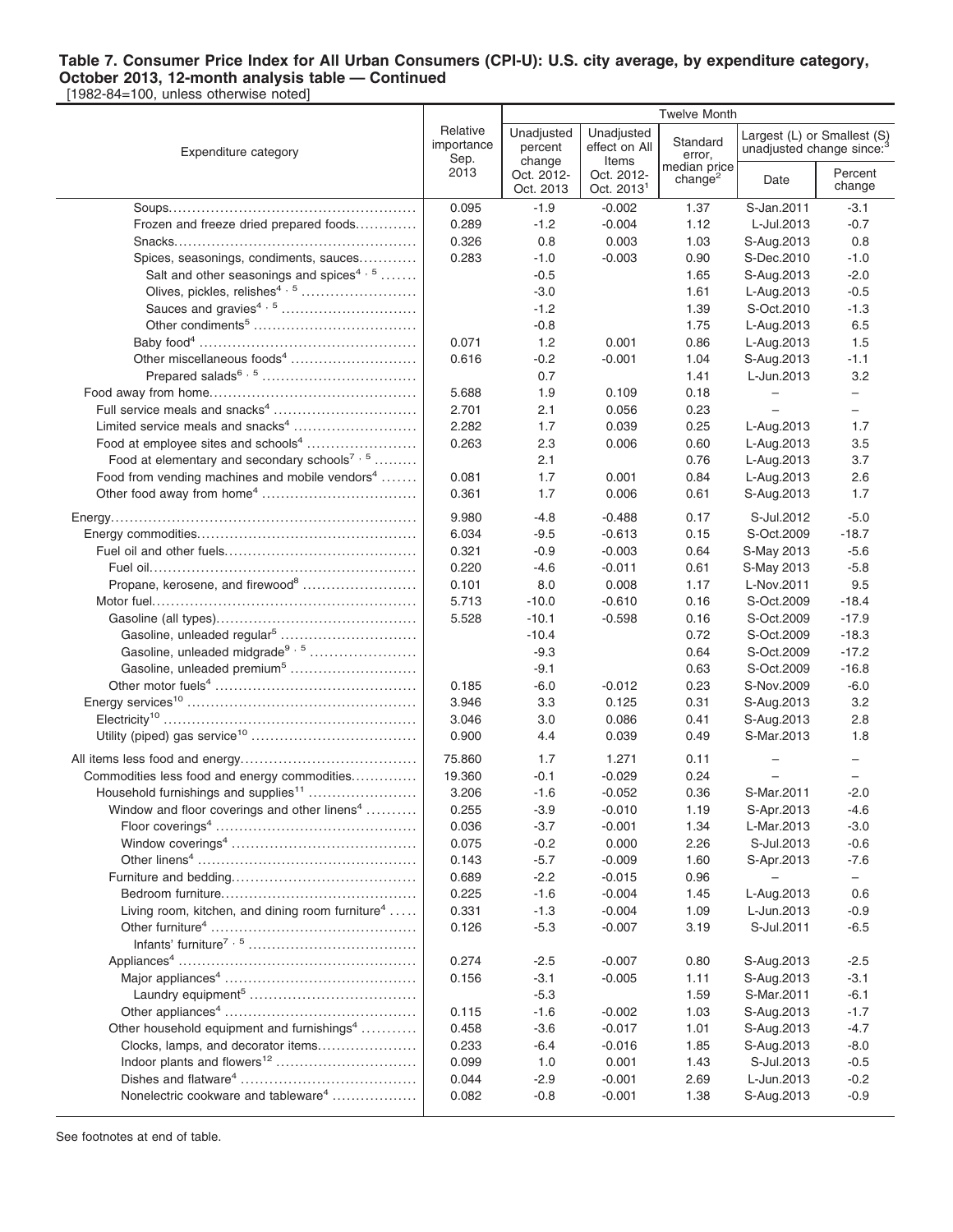[1982-84=100, unless otherwise noted]

|                                                              |              |                         |                                      | <b>Twelve Month</b> |                   |                                       |  |
|--------------------------------------------------------------|--------------|-------------------------|--------------------------------------|---------------------|-------------------|---------------------------------------|--|
|                                                              | Relative     | Unadjusted              | Unadjusted                           |                     |                   | Largest (L) or Smallest (S)           |  |
| Expenditure category                                         | importance   | percent                 | effect on All                        | Standard<br>error,  |                   | unadjusted change since: <sup>3</sup> |  |
|                                                              | Sep.<br>2013 | change                  | Items                                | median price        |                   |                                       |  |
|                                                              |              | Oct. 2012-<br>Oct. 2013 | Oct. 2012-<br>Oct. 2013 <sup>1</sup> | change <sup>2</sup> | Date              | Percent<br>change                     |  |
|                                                              |              |                         |                                      |                     |                   |                                       |  |
|                                                              | 0.095        | $-1.9$                  | $-0.002$                             | 1.37                | S-Jan.2011        | $-3.1$                                |  |
| Frozen and freeze dried prepared foods                       | 0.289        | $-1.2$                  | $-0.004$                             | 1.12                | L-Jul.2013        | $-0.7$                                |  |
|                                                              | 0.326        | 0.8                     | 0.003                                | 1.03                | S-Aug.2013        | 0.8                                   |  |
| Spices, seasonings, condiments, sauces                       | 0.283        | $-1.0$                  | $-0.003$                             | 0.90                | S-Dec.2010        | $-1.0$                                |  |
| Salt and other seasonings and spices <sup>4, 5</sup>         |              | $-0.5$                  |                                      | 1.65                | S-Aug.2013        | $-2.0$                                |  |
| Olives, pickles, relishes <sup>4, 5</sup>                    |              | $-3.0$                  |                                      | 1.61                | L-Aug.2013        | $-0.5$                                |  |
|                                                              |              | $-1.2$                  |                                      | 1.39                | S-Oct.2010        | $-1.3$                                |  |
|                                                              |              | $-0.8$                  |                                      | 1.75                | L-Aug.2013        | 6.5                                   |  |
|                                                              | 0.071        | 1.2                     | 0.001                                | 0.86                | L-Aug.2013        | 1.5                                   |  |
|                                                              | 0.616        | $-0.2$                  | $-0.001$                             | 1.04                | S-Aug.2013        | $-1.1$                                |  |
|                                                              |              | 0.7                     |                                      | 1.41                | L-Jun.2013        | 3.2                                   |  |
|                                                              | 5.688        | 1.9                     | 0.109                                | 0.18                | $\qquad \qquad -$ | $\overline{\phantom{0}}$              |  |
|                                                              | 2.701        | 2.1                     | 0.056                                | 0.23                |                   | $\overline{\phantom{0}}$              |  |
| Limited service meals and snacks <sup>4</sup>                | 2.282        | 1.7                     | 0.039                                | 0.25                | L-Aug.2013        | 1.7                                   |  |
| Food at employee sites and schools <sup>4</sup>              | 0.263        | 2.3                     | 0.006                                | 0.60                | L-Aug.2013        | 3.5                                   |  |
| Food at elementary and secondary schools <sup>7, 5</sup>     |              | 2.1                     |                                      | 0.76                | L-Aug.2013        | 3.7                                   |  |
| Food from vending machines and mobile vendors <sup>4</sup>   | 0.081        | 1.7                     | 0.001                                | 0.84                | L-Aug.2013        | 2.6                                   |  |
|                                                              | 0.361        | 1.7                     | 0.006                                | 0.61                | S-Aug.2013        | 1.7                                   |  |
|                                                              | 9.980        | $-4.8$                  | $-0.488$                             | 0.17                | S-Jul.2012        | $-5.0$                                |  |
|                                                              | 6.034        | $-9.5$                  | $-0.613$                             | 0.15                | S-Oct.2009        | $-18.7$                               |  |
|                                                              | 0.321        | $-0.9$                  | $-0.003$                             | 0.64                |                   | $-5.6$                                |  |
|                                                              | 0.220        |                         | $-0.011$                             | 0.61                | S-May 2013        |                                       |  |
|                                                              |              | $-4.6$                  |                                      |                     | S-May 2013        | $-5.8$                                |  |
| Propane, kerosene, and firewood <sup>8</sup>                 | 0.101        | 8.0                     | 0.008                                | 1.17                | L-Nov.2011        | 9.5                                   |  |
|                                                              | 5.713        | $-10.0$                 | $-0.610$                             | 0.16                | S-Oct.2009        | $-18.4$                               |  |
|                                                              | 5.528        | $-10.1$                 | $-0.598$                             | 0.16                | S-Oct.2009        | $-17.9$                               |  |
|                                                              |              | $-10.4$                 |                                      | 0.72                | S-Oct.2009        | $-18.3$                               |  |
| Gasoline, unleaded midgrade <sup>9, 5</sup>                  |              | $-9.3$                  |                                      | 0.64                | S-Oct.2009        | $-17.2$                               |  |
| Gasoline, unleaded premium <sup>5</sup>                      |              | $-9.1$                  |                                      | 0.63                | S-Oct.2009        | $-16.8$                               |  |
|                                                              | 0.185        | $-6.0$                  | $-0.012$                             | 0.23                | S-Nov.2009        | $-6.0$                                |  |
|                                                              | 3.946        | 3.3                     | 0.125                                | 0.31                | S-Aug.2013        | 3.2                                   |  |
|                                                              | 3.046        | 3.0                     | 0.086                                | 0.41                | S-Aug.2013        | 2.8                                   |  |
|                                                              | 0.900        | 4.4                     | 0.039                                | 0.49                | S-Mar.2013        | 1.8                                   |  |
|                                                              | 75.860       | 1.7                     | 1.271                                | 0.11                |                   | $\overline{\phantom{0}}$              |  |
| Commodities less food and energy commodities                 | 19.360       | $-0.1$                  | $-0.029$                             | 0.24                |                   | $\overline{\phantom{m}}$              |  |
| Household furnishings and supplies <sup>11</sup>             | 3.206        | $-1.6$                  | $-0.052$                             | 0.36                | S-Mar.2011        | $-2.0$                                |  |
| Window and floor coverings and other linens <sup>4</sup>     | 0.255        | $-3.9$                  | $-0.010$                             | 1.19                | S-Apr.2013        | -4.6                                  |  |
|                                                              | 0.036        | $-3.7$                  | $-0.001$                             | 1.34                | L-Mar.2013        | $-3.0$                                |  |
|                                                              | 0.075        | $-0.2$                  | 0.000                                | 2.26                | S-Jul.2013        | $-0.6$                                |  |
|                                                              | 0.143        | $-5.7$                  | $-0.009$                             | 1.60                | S-Apr.2013        | $-7.6$                                |  |
|                                                              | 0.689        | $-2.2$                  | $-0.015$                             | 0.96                |                   | $\overline{\phantom{m}}$              |  |
|                                                              | 0.225        | $-1.6$                  | $-0.004$                             | 1.45                | L-Aug.2013        | 0.6                                   |  |
| Living room, kitchen, and dining room furniture <sup>4</sup> | 0.331        | $-1.3$                  | $-0.004$                             | 1.09                | L-Jun.2013        | $-0.9$                                |  |
|                                                              | 0.126        | $-5.3$                  | $-0.007$                             | 3.19                | S-Jul.2011        | $-6.5$                                |  |
|                                                              |              |                         |                                      |                     |                   |                                       |  |
|                                                              | 0.274        | $-2.5$                  | $-0.007$                             | 0.80                | S-Aug.2013        | $-2.5$                                |  |
|                                                              | 0.156        | $-3.1$                  | $-0.005$                             | 1.11                | S-Aug.2013        | $-3.1$                                |  |
|                                                              |              | $-5.3$                  |                                      | 1.59                | S-Mar.2011        | $-6.1$                                |  |
|                                                              | 0.115        | $-1.6$                  | $-0.002$                             | 1.03                | S-Aug.2013        | $-1.7$                                |  |
| Other household equipment and furnishings <sup>4</sup>       | 0.458        | $-3.6$                  | $-0.017$                             | 1.01                | S-Aug.2013        | $-4.7$                                |  |
| Clocks, lamps, and decorator items                           | 0.233        | $-6.4$                  | $-0.016$                             | 1.85                | S-Aug.2013        | $-8.0$                                |  |
| Indoor plants and flowers <sup>12</sup>                      | 0.099        | 1.0                     | 0.001                                | 1.43                | S-Jul.2013        | $-0.5$                                |  |
|                                                              | 0.044        | $-2.9$                  | $-0.001$                             | 2.69                | L-Jun.2013        | $-0.2$                                |  |
| Nonelectric cookware and tableware <sup>4</sup>              | 0.082        | $-0.8$                  | $-0.001$                             | 1.38                | S-Aug.2013        | $-0.9$                                |  |
|                                                              |              |                         |                                      |                     |                   |                                       |  |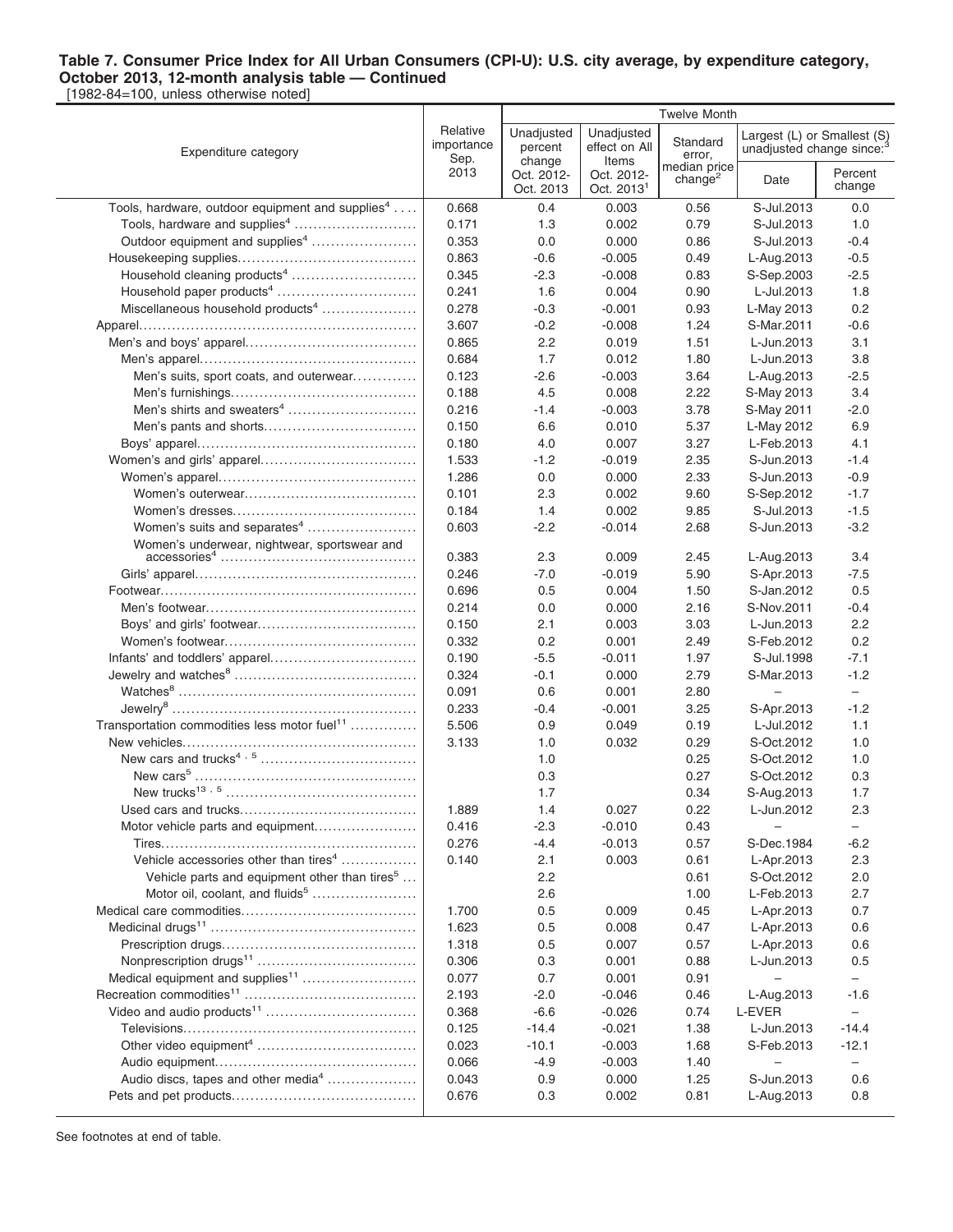[1982-84=100, unless otherwise noted]

|                                                              |                    | <b>Twelve Month</b>  |                        |                     |                                       |                          |  |
|--------------------------------------------------------------|--------------------|----------------------|------------------------|---------------------|---------------------------------------|--------------------------|--|
|                                                              | Relative           | Unadjusted           | Unadjusted             | Standard            | Largest (L) or Smallest (S)           |                          |  |
| Expenditure category                                         | importance<br>Sep. | percent              | effect on All          | error,              | unadjusted change since: <sup>3</sup> |                          |  |
|                                                              | 2013               | change<br>Oct. 2012- | Items<br>Oct. 2012-    | median price        |                                       | Percent                  |  |
|                                                              |                    | Oct. 2013            | Oct. 2013 <sup>1</sup> | change <sup>2</sup> | Date                                  | change                   |  |
| Tools, hardware, outdoor equipment and supplies <sup>4</sup> | 0.668              | 0.4                  | 0.003                  | 0.56                | S-Jul.2013                            | 0.0                      |  |
|                                                              | 0.171              | 1.3                  | 0.002                  | 0.79                | S-Jul.2013                            | 1.0                      |  |
| Outdoor equipment and supplies <sup>4</sup>                  | 0.353              | 0.0                  | 0.000                  | 0.86                | S-Jul.2013                            | $-0.4$                   |  |
|                                                              | 0.863              | $-0.6$               | $-0.005$               | 0.49                | L-Aug.2013                            | $-0.5$                   |  |
| Household cleaning products <sup>4</sup>                     | 0.345              | $-2.3$               | $-0.008$               | 0.83                | S-Sep.2003                            | $-2.5$                   |  |
| Household paper products <sup>4</sup>                        | 0.241              | 1.6                  | 0.004                  | 0.90                | L-Jul.2013                            | 1.8                      |  |
| Miscellaneous household products <sup>4</sup>                | 0.278              | $-0.3$               | $-0.001$               | 0.93                | L-May 2013                            | 0.2                      |  |
|                                                              | 3.607              | $-0.2$               | $-0.008$               | 1.24                | S-Mar.2011                            | $-0.6$                   |  |
|                                                              | 0.865              | 2.2                  | 0.019                  | 1.51                | L-Jun.2013                            | 3.1                      |  |
|                                                              | 0.684              | 1.7                  | 0.012                  | 1.80                | L-Jun.2013                            | 3.8                      |  |
| Men's suits, sport coats, and outerwear                      | 0.123              | $-2.6$               | $-0.003$               | 3.64                | L-Aug.2013                            | $-2.5$                   |  |
|                                                              | 0.188              | 4.5                  | 0.008                  | 2.22                | S-May 2013                            | 3.4                      |  |
|                                                              | 0.216              | $-1.4$               | $-0.003$               | 3.78                | S-May 2011                            | $-2.0$                   |  |
|                                                              | 0.150              | 6.6                  | 0.010                  | 5.37                | L-May 2012                            | 6.9                      |  |
|                                                              | 0.180              | 4.0                  | 0.007                  | 3.27                | L-Feb.2013                            | 4.1                      |  |
|                                                              | 1.533              | $-1.2$               | $-0.019$               | 2.35                | S-Jun.2013                            | $-1.4$                   |  |
|                                                              | 1.286              | 0.0                  | 0.000                  | 2.33                | S-Jun.2013                            | $-0.9$                   |  |
|                                                              | 0.101              | 2.3                  | 0.002                  | 9.60                | S-Sep.2012                            | $-1.7$                   |  |
|                                                              | 0.184              | 1.4                  | 0.002                  | 9.85                | S-Jul.2013                            | $-1.5$                   |  |
|                                                              | 0.603              | $-2.2$               | $-0.014$               | 2.68                | S-Jun.2013                            | $-3.2$                   |  |
| Women's underwear, nightwear, sportswear and                 |                    |                      |                        |                     |                                       |                          |  |
|                                                              | 0.383              | 2.3                  | 0.009                  | 2.45                | L-Aug.2013                            | 3.4                      |  |
|                                                              | 0.246              | $-7.0$               | $-0.019$               | 5.90                | S-Apr.2013                            | $-7.5$                   |  |
|                                                              | 0.696              | 0.5                  | 0.004                  | 1.50                | S-Jan.2012                            | 0.5                      |  |
|                                                              | 0.214              | 0.0                  | 0.000                  | 2.16                | S-Nov.2011                            | $-0.4$                   |  |
|                                                              | 0.150              | 2.1                  | 0.003                  | 3.03                | L-Jun.2013                            | 2.2                      |  |
|                                                              | 0.332              | 0.2                  | 0.001                  | 2.49                | S-Feb.2012                            | 0.2                      |  |
|                                                              | 0.190              | $-5.5$               | $-0.011$               | 1.97                | S-Jul.1998                            | $-7.1$                   |  |
|                                                              | 0.324              | $-0.1$               | 0.000                  | 2.79                | S-Mar.2013                            | $-1.2$                   |  |
|                                                              | 0.091              | 0.6                  | 0.001                  | 2.80                | $\overline{\phantom{0}}$              | $\overline{\phantom{0}}$ |  |
|                                                              | 0.233              | $-0.4$               | $-0.001$               | 3.25                | S-Apr.2013                            | $-1.2$                   |  |
| Transportation commodities less motor fuel <sup>11</sup>     | 5.506              | 0.9                  | 0.049                  | 0.19                | L-Jul.2012                            | 1.1                      |  |
|                                                              | 3.133              | 1.0                  | 0.032                  | 0.29                | S-Oct.2012                            | 1.0                      |  |
|                                                              |                    | 1.0                  |                        | 0.25                | S-Oct.2012                            | 1.0                      |  |
|                                                              |                    | 0.3                  |                        | 0.27                | S-Oct.2012                            | 0.3                      |  |
|                                                              |                    | 1.7                  |                        | 0.34                | S-Aug.2013                            | 1.7                      |  |
|                                                              | 1.889              | 1.4                  | 0.027                  | 0.22                | L-Jun.2012                            | 2.3                      |  |
| Motor vehicle parts and equipment                            | 0.416              | $-2.3$               | $-0.010$               | 0.43                |                                       |                          |  |
|                                                              | 0.276              | $-4.4$               | $-0.013$               | 0.57                | S-Dec.1984                            | $-6.2$                   |  |
| Vehicle accessories other than tires <sup>4</sup>            | 0.140              | 2.1                  | 0.003                  | 0.61                | L-Apr.2013                            | 2.3                      |  |
| Vehicle parts and equipment other than tires <sup>5</sup>    |                    | 2.2                  |                        | 0.61                | S-Oct.2012                            | 2.0                      |  |
| Motor oil, coolant, and fluids <sup>5</sup>                  |                    | 2.6                  |                        | 1.00                | L-Feb.2013                            | 2.7                      |  |
|                                                              | 1.700              | 0.5                  | 0.009                  | 0.45                | L-Apr.2013                            | 0.7                      |  |
|                                                              | 1.623              | 0.5                  | 0.008                  | 0.47                | L-Apr.2013                            | 0.6                      |  |
|                                                              | 1.318              | 0.5                  | 0.007                  | 0.57                | L-Apr.2013                            | 0.6                      |  |
|                                                              | 0.306              | 0.3                  | 0.001                  | 0.88                | L-Jun.2013                            | 0.5                      |  |
| Medical equipment and supplies <sup>11</sup>                 | 0.077              | 0.7                  | 0.001                  | 0.91                | $\overline{\phantom{0}}$              | $-$                      |  |
|                                                              | 2.193              | $-2.0$               | $-0.046$               | 0.46                | L-Aug.2013                            | $-1.6$                   |  |
|                                                              | 0.368              | $-6.6$               | $-0.026$               | 0.74                | L-EVER                                | $\qquad \qquad -$        |  |
|                                                              | 0.125              | $-14.4$              | $-0.021$               | 1.38                | L-Jun.2013                            | $-14.4$                  |  |
|                                                              | 0.023              | $-10.1$              | $-0.003$               | 1.68                | S-Feb.2013                            | $-12.1$                  |  |
|                                                              | 0.066              | $-4.9$               | $-0.003$               | 1.40                |                                       | $\overline{\phantom{0}}$ |  |
| Audio discs, tapes and other media <sup>4</sup>              | 0.043              | 0.9                  | 0.000                  | 1.25                | S-Jun.2013                            | 0.6                      |  |
|                                                              | 0.676              | 0.3                  | 0.002                  | 0.81                | L-Aug.2013                            | 0.8                      |  |
|                                                              |                    |                      |                        |                     |                                       |                          |  |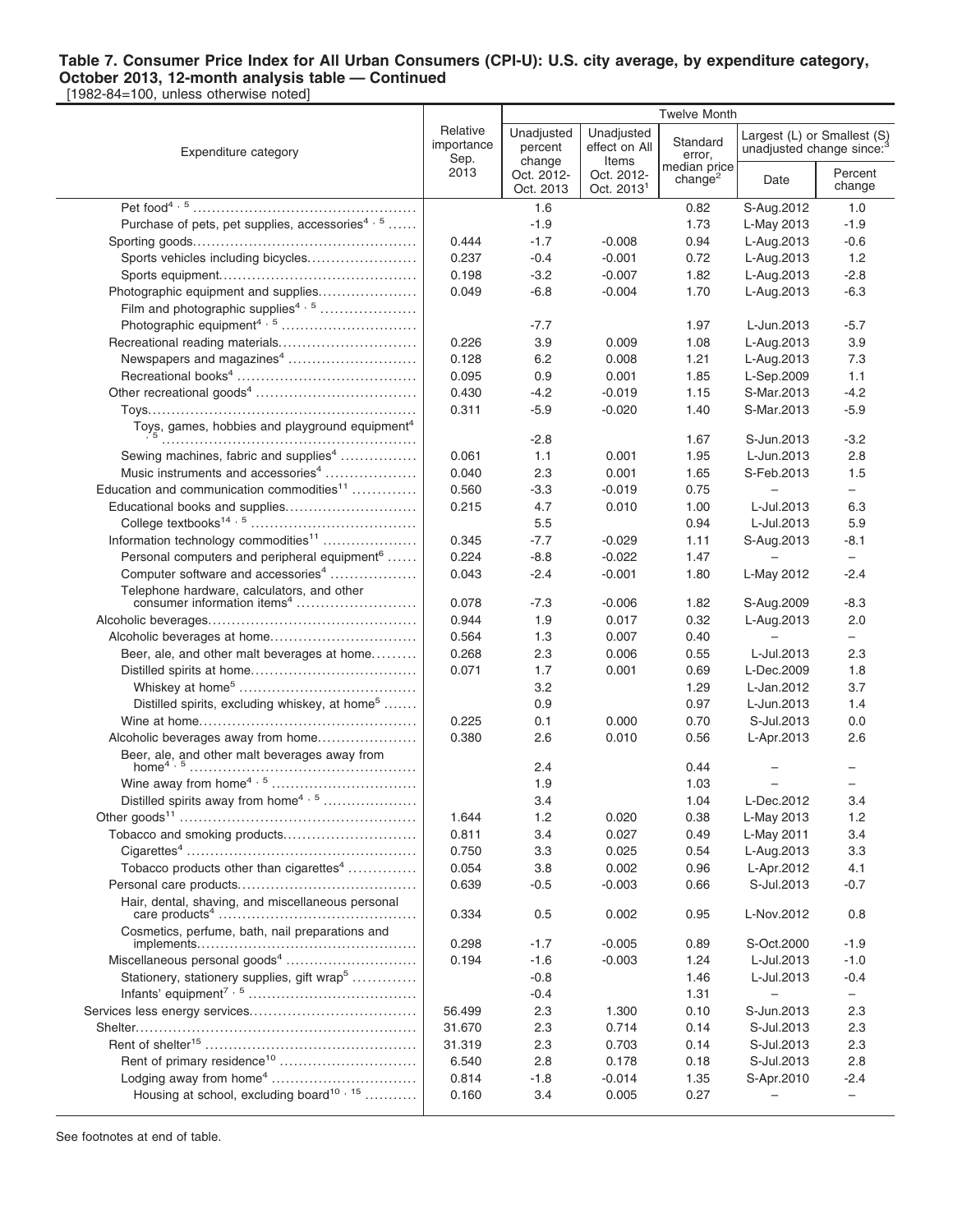[1982-84=100, unless otherwise noted]

|                                                                        |                                | <b>Twelve Month</b>             |                                      |                                     |                                                                                                                                                                                                                                                                                                                                                                                                                                                                                                                                                                                                                         |                          |  |  |
|------------------------------------------------------------------------|--------------------------------|---------------------------------|--------------------------------------|-------------------------------------|-------------------------------------------------------------------------------------------------------------------------------------------------------------------------------------------------------------------------------------------------------------------------------------------------------------------------------------------------------------------------------------------------------------------------------------------------------------------------------------------------------------------------------------------------------------------------------------------------------------------------|--------------------------|--|--|
| Expenditure category                                                   | Relative<br>importance<br>Sep. | Unadjusted<br>percent<br>change | Unadjusted<br>effect on All<br>Items | Standard<br>error,                  | Largest (L) or Smallest (S)<br>unadjusted change since: <sup>3</sup>                                                                                                                                                                                                                                                                                                                                                                                                                                                                                                                                                    |                          |  |  |
|                                                                        | 2013                           | Oct. 2012-<br>Oct. 2013         | Oct. 2012-<br>Oct. 2013 <sup>1</sup> | median price<br>change <sup>2</sup> | Date<br>S-Aug.2012<br>L-May 2013<br>L-Aug.2013<br>L-Aug.2013<br>L-Aug.2013<br>L-Aug.2013<br>L-Jun.2013<br>L-Aug.2013<br>L-Aug.2013<br>L-Sep.2009<br>S-Mar.2013<br>S-Mar.2013<br>S-Jun.2013<br>L-Jun.2013<br>S-Feb.2013<br>$\qquad \qquad -$<br>L-Jul.2013<br>L-Jul.2013<br>S-Aug.2013<br>L-May 2012<br>S-Aug.2009<br>L-Aug.2013<br>L-Jul.2013<br>L-Dec.2009<br>L-Jan.2012<br>L-Jun.2013<br>S-Jul.2013<br>L-Apr.2013<br>L-Dec.2012<br>L-May 2013<br>L-May 2011<br>L-Aug.2013<br>L-Apr.2012<br>S-Jul.2013<br>L-Nov.2012<br>S-Oct.2000<br>L-Jul.2013<br>L-Jul.2013<br>S-Jun.2013<br>S-Jul.2013<br>S-Jul.2013<br>S-Jul.2013 | Percent<br>change        |  |  |
|                                                                        |                                | 1.6                             |                                      | 0.82                                |                                                                                                                                                                                                                                                                                                                                                                                                                                                                                                                                                                                                                         | 1.0                      |  |  |
| Purchase of pets, pet supplies, accessories <sup>4, 5</sup>            |                                | $-1.9$                          |                                      | 1.73                                |                                                                                                                                                                                                                                                                                                                                                                                                                                                                                                                                                                                                                         | $-1.9$                   |  |  |
|                                                                        | 0.444                          | $-1.7$                          | $-0.008$                             | 0.94                                |                                                                                                                                                                                                                                                                                                                                                                                                                                                                                                                                                                                                                         | $-0.6$                   |  |  |
| Sports vehicles including bicycles                                     | 0.237                          | $-0.4$                          | $-0.001$                             | 0.72                                |                                                                                                                                                                                                                                                                                                                                                                                                                                                                                                                                                                                                                         | 1.2                      |  |  |
|                                                                        | 0.198                          | $-3.2$                          | $-0.007$                             | 1.82                                |                                                                                                                                                                                                                                                                                                                                                                                                                                                                                                                                                                                                                         | $-2.8$                   |  |  |
| Photographic equipment and supplies                                    | 0.049                          | $-6.8$                          | $-0.004$                             | 1.70                                |                                                                                                                                                                                                                                                                                                                                                                                                                                                                                                                                                                                                                         | $-6.3$                   |  |  |
| Film and photographic supplies <sup>4, 5</sup>                         |                                |                                 |                                      |                                     |                                                                                                                                                                                                                                                                                                                                                                                                                                                                                                                                                                                                                         |                          |  |  |
|                                                                        |                                | $-7.7$                          |                                      | 1.97                                |                                                                                                                                                                                                                                                                                                                                                                                                                                                                                                                                                                                                                         | $-5.7$                   |  |  |
|                                                                        | 0.226                          | 3.9                             | 0.009                                | 1.08                                |                                                                                                                                                                                                                                                                                                                                                                                                                                                                                                                                                                                                                         | 3.9                      |  |  |
| Newspapers and magazines <sup>4</sup>                                  | 0.128                          | 6.2                             | 0.008                                | 1.21                                |                                                                                                                                                                                                                                                                                                                                                                                                                                                                                                                                                                                                                         | 7.3                      |  |  |
|                                                                        | 0.095                          | 0.9                             | 0.001                                | 1.85                                |                                                                                                                                                                                                                                                                                                                                                                                                                                                                                                                                                                                                                         | 1.1                      |  |  |
|                                                                        | 0.430                          | $-4.2$                          | $-0.019$                             | 1.15                                |                                                                                                                                                                                                                                                                                                                                                                                                                                                                                                                                                                                                                         | $-4.2$                   |  |  |
|                                                                        | 0.311                          | $-5.9$                          | $-0.020$                             | 1.40                                |                                                                                                                                                                                                                                                                                                                                                                                                                                                                                                                                                                                                                         | $-5.9$                   |  |  |
| Toys, games, hobbies and playground equipment <sup>4</sup>             |                                |                                 |                                      |                                     |                                                                                                                                                                                                                                                                                                                                                                                                                                                                                                                                                                                                                         |                          |  |  |
|                                                                        |                                | $-2.8$                          |                                      | 1.67                                |                                                                                                                                                                                                                                                                                                                                                                                                                                                                                                                                                                                                                         | $-3.2$                   |  |  |
| Sewing machines, fabric and supplies <sup>4</sup>                      | 0.061                          | 1.1                             | 0.001                                | 1.95                                |                                                                                                                                                                                                                                                                                                                                                                                                                                                                                                                                                                                                                         | 2.8                      |  |  |
| Music instruments and accessories <sup>4</sup>                         | 0.040                          | 2.3                             | 0.001                                | 1.65                                |                                                                                                                                                                                                                                                                                                                                                                                                                                                                                                                                                                                                                         | 1.5                      |  |  |
| Education and communication commodities <sup>11</sup>                  | 0.560                          | $-3.3$                          | $-0.019$                             | 0.75                                |                                                                                                                                                                                                                                                                                                                                                                                                                                                                                                                                                                                                                         | $\overline{\phantom{0}}$ |  |  |
| Educational books and supplies                                         | 0.215                          | 4.7                             | 0.010                                | 1.00                                |                                                                                                                                                                                                                                                                                                                                                                                                                                                                                                                                                                                                                         | 6.3                      |  |  |
|                                                                        |                                | 5.5                             |                                      | 0.94                                |                                                                                                                                                                                                                                                                                                                                                                                                                                                                                                                                                                                                                         | 5.9                      |  |  |
| Information technology commodities <sup>11</sup>                       | 0.345                          | $-7.7$                          | $-0.029$                             | 1.11                                |                                                                                                                                                                                                                                                                                                                                                                                                                                                                                                                                                                                                                         | $-8.1$                   |  |  |
| Personal computers and peripheral equipment <sup>6</sup>               | 0.224                          | $-8.8$                          | $-0.022$                             | 1.47                                |                                                                                                                                                                                                                                                                                                                                                                                                                                                                                                                                                                                                                         | $\overline{\phantom{0}}$ |  |  |
| Computer software and accessories <sup>4</sup>                         | 0.043                          | $-2.4$                          | $-0.001$                             | 1.80                                |                                                                                                                                                                                                                                                                                                                                                                                                                                                                                                                                                                                                                         | $-2.4$                   |  |  |
| Telephone hardware, calculators, and other                             | 0.078                          | $-7.3$                          | $-0.006$                             | 1.82                                |                                                                                                                                                                                                                                                                                                                                                                                                                                                                                                                                                                                                                         | $-8.3$                   |  |  |
|                                                                        | 0.944                          | 1.9                             | 0.017                                | 0.32                                |                                                                                                                                                                                                                                                                                                                                                                                                                                                                                                                                                                                                                         | 2.0                      |  |  |
|                                                                        | 0.564                          | 1.3                             | 0.007                                | 0.40                                |                                                                                                                                                                                                                                                                                                                                                                                                                                                                                                                                                                                                                         | $\overline{\phantom{0}}$ |  |  |
| Beer, ale, and other malt beverages at home                            | 0.268                          | 2.3                             | 0.006                                | 0.55                                |                                                                                                                                                                                                                                                                                                                                                                                                                                                                                                                                                                                                                         | 2.3                      |  |  |
|                                                                        | 0.071                          | 1.7                             | 0.001                                | 0.69                                |                                                                                                                                                                                                                                                                                                                                                                                                                                                                                                                                                                                                                         | 1.8                      |  |  |
|                                                                        |                                | 3.2                             |                                      | 1.29                                |                                                                                                                                                                                                                                                                                                                                                                                                                                                                                                                                                                                                                         | 3.7                      |  |  |
| Distilled spirits, excluding whiskey, at home <sup>5</sup>             |                                | 0.9                             |                                      | 0.97                                |                                                                                                                                                                                                                                                                                                                                                                                                                                                                                                                                                                                                                         | 1.4                      |  |  |
|                                                                        | 0.225                          | 0.1                             | 0.000                                | 0.70                                |                                                                                                                                                                                                                                                                                                                                                                                                                                                                                                                                                                                                                         | 0.0                      |  |  |
| Alcoholic beverages away from home                                     | 0.380                          | 2.6                             | 0.010                                | 0.56                                |                                                                                                                                                                                                                                                                                                                                                                                                                                                                                                                                                                                                                         | 2.6                      |  |  |
| Beer, ale, and other malt beverages away from<br>home <sup>4</sup> , 5 |                                | 2.4                             |                                      | 0.44                                |                                                                                                                                                                                                                                                                                                                                                                                                                                                                                                                                                                                                                         |                          |  |  |
|                                                                        |                                | 1.9                             |                                      | 1.03                                |                                                                                                                                                                                                                                                                                                                                                                                                                                                                                                                                                                                                                         |                          |  |  |
| Distilled spirits away from home <sup>4, 5</sup>                       |                                | 3.4                             |                                      | 1.04                                |                                                                                                                                                                                                                                                                                                                                                                                                                                                                                                                                                                                                                         | 3.4                      |  |  |
|                                                                        | 1.644                          | 1.2                             | 0.020                                | 0.38                                |                                                                                                                                                                                                                                                                                                                                                                                                                                                                                                                                                                                                                         | 1.2                      |  |  |
| Tobacco and smoking products                                           | 0.811                          | 3.4                             | 0.027                                | 0.49                                |                                                                                                                                                                                                                                                                                                                                                                                                                                                                                                                                                                                                                         | 3.4                      |  |  |
|                                                                        | 0.750                          | 3.3                             | 0.025                                | 0.54                                |                                                                                                                                                                                                                                                                                                                                                                                                                                                                                                                                                                                                                         | 3.3                      |  |  |
| Tobacco products other than cigarettes <sup>4</sup>                    | 0.054                          | 3.8                             | 0.002                                | 0.96                                |                                                                                                                                                                                                                                                                                                                                                                                                                                                                                                                                                                                                                         | 4.1                      |  |  |
|                                                                        | 0.639                          | $-0.5$                          | $-0.003$                             | 0.66                                |                                                                                                                                                                                                                                                                                                                                                                                                                                                                                                                                                                                                                         | $-0.7$                   |  |  |
| Hair, dental, shaving, and miscellaneous personal                      |                                |                                 |                                      |                                     |                                                                                                                                                                                                                                                                                                                                                                                                                                                                                                                                                                                                                         |                          |  |  |
| Cosmetics, perfume, bath, nail preparations and                        | 0.334                          | 0.5                             | 0.002                                | 0.95                                |                                                                                                                                                                                                                                                                                                                                                                                                                                                                                                                                                                                                                         | 0.8                      |  |  |
|                                                                        | 0.298                          | $-1.7$                          | $-0.005$                             | 0.89                                |                                                                                                                                                                                                                                                                                                                                                                                                                                                                                                                                                                                                                         | $-1.9$                   |  |  |
| Miscellaneous personal goods <sup>4</sup>                              | 0.194                          | $-1.6$                          | $-0.003$                             | 1.24                                |                                                                                                                                                                                                                                                                                                                                                                                                                                                                                                                                                                                                                         | $-1.0$                   |  |  |
| Stationery, stationery supplies, gift wrap <sup>5</sup>                |                                | $-0.8$                          |                                      | 1.46                                |                                                                                                                                                                                                                                                                                                                                                                                                                                                                                                                                                                                                                         | $-0.4$                   |  |  |
|                                                                        |                                | $-0.4$                          |                                      | 1.31                                |                                                                                                                                                                                                                                                                                                                                                                                                                                                                                                                                                                                                                         | -                        |  |  |
|                                                                        | 56.499                         | 2.3                             | 1.300                                | 0.10                                |                                                                                                                                                                                                                                                                                                                                                                                                                                                                                                                                                                                                                         | 2.3                      |  |  |
|                                                                        | 31.670                         | 2.3                             | 0.714                                | 0.14                                |                                                                                                                                                                                                                                                                                                                                                                                                                                                                                                                                                                                                                         | 2.3                      |  |  |
|                                                                        | 31.319                         | 2.3                             | 0.703                                | 0.14                                |                                                                                                                                                                                                                                                                                                                                                                                                                                                                                                                                                                                                                         | 2.3                      |  |  |
|                                                                        | 6.540                          | 2.8                             | 0.178                                | 0.18                                |                                                                                                                                                                                                                                                                                                                                                                                                                                                                                                                                                                                                                         | 2.8                      |  |  |
|                                                                        | 0.814                          | $-1.8$                          | $-0.014$                             | 1.35                                | S-Apr.2010                                                                                                                                                                                                                                                                                                                                                                                                                                                                                                                                                                                                              | $-2.4$                   |  |  |
| Housing at school, excluding board <sup>10, 15</sup>                   | 0.160                          | 3.4                             | 0.005                                | 0.27                                |                                                                                                                                                                                                                                                                                                                                                                                                                                                                                                                                                                                                                         |                          |  |  |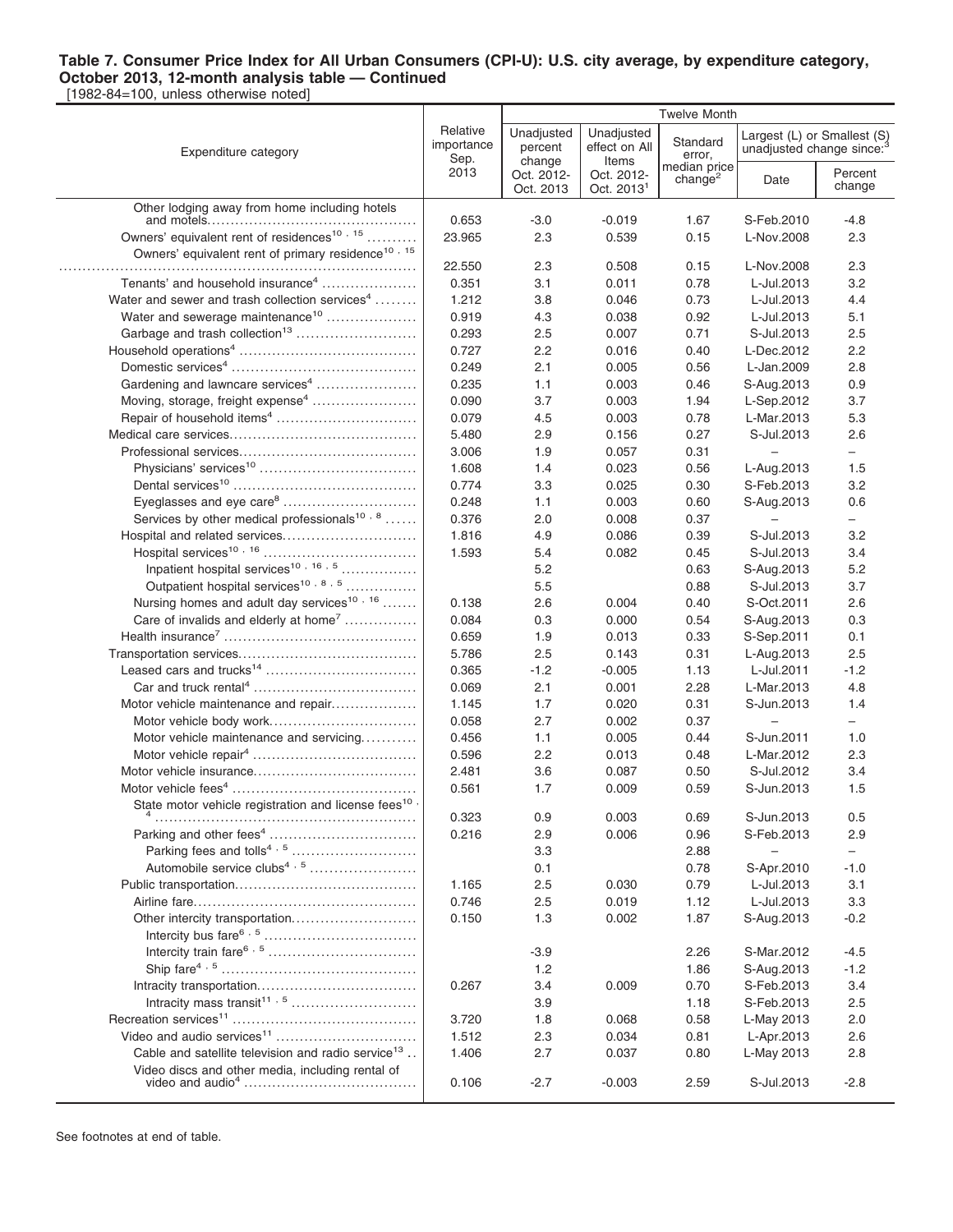|                                                                                     |                                |                                 |                                      | <b>Twelve Month</b>                 |                                                                      |                          |  |  |
|-------------------------------------------------------------------------------------|--------------------------------|---------------------------------|--------------------------------------|-------------------------------------|----------------------------------------------------------------------|--------------------------|--|--|
| Expenditure category                                                                | Relative<br>importance<br>Sep. | Unadjusted<br>percent<br>change | Unadjusted<br>effect on All<br>Items | Standard<br>error,                  | Largest (L) or Smallest (S)<br>unadjusted change since: <sup>3</sup> |                          |  |  |
|                                                                                     | 2013                           | Oct. 2012-<br>Oct. 2013         | Oct. 2012-<br>Oct. 2013 <sup>1</sup> | median price<br>change <sup>2</sup> | Date                                                                 | Percent<br>change        |  |  |
| Other lodging away from home including hotels                                       |                                |                                 |                                      |                                     |                                                                      |                          |  |  |
|                                                                                     | 0.653                          | $-3.0$                          | $-0.019$                             | 1.67                                | S-Feb.2010                                                           | $-4.8$                   |  |  |
| Owners' equivalent rent of residences <sup>10, 15</sup>                             | 23.965                         | 2.3                             | 0.539                                | 0.15                                | L-Nov.2008                                                           | 2.3                      |  |  |
| Owners' equivalent rent of primary residence <sup>10, 15</sup>                      |                                |                                 |                                      |                                     |                                                                      |                          |  |  |
| Tenants' and household insurance <sup>4</sup>                                       | 22.550<br>0.351                | 2.3<br>3.1                      | 0.508<br>0.011                       | 0.15<br>0.78                        | L-Nov.2008<br>L-Jul.2013                                             | 2.3<br>3.2               |  |  |
| Water and sewer and trash collection services <sup>4</sup>                          | 1.212                          | 3.8                             | 0.046                                | 0.73                                | L-Jul.2013                                                           | 4.4                      |  |  |
| Water and sewerage maintenance <sup>10</sup>                                        | 0.919                          | 4.3                             | 0.038                                | 0.92                                | L-Jul.2013                                                           | 5.1                      |  |  |
| Garbage and trash collection <sup>13</sup>                                          | 0.293                          | 2.5                             | 0.007                                | 0.71                                | S-Jul.2013                                                           | 2.5                      |  |  |
|                                                                                     | 0.727                          | 2.2                             | 0.016                                | 0.40                                | L-Dec.2012                                                           | 2.2                      |  |  |
|                                                                                     | 0.249                          | 2.1                             | 0.005                                | 0.56                                | L-Jan.2009                                                           | 2.8                      |  |  |
| Gardening and lawncare services <sup>4</sup>                                        | 0.235                          | 1.1                             | 0.003                                | 0.46                                | S-Aug.2013                                                           | 0.9                      |  |  |
| Moving, storage, freight expense <sup>4</sup>                                       | 0.090                          | 3.7                             | 0.003                                | 1.94                                | L-Sep.2012                                                           | 3.7                      |  |  |
|                                                                                     | 0.079                          | 4.5                             | 0.003                                | 0.78                                | L-Mar.2013                                                           | 5.3                      |  |  |
|                                                                                     | 5.480                          | 2.9                             | 0.156                                | 0.27                                | S-Jul.2013                                                           | 2.6                      |  |  |
|                                                                                     | 3.006                          | 1.9                             | 0.057                                | 0.31                                | $\qquad \qquad -$                                                    | $\overline{\phantom{0}}$ |  |  |
|                                                                                     | 1.608                          | 1.4                             | 0.023                                | 0.56                                | L-Aug.2013                                                           | 1.5                      |  |  |
|                                                                                     | 0.774                          | 3.3                             | 0.025                                | 0.30                                | S-Feb.2013                                                           | 3.2                      |  |  |
| Eyeglasses and eye care <sup>8</sup>                                                | 0.248                          | 1.1                             | 0.003                                | 0.60                                | S-Aug.2013                                                           | 0.6                      |  |  |
| Services by other medical professionals <sup>10,8</sup>                             | 0.376                          | 2.0                             | 0.008                                | 0.37                                |                                                                      | -                        |  |  |
| Hospital and related services                                                       | 1.816                          | 4.9                             | 0.086                                | 0.39                                | S-Jul.2013                                                           | 3.2                      |  |  |
|                                                                                     | 1.593                          | 5.4                             | 0.082                                | 0.45                                | S-Jul.2013                                                           | 3.4                      |  |  |
| Inpatient hospital services <sup>10, 16, 5</sup>                                    |                                | 5.2                             |                                      | 0.63                                | S-Aug.2013                                                           | 5.2                      |  |  |
| Outpatient hospital services <sup>10,8,5</sup>                                      |                                | 5.5                             |                                      | 0.88                                | S-Jul.2013                                                           | 3.7                      |  |  |
| Nursing homes and adult day services <sup>10, 16</sup>                              | 0.138                          | 2.6                             | 0.004                                | 0.40                                | S-Oct.2011                                                           | 2.6                      |  |  |
| Care of invalids and elderly at home <sup>7</sup>                                   | 0.084                          | 0.3                             | 0.000                                | 0.54                                | S-Aug.2013                                                           | 0.3                      |  |  |
|                                                                                     | 0.659                          | 1.9                             | 0.013                                | 0.33                                | S-Sep.2011                                                           | 0.1                      |  |  |
|                                                                                     | 5.786                          | 2.5                             | 0.143                                | 0.31                                | L-Aug.2013                                                           | 2.5                      |  |  |
|                                                                                     | 0.365                          | $-1.2$                          | $-0.005$                             | 1.13                                | L-Jul.2011                                                           | $-1.2$                   |  |  |
|                                                                                     | 0.069                          | 2.1                             | 0.001                                | 2.28                                | L-Mar.2013                                                           | 4.8                      |  |  |
| Motor vehicle maintenance and repair                                                | 1.145                          | 1.7                             | 0.020                                | 0.31                                | S-Jun.2013                                                           | 1.4                      |  |  |
|                                                                                     | 0.058                          | 2.7                             | 0.002                                | 0.37                                |                                                                      | $\overline{\phantom{0}}$ |  |  |
| Motor vehicle maintenance and servicing                                             | 0.456                          | 1.1                             | 0.005                                | 0.44                                | S-Jun.2011                                                           | 1.0                      |  |  |
|                                                                                     | 0.596                          | 2.2                             | 0.013                                | 0.48                                | L-Mar.2012                                                           | 2.3                      |  |  |
|                                                                                     | 2.481                          | 3.6                             | 0.087                                | 0.50                                | S-Jul.2012                                                           | 3.4                      |  |  |
|                                                                                     | 0.561                          | 1.7                             | 0.009                                | 0.59                                | S-Jun.2013                                                           | 1.5                      |  |  |
| State motor vehicle registration and license fees <sup>10,</sup>                    |                                |                                 |                                      |                                     |                                                                      |                          |  |  |
|                                                                                     | 0.323                          | 0.9                             | 0.003                                | 0.69                                | S-Jun.2013                                                           | 0.5                      |  |  |
|                                                                                     | 0.216                          | 2.9                             | 0.006                                | 0.96                                | S-Feb.2013                                                           | 2.9                      |  |  |
|                                                                                     |                                | 3.3                             |                                      | 2.88                                | $\qquad \qquad -$                                                    | $\overline{\phantom{a}}$ |  |  |
| Automobile service clubs <sup>4, 5</sup>                                            |                                | 0.1                             |                                      | 0.78                                | S-Apr.2010                                                           | $-1.0$                   |  |  |
|                                                                                     | 1.165                          | 2.5                             | 0.030                                | 0.79                                | L-Jul.2013                                                           | 3.1                      |  |  |
|                                                                                     | 0.746                          | 2.5                             | 0.019                                | 1.12                                | L-Jul.2013                                                           | 3.3                      |  |  |
| Other intercity transportation                                                      | 0.150                          | 1.3                             | 0.002                                | 1.87                                | S-Aug.2013                                                           | $-0.2$                   |  |  |
|                                                                                     |                                |                                 |                                      |                                     |                                                                      |                          |  |  |
| Intercity train fare $6, 5, \ldots, \ldots, \ldots, \ldots, \ldots, \ldots, \ldots$ |                                | $-3.9$                          |                                      | 2.26                                | S-Mar.2012                                                           | $-4.5$                   |  |  |
|                                                                                     |                                | 1.2                             |                                      | 1.86                                | S-Aug.2013                                                           | $-1.2$                   |  |  |
|                                                                                     | 0.267                          | 3.4                             | 0.009                                | 0.70                                | S-Feb.2013                                                           | 3.4                      |  |  |
|                                                                                     |                                | 3.9                             |                                      | 1.18                                | S-Feb.2013                                                           | 2.5                      |  |  |
|                                                                                     | 3.720                          | 1.8                             | 0.068                                | 0.58                                | L-May 2013                                                           | 2.0                      |  |  |
|                                                                                     | 1.512                          | 2.3                             | 0.034                                | 0.81                                | L-Apr.2013                                                           | 2.6                      |  |  |
| Cable and satellite television and radio service <sup>13</sup>                      | 1.406                          | 2.7                             | 0.037                                | 0.80                                | L-May 2013                                                           | 2.8                      |  |  |
| Video discs and other media, including rental of                                    | 0.106                          | $-2.7$                          | $-0.003$                             | 2.59                                | S-Jul.2013                                                           | $-2.8$                   |  |  |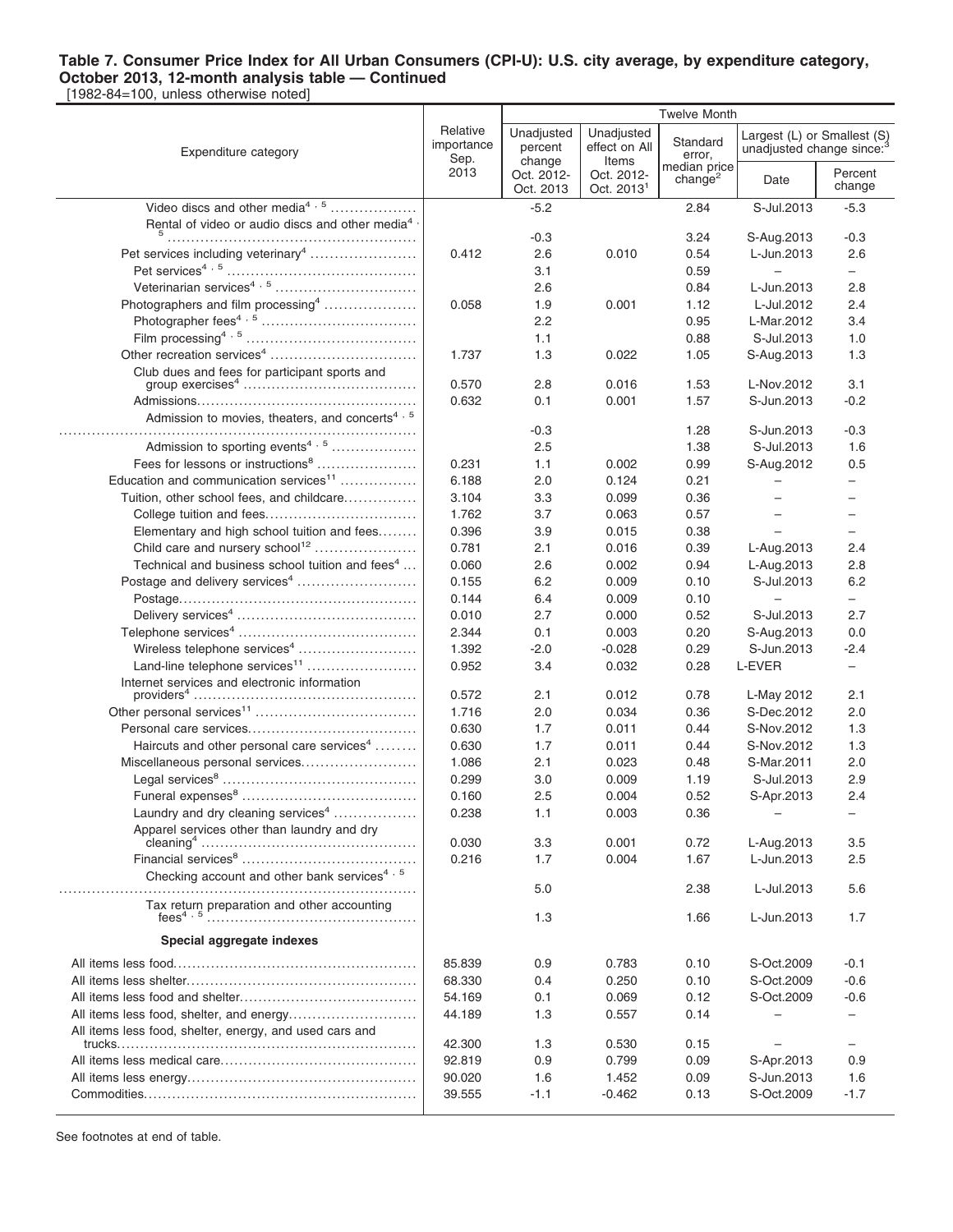[1982-84=100, unless otherwise noted]

|                                                               |                        |                       |                             | <b>Twelve Month</b> |                                       |                          |
|---------------------------------------------------------------|------------------------|-----------------------|-----------------------------|---------------------|---------------------------------------|--------------------------|
|                                                               | Relative<br>importance | Unadjusted<br>percent | Unadjusted<br>effect on All | Standard            | Largest (L) or Smallest (S)           |                          |
| Expenditure category                                          | Sep.                   | change                | Items                       | error,              | unadjusted change since: <sup>3</sup> |                          |
|                                                               | 2013                   | Oct. 2012-            | Oct. 2012-                  | median price        |                                       | Percent                  |
|                                                               |                        | Oct. 2013             | Oct. 2013 <sup>1</sup>      | change <sup>2</sup> | Date                                  | change                   |
| Video discs and other media <sup>4, 5</sup>                   |                        | $-5.2$                |                             | 2.84                | S-Jul.2013                            | $-5.3$                   |
| Rental of video or audio discs and other media <sup>4</sup> , |                        |                       |                             |                     |                                       |                          |
|                                                               |                        | $-0.3$                |                             | 3.24                | S-Aug.2013                            | $-0.3$                   |
| Pet services including veterinary <sup>4</sup>                | 0.412                  | 2.6                   | 0.010                       | 0.54                | L-Jun.2013                            | 2.6                      |
|                                                               |                        | 3.1                   |                             | 0.59                |                                       | $\overline{\phantom{0}}$ |
|                                                               |                        | 2.6                   |                             | 0.84                | L-Jun.2013                            | 2.8                      |
| Photographers and film processing <sup>4</sup>                | 0.058                  | 1.9                   | 0.001                       | 1.12                | L-Jul.2012                            | 2.4                      |
|                                                               |                        | 2.2                   |                             | 0.95                | L-Mar.2012                            | 3.4                      |
|                                                               |                        | 1.1                   |                             | 0.88                | S-Jul.2013                            | 1.0                      |
| Other recreation services <sup>4</sup>                        | 1.737                  | 1.3                   | 0.022                       | 1.05                | S-Aug.2013                            | 1.3                      |
| Club dues and fees for participant sports and                 |                        |                       |                             |                     |                                       |                          |
|                                                               | 0.570                  | 2.8                   | 0.016                       | 1.53                | L-Nov.2012                            | 3.1                      |
|                                                               | 0.632                  | 0.1                   | 0.001                       | 1.57                | S-Jun.2013                            | $-0.2$                   |
| Admission to movies, theaters, and concerts <sup>4, 5</sup>   |                        |                       |                             |                     |                                       |                          |
| Admission to sporting events <sup>4, 5</sup>                  |                        | $-0.3$                |                             | 1.28                | S-Jun.2013                            | $-0.3$                   |
|                                                               |                        | 2.5                   |                             | 1.38                | S-Jul.2013                            | 1.6                      |
| Fees for lessons or instructions <sup>8</sup>                 | 0.231                  | 1.1                   | 0.002                       | 0.99                | S-Aug.2012                            | 0.5                      |
| Education and communication services <sup>11</sup>            | 6.188                  | 2.0                   | 0.124                       | 0.21                |                                       | -                        |
| Tuition, other school fees, and childcare                     | 3.104                  | 3.3                   | 0.099                       | 0.36                | $\overline{\phantom{0}}$              | $\overline{\phantom{0}}$ |
|                                                               | 1.762                  | 3.7                   | 0.063                       | 0.57                | $\qquad \qquad -$                     | $\overline{\phantom{0}}$ |
| Elementary and high school tuition and fees                   | 0.396                  | 3.9                   | 0.015                       | 0.38                |                                       | -                        |
| Child care and nursery school <sup>12</sup>                   | 0.781                  | 2.1                   | 0.016                       | 0.39                | L-Aug.2013                            | 2.4                      |
| Technical and business school tuition and fees <sup>4</sup>   | 0.060                  | 2.6                   | 0.002                       | 0.94                | L-Aug.2013                            | 2.8                      |
| Postage and delivery services <sup>4</sup>                    | 0.155                  | 6.2                   | 0.009                       | 0.10                | S-Jul.2013                            | 6.2                      |
|                                                               | 0.144                  | 6.4                   | 0.009                       | 0.10                |                                       | $\overline{\phantom{0}}$ |
|                                                               | 0.010                  | 2.7                   | 0.000                       | 0.52                | S-Jul.2013                            | 2.7                      |
|                                                               | 2.344                  | 0.1                   | 0.003                       | 0.20                | S-Aug.2013                            | 0.0                      |
| Wireless telephone services <sup>4</sup>                      | 1.392                  | $-2.0$                | $-0.028$                    | 0.29                | S-Jun.2013                            | $-2.4$                   |
| Land-line telephone services <sup>11</sup>                    | 0.952                  | 3.4                   | 0.032                       | 0.28                | L-EVER                                | $\overline{\phantom{m}}$ |
| Internet services and electronic information                  |                        | 2.1                   |                             |                     |                                       |                          |
|                                                               | 0.572<br>1.716         | 2.0                   | 0.012<br>0.034              | 0.78<br>0.36        | L-May 2012<br>S-Dec.2012              | 2.1<br>2.0               |
|                                                               |                        |                       |                             |                     |                                       |                          |
| Haircuts and other personal care services <sup>4</sup>        | 0.630                  | 1.7                   | 0.011                       | 0.44                | S-Nov.2012                            | 1.3                      |
|                                                               | 0.630                  | 1.7                   | 0.011                       | 0.44                | S-Nov.2012                            | 1.3                      |
| Miscellaneous personal services                               | 1.086                  | 2.1                   | 0.023                       | 0.48                | S-Mar.2011                            | 2.0                      |
|                                                               | 0.299                  | 3.0                   | 0.009                       | 1.19                | S-Jul.2013                            | 2.9                      |
|                                                               | 0.160                  | 2.5                   | 0.004                       | 0.52                | S-Apr.2013                            | 2.4                      |
| Laundry and dry cleaning services <sup>4</sup>                | 0.238                  | 1.1                   | 0.003                       | 0.36                | $\overline{\phantom{0}}$              | $\overline{\phantom{0}}$ |
| Apparel services other than laundry and dry                   | 0.030                  | 3.3                   | 0.001                       | 0.72                | L-Aug.2013                            | 3.5                      |
|                                                               | 0.216                  | 1.7                   | 0.004                       | 1.67                | L-Jun.2013                            | 2.5                      |
| Checking account and other bank services <sup>4, 5</sup>      |                        |                       |                             |                     |                                       |                          |
|                                                               |                        | 5.0                   |                             | 2.38                | L-Jul.2013                            | 5.6                      |
| Tax return preparation and other accounting                   |                        |                       |                             |                     |                                       |                          |
|                                                               |                        | 1.3                   |                             | 1.66                | L-Jun.2013                            | 1.7                      |
| Special aggregate indexes                                     |                        |                       |                             |                     |                                       |                          |
|                                                               | 85.839                 | 0.9                   | 0.783                       | 0.10                | S-Oct.2009                            | $-0.1$                   |
|                                                               | 68.330                 | 0.4                   | 0.250                       | 0.10                | S-Oct.2009                            | $-0.6$                   |
|                                                               | 54.169                 | 0.1                   | 0.069                       | 0.12                | S-Oct.2009                            | $-0.6$                   |
|                                                               | 44.189                 | 1.3                   | 0.557                       | 0.14                |                                       | -                        |
| All items less food, shelter, energy, and used cars and       |                        |                       |                             |                     |                                       |                          |
|                                                               | 42.300                 | 1.3                   | 0.530                       | 0.15                | $\overline{\phantom{0}}$              | $\overline{\phantom{0}}$ |
|                                                               | 92.819                 | 0.9                   | 0.799                       | 0.09                | S-Apr.2013                            | 0.9                      |
|                                                               | 90.020                 | 1.6                   | 1.452                       | 0.09                | S-Jun.2013                            | 1.6                      |
|                                                               | 39.555                 | $-1.1$                | $-0.462$                    | 0.13                | S-Oct.2009                            | $-1.7$                   |
|                                                               |                        |                       |                             |                     |                                       |                          |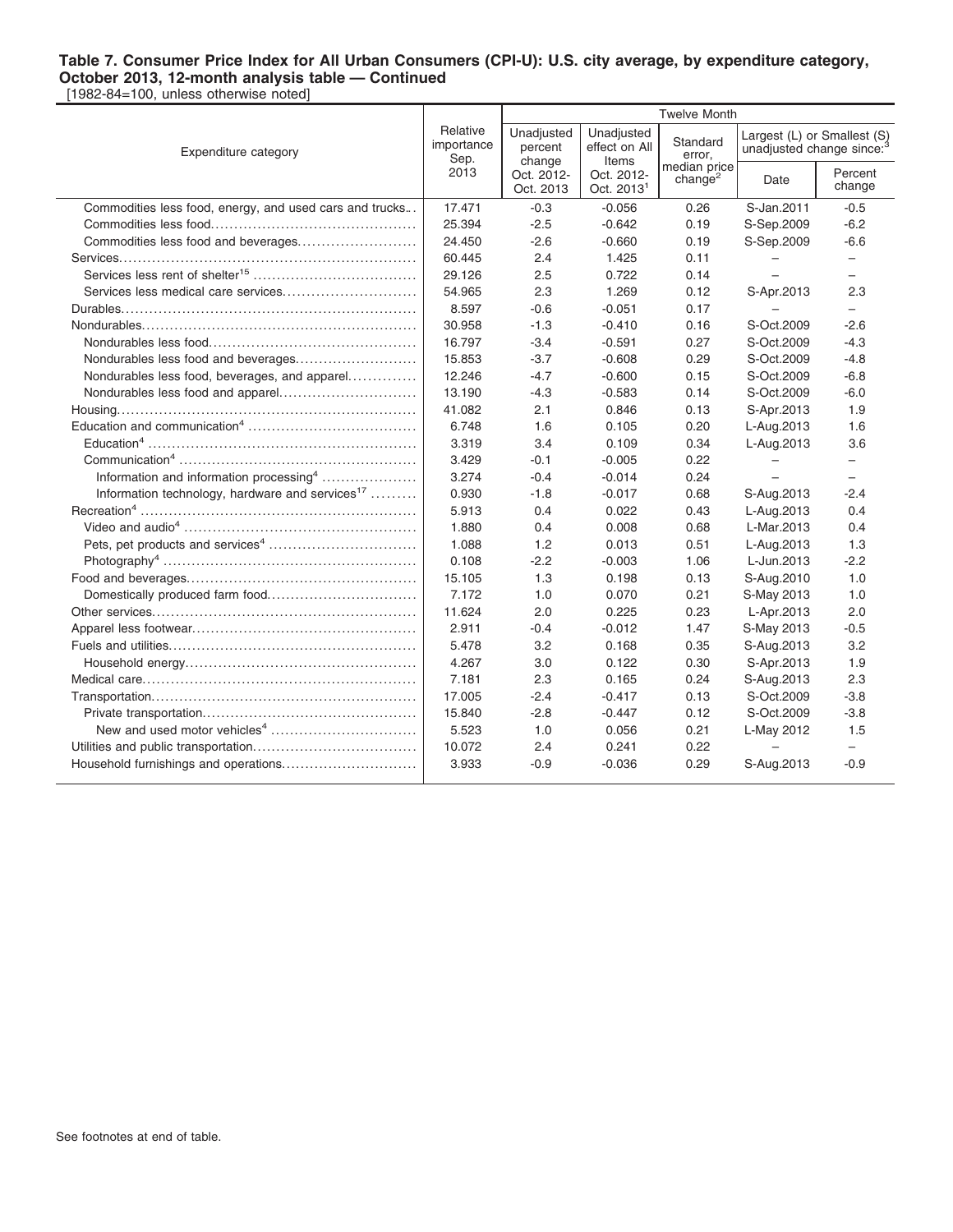|                                                             |                                |                                 | <b>Twelve Month</b>                  |                                     |                                       |                             |  |
|-------------------------------------------------------------|--------------------------------|---------------------------------|--------------------------------------|-------------------------------------|---------------------------------------|-----------------------------|--|
| Expenditure category                                        | Relative<br>importance<br>Sep. | Unadjusted<br>percent<br>change | Unadjusted<br>effect on All<br>Items | Standard<br>error.                  | unadjusted change since. <sup>3</sup> | Largest (L) or Smallest (S) |  |
|                                                             | 2013                           | Oct. 2012-<br>Oct. 2013         | Oct. 2012-<br>Oct. 2013 <sup>1</sup> | median price<br>change <sup>2</sup> | Date                                  | Percent<br>change           |  |
| Commodities less food, energy, and used cars and trucks     | 17.471                         | $-0.3$                          | $-0.056$                             | 0.26                                | S-Jan.2011                            | $-0.5$                      |  |
|                                                             | 25.394                         | $-2.5$                          | $-0.642$                             | 0.19                                | S-Sep.2009                            | $-6.2$                      |  |
| Commodities less food and beverages                         | 24.450                         | $-2.6$                          | $-0.660$                             | 0.19                                | S-Sep.2009                            | $-6.6$                      |  |
|                                                             | 60.445                         | 2.4                             | 1.425                                | 0.11                                | $\overline{\phantom{0}}$              | $\overline{\phantom{0}}$    |  |
|                                                             | 29.126                         | 2.5                             | 0.722                                | 0.14                                | $\equiv$                              | $\equiv$                    |  |
|                                                             | 54.965                         | 2.3                             | 1.269                                | 0.12                                | S-Apr.2013                            | 2.3                         |  |
|                                                             | 8.597                          | $-0.6$                          | $-0.051$                             | 0.17                                |                                       | $-$                         |  |
|                                                             | 30.958                         | $-1.3$                          | $-0.410$                             | 0.16                                | S-Oct.2009                            | $-2.6$                      |  |
|                                                             | 16.797                         | $-3.4$                          | $-0.591$                             | 0.27                                | S-Oct.2009                            | $-4.3$                      |  |
|                                                             | 15.853                         | $-3.7$                          | $-0.608$                             | 0.29                                | S-Oct.2009                            | $-4.8$                      |  |
| Nondurables less food, beverages, and apparel               | 12.246                         | $-4.7$                          | $-0.600$                             | 0.15                                | S-Oct.2009                            | $-6.8$                      |  |
|                                                             | 13.190                         | $-4.3$                          | $-0.583$                             | 0.14                                | S-Oct.2009                            | $-6.0$                      |  |
|                                                             | 41.082                         | 2.1                             | 0.846                                | 0.13                                | S-Apr.2013                            | 1.9                         |  |
|                                                             | 6.748                          | 1.6                             | 0.105                                | 0.20                                | L-Aug.2013                            | 1.6                         |  |
|                                                             | 3.319                          | 3.4                             | 0.109                                | 0.34                                | L-Aug.2013                            | 3.6                         |  |
|                                                             | 3.429                          | $-0.1$                          | $-0.005$                             | 0.22                                |                                       | $\overline{\phantom{0}}$    |  |
| Information and information processing <sup>4</sup>         | 3.274                          | $-0.4$                          | $-0.014$                             | 0.24                                |                                       | $\overline{\phantom{0}}$    |  |
| Information technology, hardware and services <sup>17</sup> | 0.930                          | $-1.8$                          | $-0.017$                             | 0.68                                | S-Aug.2013                            | $-2.4$                      |  |
|                                                             | 5.913                          | 0.4                             | 0.022                                | 0.43                                | L-Aug.2013                            | 0.4                         |  |
|                                                             | 1.880                          | 0.4                             | 0.008                                | 0.68                                | L-Mar.2013                            | 0.4                         |  |
|                                                             | 1.088                          | 1.2                             | 0.013                                | 0.51                                | L-Aug.2013                            | 1.3                         |  |
|                                                             | 0.108                          | $-2.2$                          | $-0.003$                             | 1.06                                | L-Jun.2013                            | $-2.2$                      |  |
|                                                             | 15.105                         | 1.3                             | 0.198                                | 0.13                                | S-Aug.2010                            | 1.0                         |  |
|                                                             | 7.172                          | 1.0                             | 0.070                                | 0.21                                | S-May 2013                            | 1.0                         |  |
|                                                             | 11.624                         | 2.0                             | 0.225                                | 0.23                                | L-Apr.2013                            | 2.0                         |  |
|                                                             | 2.911                          | $-0.4$                          | $-0.012$                             | 1.47                                | S-May 2013                            | $-0.5$                      |  |
|                                                             | 5.478                          | 3.2                             | 0.168                                | 0.35                                | S-Aug.2013                            | 3.2                         |  |
|                                                             | 4.267                          | 3.0                             | 0.122                                | 0.30                                | S-Apr.2013                            | 1.9                         |  |
|                                                             | 7.181                          | 2.3                             | 0.165                                | 0.24                                | S-Aug.2013                            | 2.3                         |  |
|                                                             | 17.005                         | $-2.4$                          | $-0.417$                             | 0.13                                | S-Oct.2009                            | $-3.8$                      |  |
|                                                             | 15.840                         | $-2.8$                          | $-0.447$                             | 0.12                                | S-Oct.2009                            | $-3.8$                      |  |
|                                                             | 5.523                          | 1.0                             | 0.056                                | 0.21                                | L-May 2012                            | 1.5                         |  |
|                                                             | 10.072                         | 2.4                             | 0.241                                | 0.22                                |                                       | $\overline{\phantom{0}}$    |  |
| Household furnishings and operations                        | 3.933                          | $-0.9$                          | $-0.036$                             | 0.29                                | S-Aug.2013                            | $-0.9$                      |  |